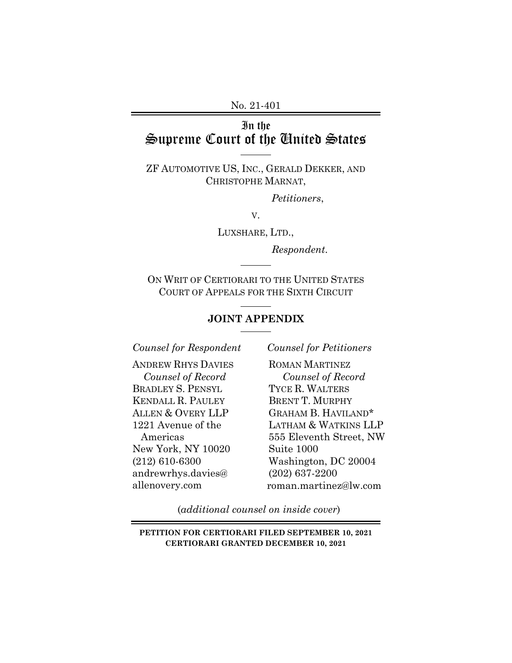No. 21-401

# In the Supreme Court of the United States

ZF AUTOMOTIVE US, INC., GERALD DEKKER, AND CHRISTOPHE MARNAT,

*Petitioners*,

V.

LUXSHARE, LTD.,

*Respondent*.

ON WRIT OF CERTIORARI TO THE UNITED STATES COURT OF APPEALS FOR THE SIXTH CIRCUIT  $\overline{a}$ 

l

## **JOINT APPENDIX**

*Counsel for Respondent* 

ANDREW RHYS DAVIES *Counsel of Record*  BRADLEY S. PENSYL KENDALL R. PAULEY ALLEN & OVERY LLP 1221 Avenue of the Americas New York, NY 10020 (212) 610-6300 andrewrhys.davies@ allenovery.com

*Counsel for Petitioners* 

ROMAN MARTINEZ *Counsel of Record* TYCE R. WALTERS BRENT T. MURPHY GRAHAM B. HAVILAND\* LATHAM & WATKINS LLP 555 Eleventh Street, NW Suite 1000 Washington, DC 20004 (202) 637-2200 roman.martinez@lw.com

(*additional counsel on inside cover*)

**PETITION FOR CERTIORARI FILED SEPTEMBER 10, 2021 CERTIORARI GRANTED DECEMBER 10, 2021**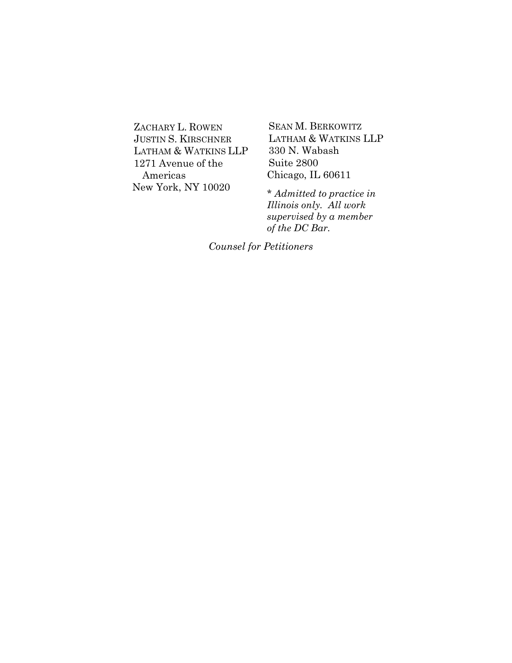ZACHARY L. ROWEN JUSTIN S. KIRSCHNER LATHAM & WATKINS LLP 1271 Avenue of the Americas New York, NY 10020

SEAN M. BERKOWITZ LATHAM & WATKINS LLP 330 N. Wabash Suite 2800 Chicago, IL 60611

\* *Admitted to practice in Illinois only. All work supervised by a member of the DC Bar.*

*Counsel for Petitioners*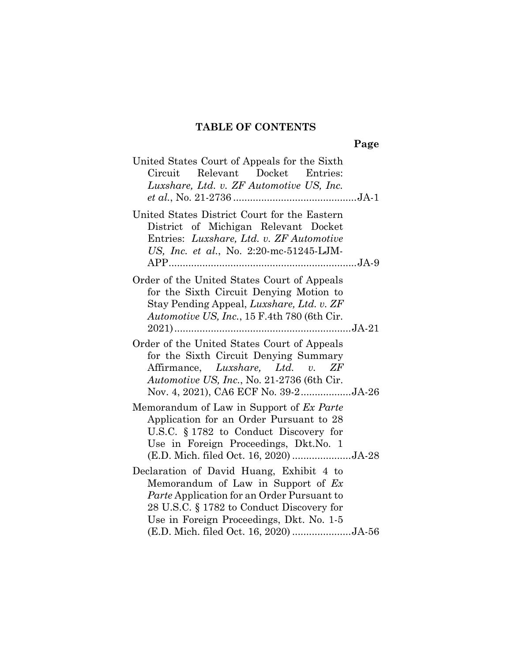# **TABLE OF CONTENTS**

| United States Court of Appeals for the Sixth<br>Relevant<br>Docket<br>Circuit<br>Entries:<br>Luxshare, Ltd. v. ZF Automotive US, Inc.                                                                                                                                    |
|--------------------------------------------------------------------------------------------------------------------------------------------------------------------------------------------------------------------------------------------------------------------------|
| United States District Court for the Eastern<br>District of Michigan Relevant Docket<br>Entries: Luxshare, Ltd. v. ZF Automotive<br>US, Inc. et al., No. 2:20-mc-51245-LJM-                                                                                              |
| Order of the United States Court of Appeals<br>for the Sixth Circuit Denying Motion to<br>Stay Pending Appeal, Luxshare, Ltd. v. ZF<br>Automotive US, Inc., 15 F.4th 780 (6th Cir.                                                                                       |
| Order of the United States Court of Appeals<br>for the Sixth Circuit Denying Summary<br>Affirmance, Luxshare, Ltd. v. ZF<br>Automotive US, Inc., No. 21-2736 (6th Cir.<br>Nov. 4, 2021), CA6 ECF No. 39-2JA-26                                                           |
| Memorandum of Law in Support of Ex Parte<br>Application for an Order Pursuant to 28<br>U.S.C. $\S 1782$ to Conduct Discovery for<br>Use in Foreign Proceedings, Dkt.No. 1<br>(E.D. Mich. filed Oct. 16, 2020) JA-28                                                      |
| Declaration of David Huang, Exhibit 4 to<br>Memorandum of Law in Support of $Ex$<br><i>Parte</i> Application for an Order Pursuant to<br>28 U.S.C. § 1782 to Conduct Discovery for<br>Use in Foreign Proceedings, Dkt. No. 1-5<br>(E.D. Mich. filed Oct. 16, 2020) JA-56 |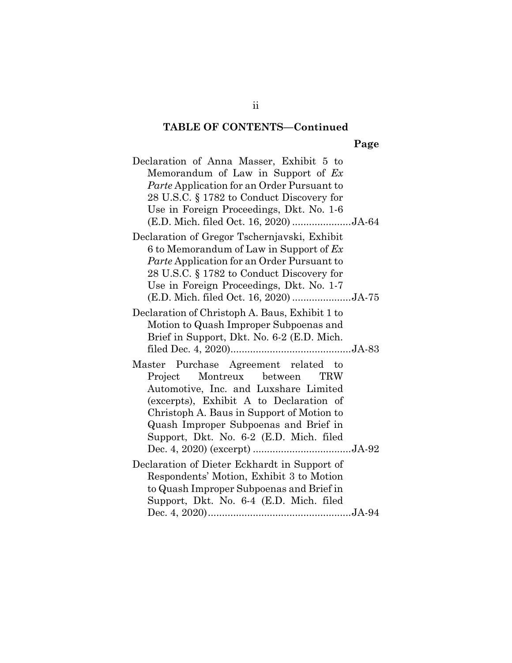# **TABLE OF CONTENTS—Continued**

**Page** 

| Declaration of Anna Masser, Exhibit 5 to<br>Memorandum of Law in Support of $Ex$<br><i>Parte</i> Application for an Order Pursuant to<br>28 U.S.C. § 1782 to Conduct Discovery for<br>Use in Foreign Proceedings, Dkt. No. 1-6<br>(E.D. Mich. filed Oct. 16, 2020) JA-64                            |  |
|-----------------------------------------------------------------------------------------------------------------------------------------------------------------------------------------------------------------------------------------------------------------------------------------------------|--|
| Declaration of Gregor Tschernjavski, Exhibit<br>6 to Memorandum of Law in Support of $Ex$<br>Parte Application for an Order Pursuant to<br>28 U.S.C. § 1782 to Conduct Discovery for<br>Use in Foreign Proceedings, Dkt. No. 1-7<br>(E.D. Mich. filed Oct. 16, 2020) JA-75                          |  |
| Declaration of Christoph A. Baus, Exhibit 1 to<br>Motion to Quash Improper Subpoenas and<br>Brief in Support, Dkt. No. 6-2 (E.D. Mich.                                                                                                                                                              |  |
| Master Purchase Agreement related to<br>Project Montreux between<br><b>TRW</b><br>Automotive, Inc. and Luxshare Limited<br>(excerpts), Exhibit A to Declaration of<br>Christoph A. Baus in Support of Motion to<br>Quash Improper Subpoenas and Brief in<br>Support, Dkt. No. 6-2 (E.D. Mich. filed |  |
| Declaration of Dieter Eckhardt in Support of<br>Respondents' Motion, Exhibit 3 to Motion<br>to Quash Improper Subpoenas and Brief in<br>Support, Dkt. No. 6-4 (E.D. Mich. filed                                                                                                                     |  |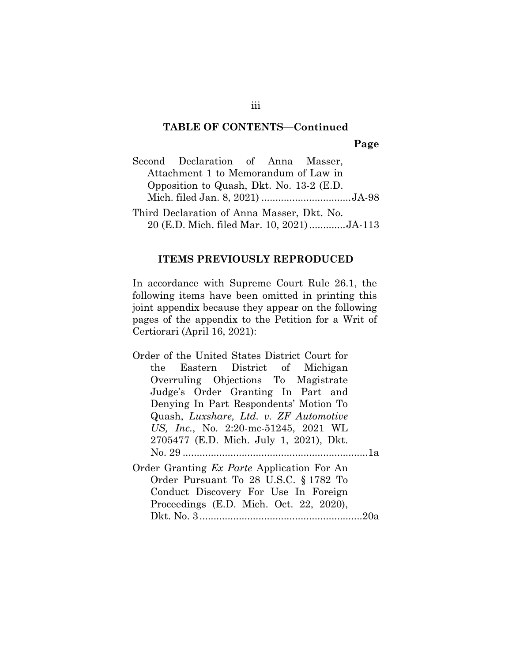# **TABLE OF CONTENTS—Continued**

**Page** 

|                                          | Second Declaration of Anna Masser,         |  |  |  |  |
|------------------------------------------|--------------------------------------------|--|--|--|--|
|                                          | Attachment 1 to Memorandum of Law in       |  |  |  |  |
| Opposition to Quash, Dkt. No. 13-2 (E.D. |                                            |  |  |  |  |
|                                          | Mich. filed Jan. 8, 2021) JA-98            |  |  |  |  |
|                                          | Third Declaration of Anna Masser, Dkt. No. |  |  |  |  |
|                                          | 20 (E.D. Mich. filed Mar. 10, 2021)JA-113  |  |  |  |  |

#### **ITEMS PREVIOUSLY REPRODUCED**

In accordance with Supreme Court Rule 26.1, the following items have been omitted in printing this joint appendix because they appear on the following pages of the appendix to the Petition for a Writ of Certiorari (April 16, 2021):

- Order of the United States District Court for the Eastern District of Michigan Overruling Objections To Magistrate Judge's Order Granting In Part and Denying In Part Respondents' Motion To Quash, *Luxshare, Ltd. v. ZF Automotive US, Inc.*, No. 2:20-mc-51245, 2021 WL 2705477 (E.D. Mich. July 1, 2021), Dkt. No. 29 .................................................................. 1a Order Granting *Ex Parte* Application For An Order Pursuant To 28 U.S.C. § 1782 To
	- Conduct Discovery For Use In Foreign Proceedings (E.D. Mich. Oct. 22, 2020), Dkt. No. 3 .......................................................... 20a

iii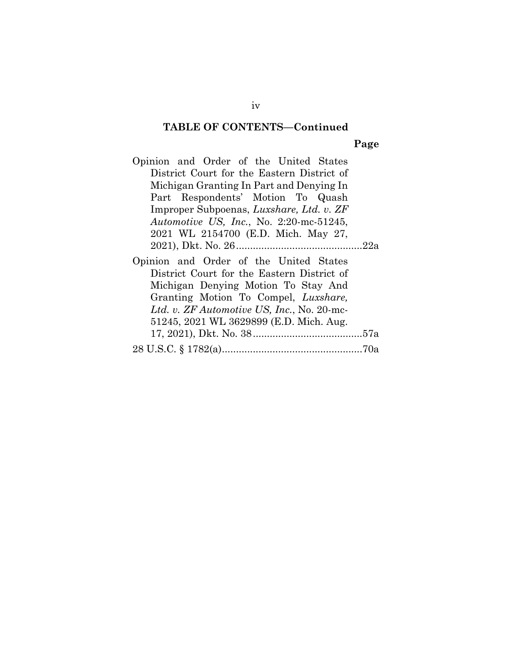#### **TABLE OF CONTENTS—Continued**

#### **Page**

Opinion and Order of the United States District Court for the Eastern District of Michigan Granting In Part and Denying In Part Respondents' Motion To Quash Improper Subpoenas, *Luxshare, Ltd. v. ZF Automotive US, Inc.*, No. 2:20-mc-51245, 2021 WL 2154700 (E.D. Mich. May 27, 2021), Dkt. No. 26 ............................................. 22a Opinion and Order of the United States District Court for the Eastern District of Michigan Denying Motion To Stay And Granting Motion To Compel, *Luxshare, Ltd. v. ZF Automotive US, Inc.*, No. 20-mc-

| 51245, 2021 WL 3629899 (E.D. Mich. Aug. |  |
|-----------------------------------------|--|
|                                         |  |
|                                         |  |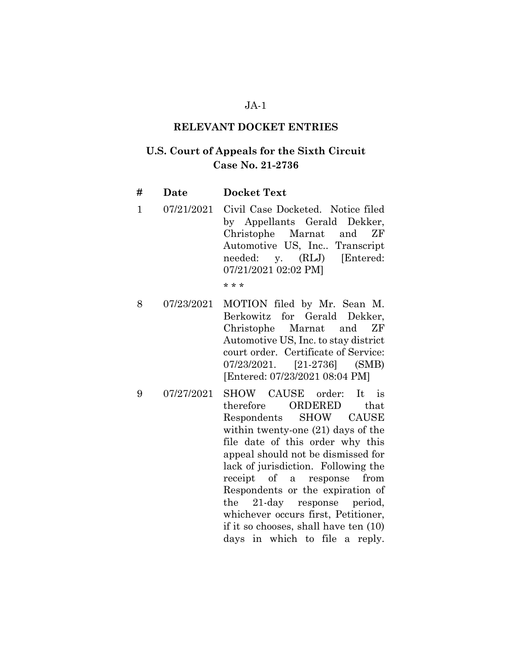#### **RELEVANT DOCKET ENTRIES**

# **U.S. Court of Appeals for the Sixth Circuit Case No. 21-2736**

| #            | Date | <b>Docket Text</b>                                                                                                                                                                              |
|--------------|------|-------------------------------------------------------------------------------------------------------------------------------------------------------------------------------------------------|
| $\mathbf{1}$ |      | 07/21/2021 Civil Case Docketed. Notice filed<br>by Appellants Gerald Dekker,<br>Christophe Marnat and ZF<br>Automotive US, Inc Transcript<br>needed: y. (RLJ) [Entered:<br>07/21/2021 02:02 PM] |
|              |      |                                                                                                                                                                                                 |

- 8 07/23/2021 MOTION filed by Mr. Sean M. Berkowitz for Gerald Dekker, Christophe Marnat and ZF Automotive US, Inc. to stay district court order. Certificate of Service: 07/23/2021. [21-2736] (SMB) [Entered: 07/23/2021 08:04 PM]
- 9 07/27/2021 SHOW CAUSE order: It is therefore ORDERED that Respondents SHOW CAUSE within twenty-one (21) days of the file date of this order why this appeal should not be dismissed for lack of jurisdiction. Following the receipt of a response from Respondents or the expiration of the 21-day response period, whichever occurs first, Petitioner, if it so chooses, shall have ten (10) days in which to file a reply.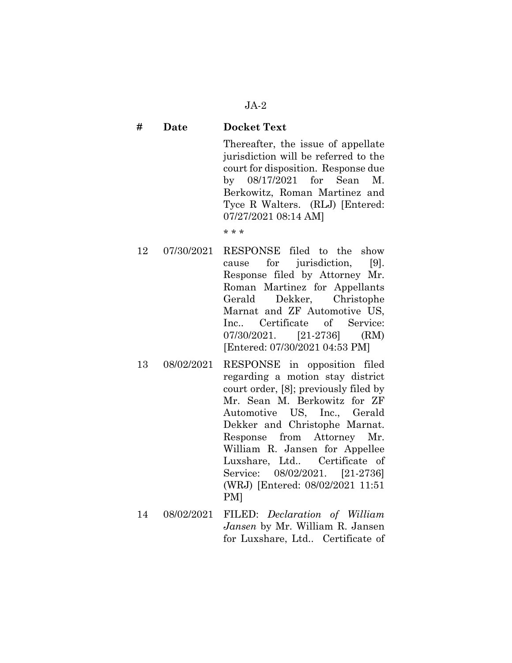### **# Date Docket Text**

Thereafter, the issue of appellate jurisdiction will be referred to the court for disposition. Response due by 08/17/2021 for Sean M. Berkowitz, Roman Martinez and Tyce R Walters. (RLJ) [Entered: 07/27/2021 08:14 AM]

- 12 07/30/2021 RESPONSE filed to the show cause for jurisdiction, [9]. Response filed by Attorney Mr. Roman Martinez for Appellants Gerald Dekker, Christophe Marnat and ZF Automotive US, Inc.. Certificate of Service: 07/30/2021. [21-2736] (RM) [Entered: 07/30/2021 04:53 PM]
- 13 08/02/2021 RESPONSE in opposition filed regarding a motion stay district court order, [8]; previously filed by Mr. Sean M. Berkowitz for ZF Automotive US, Inc., Gerald Dekker and Christophe Marnat. Response from Attorney Mr. William R. Jansen for Appellee Luxshare, Ltd.. Certificate of Service: 08/02/2021. [21-2736] (WRJ) [Entered: 08/02/2021 11:51 PM]
- 14 08/02/2021 FILED: *Declaration of William Jansen* by Mr. William R. Jansen for Luxshare, Ltd.. Certificate of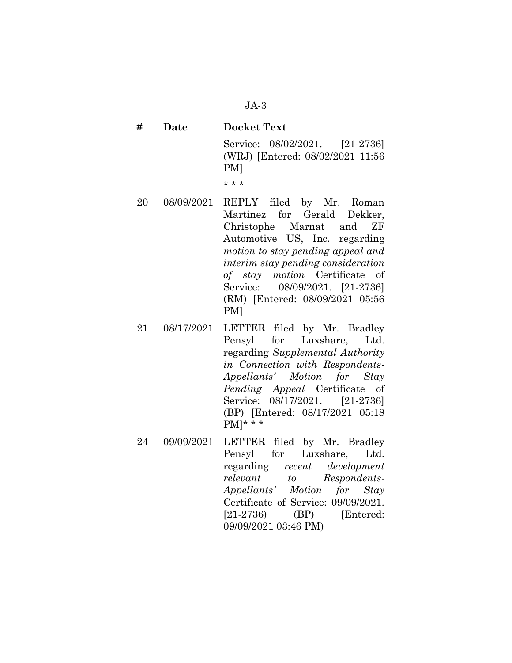| # | Date | <b>Docket Text</b>                                                        |  |  |
|---|------|---------------------------------------------------------------------------|--|--|
|   |      | Service: 08/02/2021. [21-2736]<br>(WRJ) [Entered: 08/02/2021 11:56<br>PMI |  |  |

- 20 08/09/2021 REPLY filed by Mr. Roman Martinez for Gerald Dekker, Christophe Marnat and ZF Automotive US, Inc. regarding *motion to stay pending appeal and interim stay pending consideration of stay motion* Certificate of Service: 08/09/2021. [21-2736] (RM) [Entered: 08/09/2021 05:56 PM]
- 21 08/17/2021 LETTER filed by Mr. Bradley Pensyl for Luxshare, Ltd. regarding *Supplemental Authority in Connection with Respondents-Appellants' Motion for Stay Pending Appeal* Certificate of Service: 08/17/2021. [21-2736] (BP) [Entered: 08/17/2021 05:18  $PM$ <sup>\*</sup> \* \*
- 24 09/09/2021 LETTER filed by Mr. Bradley Pensyl for Luxshare, Ltd. regarding *recent development relevant to Respondents-Appellants' Motion for Stay* Certificate of Service: 09/09/2021. [21-2736) (BP) [Entered: 09/09/2021 03:46 PM)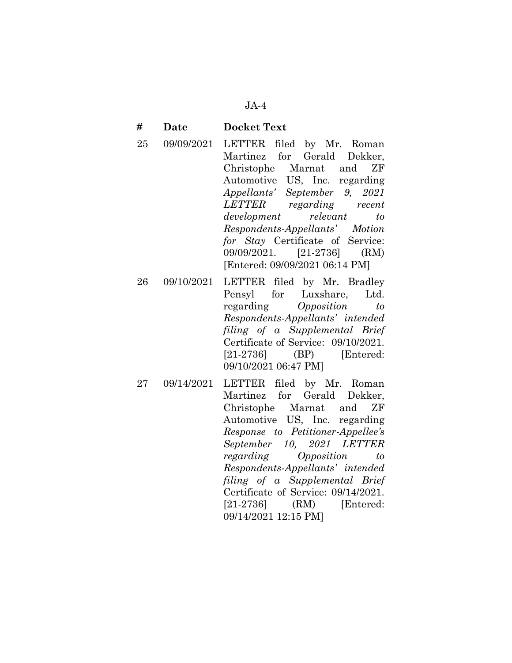#### **# Date Docket Text**

- 25 09/09/2021 LETTER filed by Mr. Roman Martinez for Gerald Dekker, Christophe Marnat and ZF Automotive US, Inc. regarding *Appellants' September 9, 2021 LETTER regarding recent development relevant to Respondents-Appellants' Motion for Stay* Certificate of Service: 09/09/2021. [21-2736] (RM) [Entered: 09/09/2021 06:14 PM]
- 26 09/10/2021 LETTER filed by Mr. Bradley Pensyl for Luxshare, Ltd. regarding *Opposition to Respondents-Appellants' intended filing of a Supplemental Brief* Certificate of Service: 09/10/2021. [21-2736] (BP) [Entered: 09/10/2021 06:47 PM]
- 27 09/14/2021 LETTER filed by Mr. Roman Martinez for Gerald Dekker, Christophe Marnat and ZF Automotive US, Inc. regarding *Response to Petitioner-Appellee's September 10, 2021 LETTER regarding Opposition to Respondents-Appellants' intended filing of a Supplemental Brief*  Certificate of Service: 09/14/2021. [21-2736] (RM) [Entered: 09/14/2021 12:15 PM]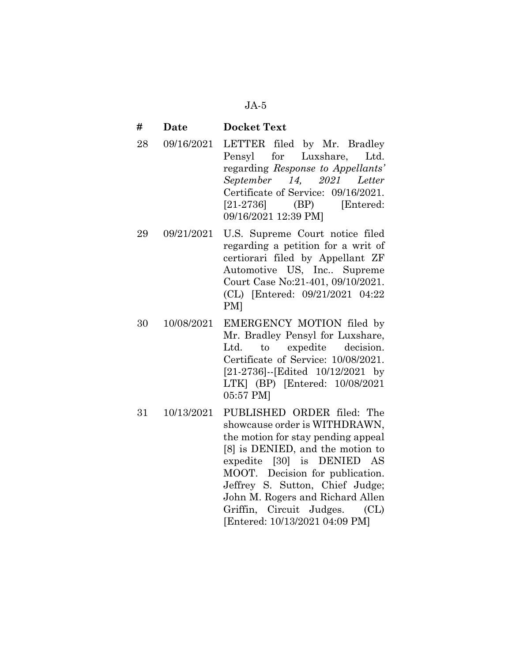#### **# Date Docket Text**

- 28 09/16/2021 LETTER filed by Mr. Bradley Pensyl for Luxshare, Ltd. regarding *Response to Appellants' September 14, 2021 Letter* Certificate of Service: 09/16/2021. [21-2736] (BP) [Entered: 09/16/2021 12:39 PM]
- 29 09/21/2021 U.S. Supreme Court notice filed regarding a petition for a writ of certiorari filed by Appellant ZF Automotive US, Inc.. Supreme Court Case No:21-401, 09/10/2021. (CL) [Entered: 09/21/2021 04:22 PM]
- 30 10/08/2021 EMERGENCY MOTION filed by Mr. Bradley Pensyl for Luxshare, Ltd. to expedite decision. Certificate of Service: 10/08/2021. [21-2736]--[Edited 10/12/2021 by LTK] (BP) [Entered: 10/08/2021 05:57 PM]
- 31 10/13/2021 PUBLISHED ORDER filed: The showcause order is WITHDRAWN, the motion for stay pending appeal [8] is DENIED, and the motion to expedite [30] is DENIED AS MOOT. Decision for publication. Jeffrey S. Sutton, Chief Judge; John M. Rogers and Richard Allen Griffin, Circuit Judges. (CL) [Entered: 10/13/2021 04:09 PM]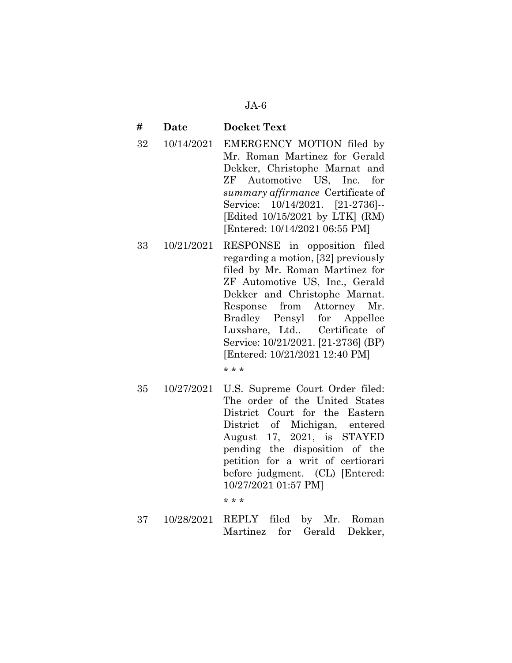#### **# Date Docket Text**

- 32 10/14/2021 EMERGENCY MOTION filed by Mr. Roman Martinez for Gerald Dekker, Christophe Marnat and ZF Automotive US, Inc. for *summary affirmance* Certificate of Service: 10/14/2021. [21-2736]-- [Edited 10/15/2021 by LTK] (RM) [Entered: 10/14/2021 06:55 PM]
- 33 10/21/2021 RESPONSE in opposition filed regarding a motion, [32] previously filed by Mr. Roman Martinez for ZF Automotive US, Inc., Gerald Dekker and Christophe Marnat. Response from Attorney Mr. Bradley Pensyl for Appellee Luxshare, Ltd.. Certificate of Service: 10/21/2021. [21-2736] (BP) [Entered: 10/21/2021 12:40 PM]

\* \* \*

35 10/27/2021 U.S. Supreme Court Order filed: The order of the United States District Court for the Eastern District of Michigan, entered August 17, 2021, is STAYED pending the disposition of the petition for a writ of certiorari before judgment. (CL) [Entered: 10/27/2021 01:57 PM]

\* \* \*

37 10/28/2021 REPLY filed by Mr. Roman Martinez for Gerald Dekker,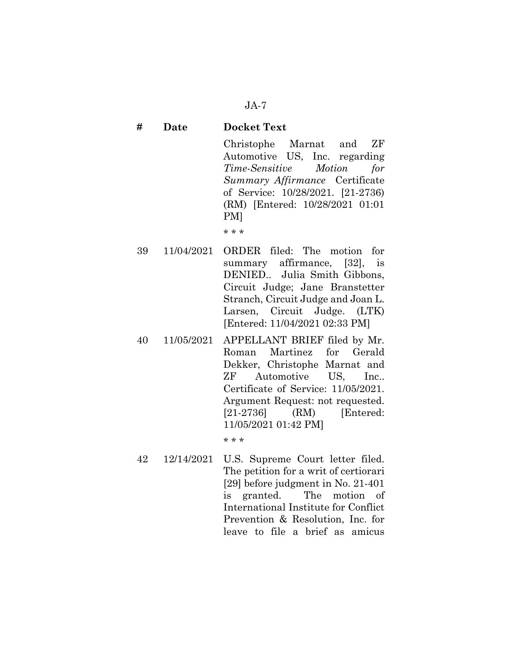## **# Date Docket Text**

Christophe Marnat and ZF Automotive US, Inc. regarding *Time-Sensitive Motion for Summary Affirmance* Certificate of Service: 10/28/2021. [21-2736) (RM) [Entered: 10/28/2021 01:01 PM]

\* \* \*

- 39 11/04/2021 ORDER filed: The motion for summary affirmance, [32], is DENIED.. Julia Smith Gibbons, Circuit Judge; Jane Branstetter Stranch, Circuit Judge and Joan L. Larsen, Circuit Judge. (LTK) [Entered: 11/04/2021 02:33 PM]
- 40 11/05/2021 APPELLANT BRIEF filed by Mr. Roman Martinez for Gerald Dekker, Christophe Marnat and ZF Automotive US, Inc.. Certificate of Service: 11/05/2021. Argument Request: not requested. [21-2736] (RM) [Entered: 11/05/2021 01:42 PM]

\* \* \*

42 12/14/2021 U.S. Supreme Court letter filed. The petition for a writ of certiorari [29] before judgment in No. 21-401 is granted. The motion of International Institute for Conflict Prevention & Resolution, Inc. for leave to file a brief as amicus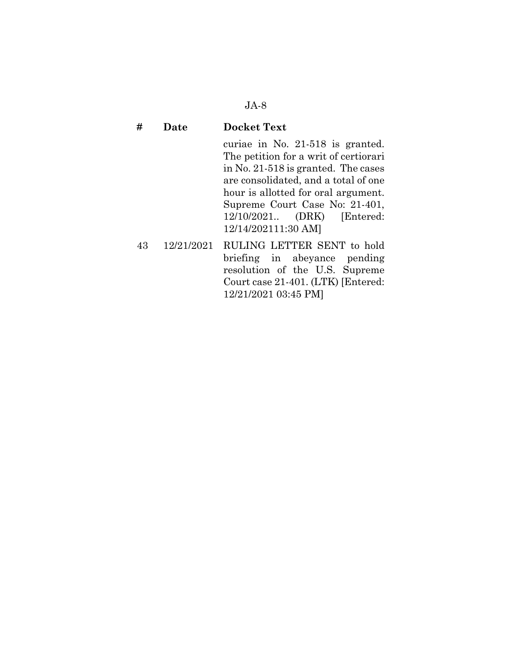#### **# Date Docket Text**

curiae in No. 21-518 is granted. The petition for a writ of certiorari in No. 21-518 is granted. The cases are consolidated, and a total of one hour is allotted for oral argument. Supreme Court Case No: 21-401, 12/10/2021.. (DRK) [Entered: 12/14/202111:30 AM]

43 12/21/2021 RULING LETTER SENT to hold briefing in abeyance pending resolution of the U.S. Supreme Court case 21-401. (LTK) [Entered: 12/21/2021 03:45 PM]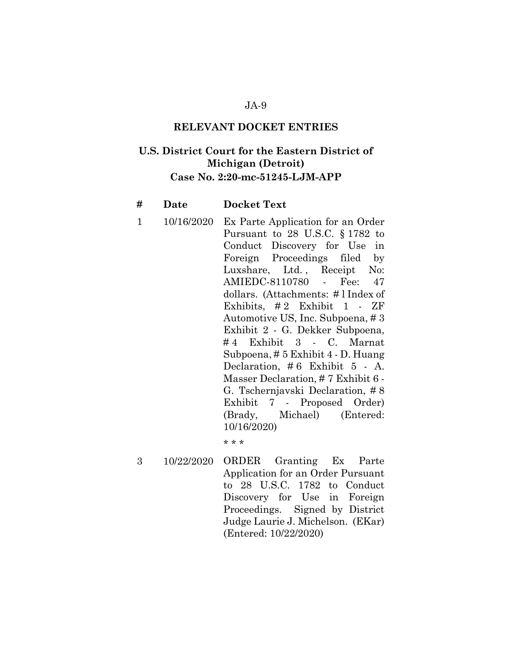#### **RELEVANT DOCKET ENTRIES**

# **U.S. District Court for the Eastern District of Michigan (Detroit) Case No. 2:20-mc-51245-LJM-APP**

#### **# Date Docket Text**

1 10/16/2020 Ex Parte Application for an Order Pursuant to 28 U.S.C. § 1782 to Conduct Discovery for Use in Foreign Proceedings filed by Luxshare, Ltd., Receipt No: AMIEDC-8110780 - Fee: 47 dollars. (Attachments: # l Index of Exhibits, # 2 Exhibit 1 - ZF Automotive US, Inc. Subpoena, # 3 Exhibit 2 - G. Dekker Subpoena, # 4 Exhibit 3 - C. Marnat Subpoena, # 5 Exhibit 4 - D. Huang Declaration, # 6 Exhibit 5 - A. Masser Declaration, # 7 Exhibit 6 - G. Tschernjavski Declaration, # 8 Exhibit 7 - Proposed Order) (Brady, Michael) (Entered: 10/16/2020)

\* \* \*

3 10/22/2020 ORDER Granting Ex Parte Application for an Order Pursuant to 28 U.S.C. 1782 to Conduct Discovery for Use in Foreign Proceedings. Signed by District Judge Laurie J. Michelson. (EKar) (Entered: 10/22/2020)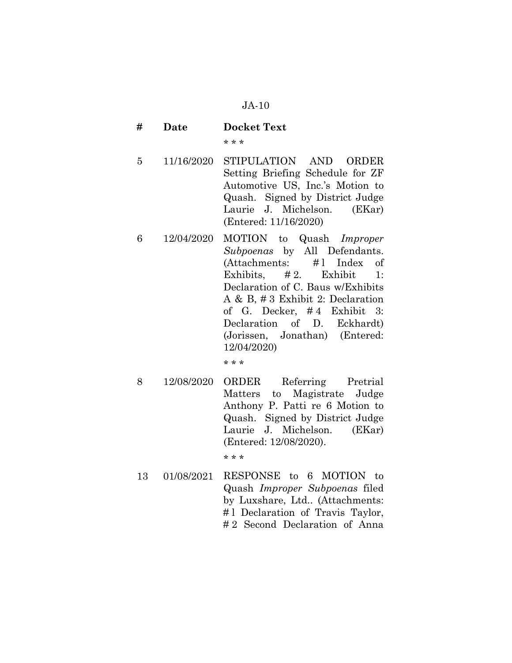- **# Date Docket Text**  \* \* \*
- 5 11/16/2020 STIPULATION AND ORDER Setting Briefing Schedule for ZF Automotive US, Inc.'s Motion to Quash. Signed by District Judge Laurie J. Michelson. (EKar) (Entered: 11/16/2020)
- 6 12/04/2020 MOTION to Quash *Improper Subpoenas* by All Defendants. (Attachments: # l Index of Exhibits,  $\# 2$ . Exhibit 1: Declaration of C. Baus w/Exhibits A & B, # 3 Exhibit 2: Declaration of G. Decker, # 4 Exhibit 3: Declaration of D. Eckhardt) (Jorissen, Jonathan) (Entered: 12/04/2020)

\* \* \*

8 12/08/2020 ORDER Referring Pretrial Matters to Magistrate Judge Anthony P. Patti re 6 Motion to Quash. Signed by District Judge Laurie J. Michelson. (EKar) (Entered: 12/08/2020).

\* \* \*

13 01/08/2021 RESPONSE to 6 MOTION to Quash *Improper Subpoenas* filed by Luxshare, Ltd.. (Attachments: #1 Declaration of Travis Taylor, # 2 Second Declaration of Anna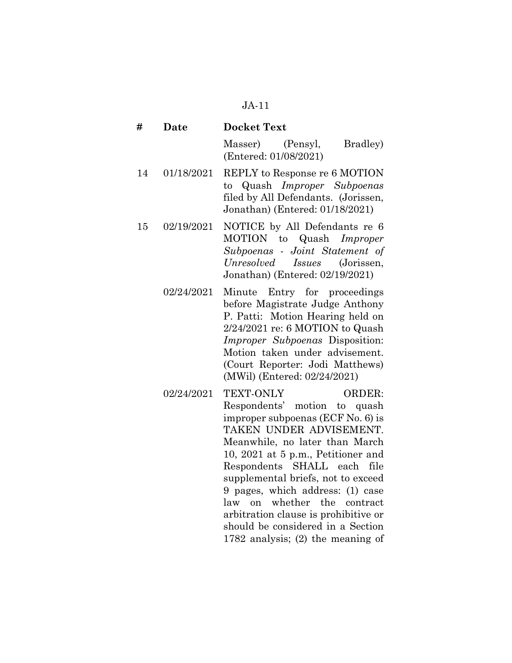| #  | <b>Date</b> | <b>Docket Text</b>                                                                                                                                                                                                                                                                                          |  |  |
|----|-------------|-------------------------------------------------------------------------------------------------------------------------------------------------------------------------------------------------------------------------------------------------------------------------------------------------------------|--|--|
|    |             | (Pensyl,<br>Masser)<br>Bradley)<br>(Entered: 01/08/2021)                                                                                                                                                                                                                                                    |  |  |
| 14 | 01/18/2021  | REPLY to Response re 6 MOTION<br>to Quash <i>Improper Subpoenas</i><br>filed by All Defendants. (Jorissen,<br>Jonathan) (Entered: 01/18/2021)                                                                                                                                                               |  |  |
| 15 | 02/19/2021  | NOTICE by All Defendants re 6<br>MOTION to Quash Improper<br>Subpoenas - Joint Statement of<br>Unresolved Issues (Jorissen,<br>Jonathan) (Entered: 02/19/2021)                                                                                                                                              |  |  |
|    | 02/24/2021  | Minute Entry for proceedings<br>before Magistrate Judge Anthony<br>P. Patti: Motion Hearing held on<br>2/24/2021 re: 6 MOTION to Quash<br><i>Improper Subpoenas Disposition:</i><br>Motion taken under advisement.<br>(Court Reporter: Jodi Matthews)<br>(MWil) (Entered: 02/24/2021)                       |  |  |
|    | 02/24/2021  | TEXT-ONLY<br><b>ORDER:</b><br>Respondents' motion to quash<br>improper subpoenas (ECF No. 6) is<br>TAKEN UNDER ADVISEMENT.<br>Meanwhile, no later than March<br>10, 2021 at 5 p.m., Petitioner and<br>Respondents SHALL each file<br>supplemental briefs, not to exceed<br>9 pages, which address: (1) case |  |  |

law on whether the contract arbitration clause is prohibitive or should be considered in a Section 1782 analysis; (2) the meaning of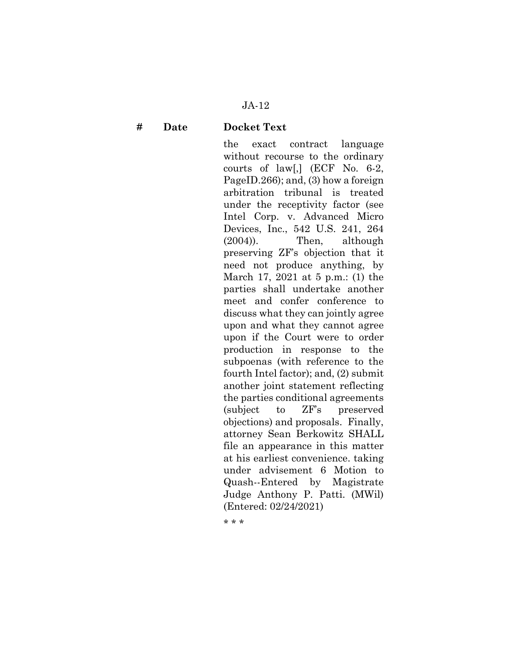#### **# Date Docket Text**

the exact contract language without recourse to the ordinary courts of law[,] (ECF No. 6-2, PageID.266); and, (3) how a foreign arbitration tribunal is treated under the receptivity factor (see Intel Corp. v. Advanced Micro Devices, Inc., 542 U.S. 241, 264 (2004)). Then, although preserving ZF's objection that it need not produce anything, by March 17, 2021 at 5 p.m.: (1) the parties shall undertake another meet and confer conference to discuss what they can jointly agree upon and what they cannot agree upon if the Court were to order production in response to the subpoenas (with reference to the fourth Intel factor); and, (2) submit another joint statement reflecting the parties conditional agreements (subject to ZF's preserved objections) and proposals. Finally, attorney Sean Berkowitz SHALL file an appearance in this matter at his earliest convenience. taking under advisement 6 Motion to Quash--Entered by Magistrate Judge Anthony P. Patti. (MWil) (Entered: 02/24/2021)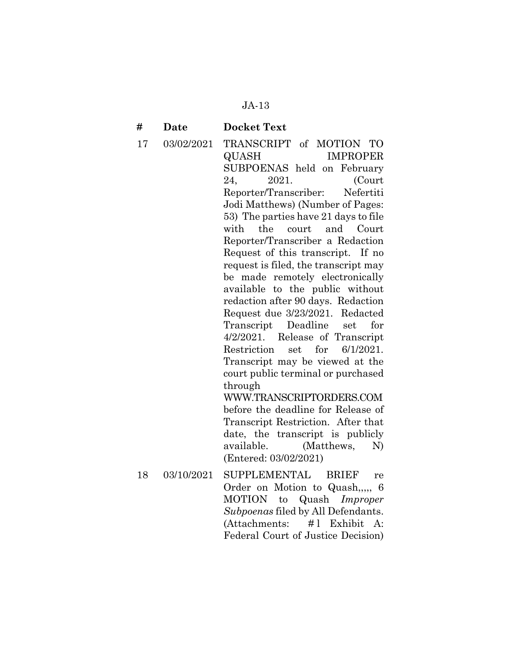#### **# Date Docket Text**

17 03/02/2021 TRANSCRIPT of MOTION TO QUASH IMPROPER SUBPOENAS held on February 24, 2021. (Court Reporter/Transcriber: Nefertiti Jodi Matthews) (Number of Pages: 53) The parties have 21 days to file with the court and Court Reporter/Transcriber a Redaction Request of this transcript. If no request is filed, the transcript may be made remotely electronically available to the public without redaction after 90 days. Redaction Request due 3/23/2021. Redacted Transcript Deadline set for 4/2/2021. Release of Transcript Restriction set for 6/1/2021. Transcript may be viewed at the court public terminal or purchased through WWW.TRANSCRIPTORDERS.COM before the deadline for Release of Transcript Restriction. After that date, the transcript is publicly available. (Matthews, N) (Entered: 03/02/2021) 18 03/10/2021 SUPPLEMENTAL BRIEF re

Order on Motion to Quash,,,,, 6 MOTION to Quash *Improper Subpoenas* filed by All Defendants. (Attachments: # l Exhibit A: Federal Court of Justice Decision)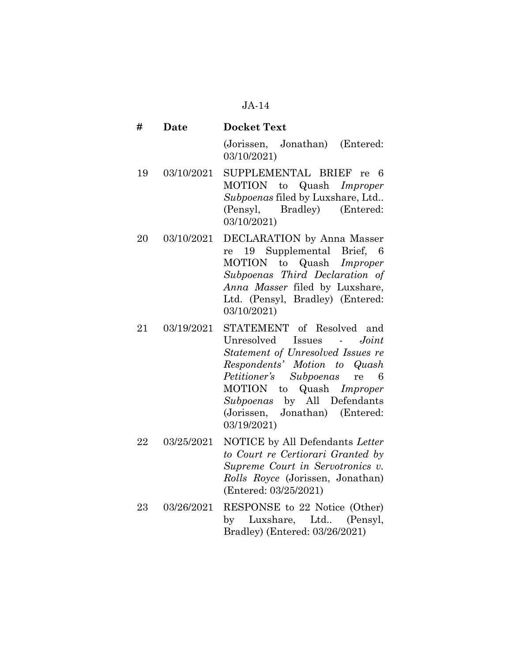**# Date Docket Text** 

(Jorissen, Jonathan) (Entered: 03/10/2021)

- 19 03/10/2021 SUPPLEMENTAL BRIEF re 6 MOTION to Quash *Improper Subpoenas* filed by Luxshare, Ltd.. (Pensyl, Bradley) (Entered: 03/10/2021)
- 20 03/10/2021 DECLARATION by Anna Masser re 19 Supplemental Brief, 6 MOTION to Quash *Improper Subpoenas Third Declaration of Anna Masser* filed by Luxshare, Ltd. (Pensyl, Bradley) (Entered: 03/10/2021)
- 21 03/19/2021 STATEMENT of Resolved and Unresolved Issues - *Joint Statement of Unresolved Issues re Respondents' Motion to Quash Petitioner's Subpoenas* re 6 MOTION to Quash *Improper Subpoenas* by All Defendants (Jorissen, Jonathan) (Entered: 03/19/2021)
- 22 03/25/2021 NOTICE by All Defendants *Letter to Court re Certiorari Granted by Supreme Court in Servotronics v. Rolls Royce* (Jorissen, Jonathan) (Entered: 03/25/2021)
- 23 03/26/2021 RESPONSE to 22 Notice (Other) by Luxshare, Ltd.. (Pensyl, Bradley) (Entered: 03/26/2021)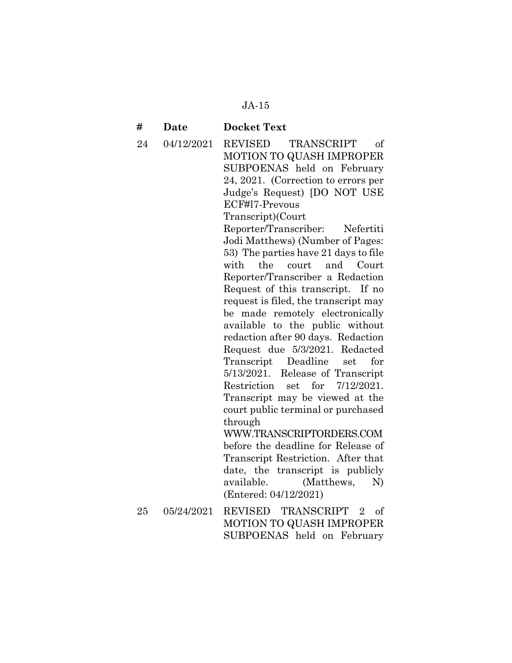#### **# Date Docket Text**

24 04/12/2021 REVISED TRANSCRIPT of MOTION TO QUASH IMPROPER SUBPOENAS held on February 24, 2021. (Correction to errors per Judge's Request) [DO NOT USE ECF#l7-Prevous Transcript)(Court

> Reporter/Transcriber: Nefertiti Jodi Matthews) (Number of Pages: 53) The parties have 21 days to file with the court and Court Reporter/Transcriber a Redaction Request of this transcript. If no request is filed, the transcript may be made remotely electronically available to the public without redaction after 90 days. Redaction Request due 5/3/2021. Redacted Transcript Deadline set for 5/13/2021. Release of Transcript Restriction set for 7/12/2021. Transcript may be viewed at the court public terminal or purchased through

> WWW.TRANSCRIPTORDERS.COM before the deadline for Release of Transcript Restriction. After that date, the transcript is publicly available. (Matthews, N) (Entered: 04/12/2021)

25 05/24/2021 REVISED TRANSCRIPT 2 of MOTION TO QUASH IMPROPER SUBPOENAS held on February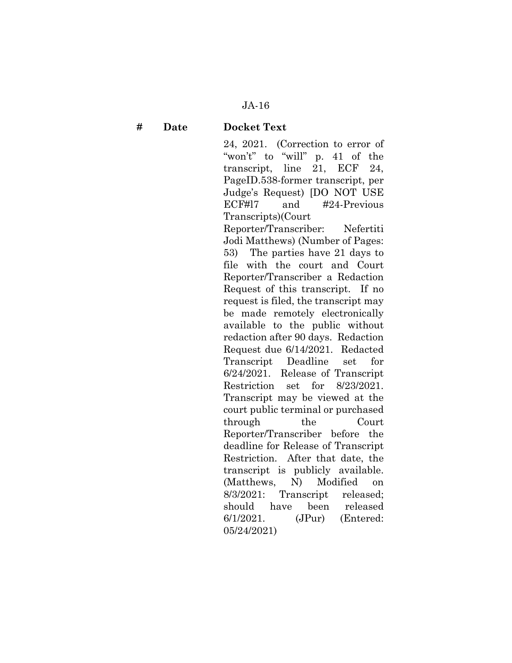**# Date Docket Text** 

24, 2021. (Correction to error of "won't" to "will" p. 41 of the transcript, line 21, ECF 24, PageID.538-former transcript, per Judge's Request) [DO NOT USE ECF#l7 and #24-Previous Transcripts)(Court

Reporter/Transcriber: Nefertiti Jodi Matthews) (Number of Pages: 53) The parties have 21 days to file with the court and Court Reporter/Transcriber a Redaction Request of this transcript. If no request is filed, the transcript may be made remotely electronically available to the public without redaction after 90 days. Redaction Request due 6/14/2021. Redacted Transcript Deadline set for 6/24/2021. Release of Transcript Restriction set for 8/23/2021. Transcript may be viewed at the court public terminal or purchased through the Court Reporter/Transcriber before the deadline for Release of Transcript Restriction. After that date, the transcript is publicly available. (Matthews, N) Modified on 8/3/2021: Transcript released; should have been released 6/1/2021. (JPur) (Entered: 05/24/2021)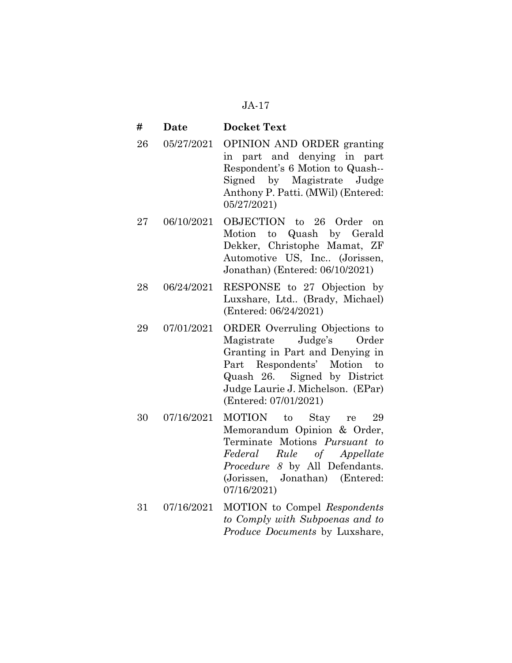#### **# Date Docket Text**

- 26 05/27/2021 OPINION AND ORDER granting in part and denying in part Respondent's 6 Motion to Quash-- Signed by Magistrate Judge Anthony P. Patti. (MWil) (Entered: 05/27/2021)
- 27 06/10/2021 OBJECTION to 26 Order on Motion to Quash by Gerald Dekker, Christophe Mamat, ZF Automotive US, Inc.. (Jorissen, Jonathan) (Entered: 06/10/2021)
- 28 06/24/2021 RESPONSE to 27 Objection by Luxshare, Ltd.. (Brady, Michael) (Entered: 06/24/2021)
- 29 07/01/2021 ORDER Overruling Objections to Magistrate Judge's Order Granting in Part and Denying in Part Respondents' Motion to Quash 26. Signed by District Judge Laurie J. Michelson. (EPar) (Entered: 07/01/2021)
- 30 07/16/2021 MOTION to Stay re 29 Memorandum Opinion & Order, Terminate Motions *Pursuant to Federal Rule of Appellate Procedure 8* by All Defendants. (Jorissen, Jonathan) (Entered: 07/16/2021)
- 31 07/16/2021 MOTION to Compel *Respondents to Comply with Subpoenas and to Produce Documents* by Luxshare,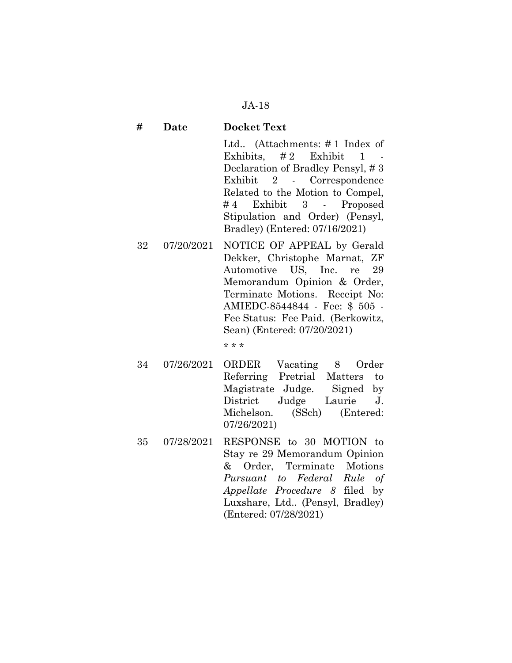### **# Date Docket Text**

Ltd.. (Attachments: # 1 Index of Exhibits, # 2 Exhibit 1 - Declaration of Bradley Pensyl, # 3 Exhibit 2 - Correspondence Related to the Motion to Compel, # 4 Exhibit 3 - Proposed Stipulation and Order) (Pensyl, Bradley) (Entered: 07/16/2021)

32 07/20/2021 NOTICE OF APPEAL by Gerald Dekker, Christophe Marnat, ZF Automotive US, Inc. re 29 Memorandum Opinion & Order, Terminate Motions. Receipt No: AMIEDC-8544844 - Fee: \$ 505 - Fee Status: Fee Paid. (Berkowitz, Sean) (Entered: 07/20/2021)

- 34 07/26/2021 ORDER Vacating 8 Order Referring Pretrial Matters to Magistrate Judge. Signed by District Judge Laurie J. Michelson. (SSch) (Entered: 07/26/2021)
- 35 07/28/2021 RESPONSE to 30 MOTION to Stay re 29 Memorandum Opinion & Order, Terminate Motions *Pursuant to Federal Rule of Appellate Procedure 8* filed by Luxshare, Ltd.. (Pensyl, Bradley) (Entered: 07/28/2021)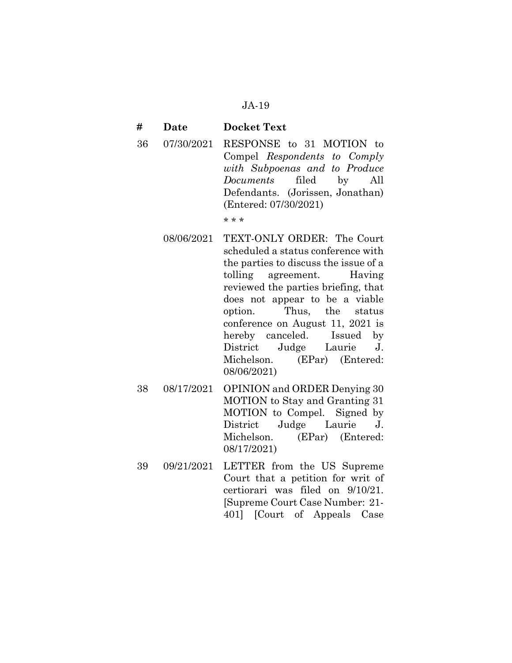#### **# Date Docket Text**

36 07/30/2021 RESPONSE to 31 MOTION to Compel *Respondents to Comply with Subpoenas and to Produce Documents* filed by All Defendants. (Jorissen, Jonathan) (Entered: 07/30/2021)

- 08/06/2021 TEXT-ONLY ORDER: The Court scheduled a status conference with the parties to discuss the issue of a tolling agreement. Having reviewed the parties briefing, that does not appear to be a viable option. Thus, the status conference on August 11, 2021 is hereby canceled. Issued by District Judge Laurie J. Michelson. (EPar) (Entered: 08/06/2021)
- 38 08/17/2021 OPINION and ORDER Denying 30 MOTION to Stay and Granting 31 MOTION to Compel. Signed by District Judge Laurie J. Michelson. (EPar) (Entered: 08/17/2021)
- 39 09/21/2021 LETTER from the US Supreme Court that a petition for writ of certiorari was filed on 9/10/21. [Supreme Court Case Number: 21- 401] [Court of Appeals Case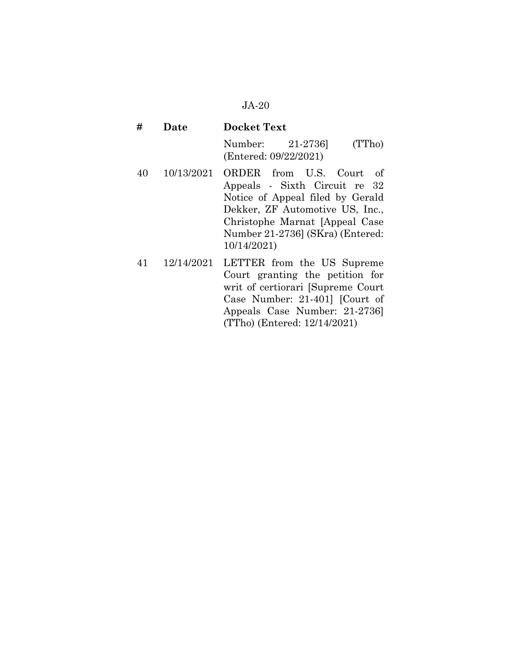| #  | Date       | <b>Docket Text</b>                                                                                                                                                                                                        |
|----|------------|---------------------------------------------------------------------------------------------------------------------------------------------------------------------------------------------------------------------------|
|    |            | (TTho)<br>Number: 21-2736<br>(Entered: 09/22/2021)                                                                                                                                                                        |
| 40 | 10/13/2021 | ORDER from U.S. Court<br>-of<br>Appeals - Sixth Circuit re 32<br>Notice of Appeal filed by Gerald<br>Dekker, ZF Automotive US, Inc.,<br>Christophe Marnat [Appeal Case<br>Number 21-2736] (SKra) (Entered:<br>10/14/2021) |
| 41 | 12/14/2021 | LETTER from the US Supreme<br>Court granting the petition for<br>writ of certiorari [Supreme Court<br>Case Number: 21-401] [Court of                                                                                      |

Appeals Case Number: 21-2736]

(TTho) (Entered: 12/14/2021)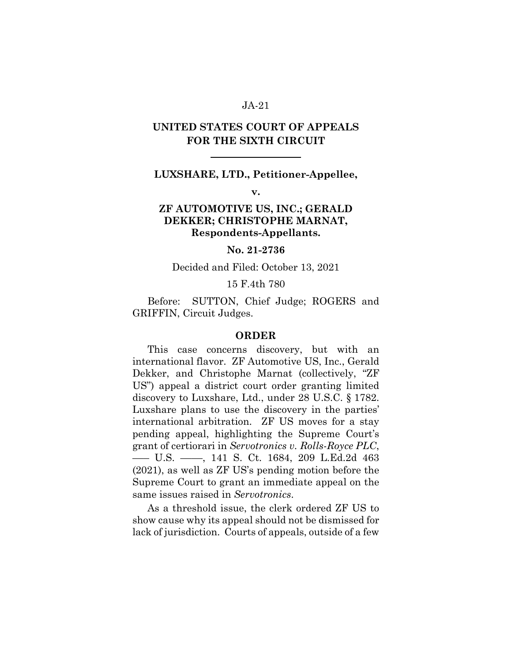# **UNITED STATES COURT OF APPEALS FOR THE SIXTH CIRCUIT**

 $\overline{a}$ 

#### **LUXSHARE, LTD., Petitioner-Appellee,**

**v.** 

# **ZF AUTOMOTIVE US, INC.; GERALD DEKKER; CHRISTOPHE MARNAT, Respondents-Appellants.**

#### **No. 21-2736**

#### Decided and Filed: October 13, 2021

#### 15 F.4th 780

Before: SUTTON, Chief Judge; ROGERS and GRIFFIN, Circuit Judges.

#### **ORDER**

This case concerns discovery, but with an international flavor. ZF Automotive US, Inc., Gerald Dekker, and Christophe Marnat (collectively, "ZF US") appeal a district court order granting limited discovery to Luxshare, Ltd., under 28 U.S.C. § 1782. Luxshare plans to use the discovery in the parties' international arbitration. ZF US moves for a stay pending appeal, highlighting the Supreme Court's grant of certiorari in *Servotronics v. Rolls-Royce PLC*, ––– U.S. ––––, 141 S. Ct. 1684, 209 L.Ed.2d 463 (2021), as well as ZF US's pending motion before the Supreme Court to grant an immediate appeal on the same issues raised in *Servotronics*.

As a threshold issue, the clerk ordered ZF US to show cause why its appeal should not be dismissed for lack of jurisdiction. Courts of appeals, outside of a few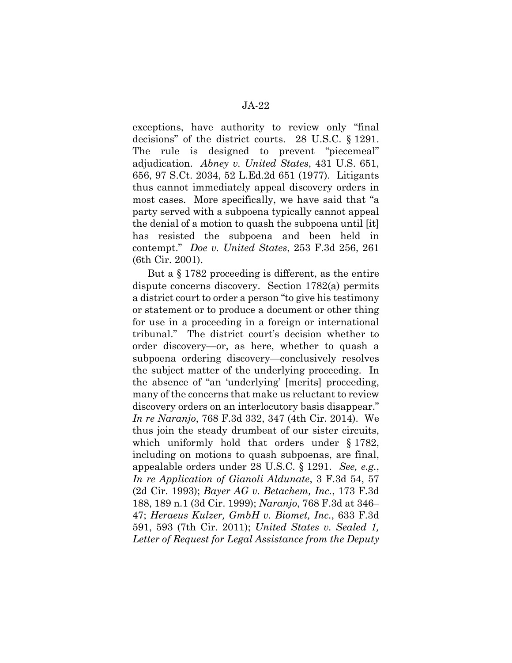exceptions, have authority to review only "final decisions" of the district courts. 28 U.S.C. § 1291. The rule is designed to prevent "piecemeal" adjudication. *Abney v. United States*, 431 U.S. 651, 656, 97 S.Ct. 2034, 52 L.Ed.2d 651 (1977). Litigants thus cannot immediately appeal discovery orders in most cases. More specifically, we have said that "a party served with a subpoena typically cannot appeal the denial of a motion to quash the subpoena until [it] has resisted the subpoena and been held in contempt." *Doe v. United States*, 253 F.3d 256, 261 (6th Cir. 2001).

But a § 1782 proceeding is different, as the entire dispute concerns discovery. Section 1782(a) permits a district court to order a person "to give his testimony or statement or to produce a document or other thing for use in a proceeding in a foreign or international tribunal." The district court's decision whether to order discovery—or, as here, whether to quash a subpoena ordering discovery—conclusively resolves the subject matter of the underlying proceeding. In the absence of "an 'underlying' [merits] proceeding, many of the concerns that make us reluctant to review discovery orders on an interlocutory basis disappear." *In re Naranjo*, 768 F.3d 332, 347 (4th Cir. 2014). We thus join the steady drumbeat of our sister circuits, which uniformly hold that orders under § 1782, including on motions to quash subpoenas, are final, appealable orders under 28 U.S.C. § 1291. *See, e.g.*, *In re Application of Gianoli Aldunate*, 3 F.3d 54, 57 (2d Cir. 1993); *Bayer AG v. Betachem, Inc.*, 173 F.3d 188, 189 n.1 (3d Cir. 1999); *Naranjo*, 768 F.3d at 346– 47; *Heraeus Kulzer, GmbH v. Biomet, Inc.*, 633 F.3d 591, 593 (7th Cir. 2011); *United States v. Sealed 1, Letter of Request for Legal Assistance from the Deputy*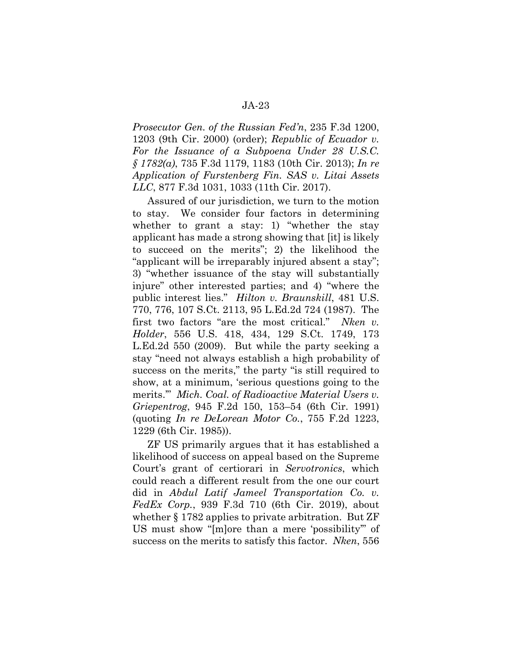*Prosecutor Gen. of the Russian Fed'n*, 235 F.3d 1200, 1203 (9th Cir. 2000) (order); *Republic of Ecuador v. For the Issuance of a Subpoena Under 28 U.S.C. § 1782(a)*, 735 F.3d 1179, 1183 (10th Cir. 2013); *In re Application of Furstenberg Fin. SAS v. Litai Assets LLC*, 877 F.3d 1031, 1033 (11th Cir. 2017).

Assured of our jurisdiction, we turn to the motion to stay. We consider four factors in determining whether to grant a stay: 1) "whether the stay applicant has made a strong showing that [it] is likely to succeed on the merits"; 2) the likelihood the "applicant will be irreparably injured absent a stay"; 3) "whether issuance of the stay will substantially injure" other interested parties; and 4) "where the public interest lies." *Hilton v. Braunskill*, 481 U.S. 770, 776, 107 S.Ct. 2113, 95 L.Ed.2d 724 (1987). The first two factors "are the most critical." *Nken v. Holder*, 556 U.S. 418, 434, 129 S.Ct. 1749, 173 L.Ed.2d 550 (2009). But while the party seeking a stay "need not always establish a high probability of success on the merits," the party "is still required to show, at a minimum, 'serious questions going to the merits.'" *Mich. Coal. of Radioactive Material Users v. Griepentrog*, 945 F.2d 150, 153–54 (6th Cir. 1991) (quoting *In re DeLorean Motor Co.*, 755 F.2d 1223, 1229 (6th Cir. 1985)).

ZF US primarily argues that it has established a likelihood of success on appeal based on the Supreme Court's grant of certiorari in *Servotronics*, which could reach a different result from the one our court did in *Abdul Latif Jameel Transportation Co. v. FedEx Corp.*, 939 F.3d 710 (6th Cir. 2019), about whether § 1782 applies to private arbitration. But ZF US must show "[m]ore than a mere 'possibility'" of success on the merits to satisfy this factor. *Nken*, 556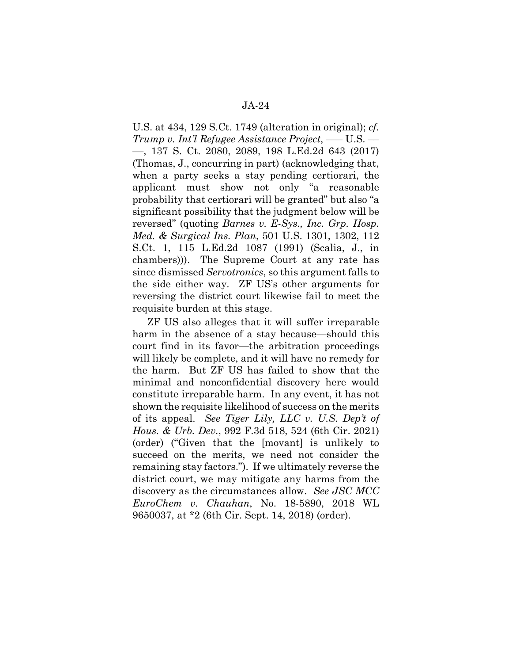U.S. at 434, 129 S.Ct. 1749 (alteration in original); *cf. Trump v. Int'l Refugee Assistance Project*, ––– U.S. –– ––, 137 S. Ct. 2080, 2089, 198 L.Ed.2d 643 (2017) (Thomas, J., concurring in part) (acknowledging that, when a party seeks a stay pending certiorari, the applicant must show not only "a reasonable probability that certiorari will be granted" but also "a significant possibility that the judgment below will be reversed" (quoting *Barnes v. E-Sys., Inc. Grp. Hosp. Med. & Surgical Ins. Plan*, 501 U.S. 1301, 1302, 112 S.Ct. 1, 115 L.Ed.2d 1087 (1991) (Scalia, J., in chambers))). The Supreme Court at any rate has since dismissed *Servotronics*, so this argument falls to the side either way. ZF US's other arguments for reversing the district court likewise fail to meet the requisite burden at this stage.

ZF US also alleges that it will suffer irreparable harm in the absence of a stay because—should this court find in its favor—the arbitration proceedings will likely be complete, and it will have no remedy for the harm. But ZF US has failed to show that the minimal and nonconfidential discovery here would constitute irreparable harm. In any event, it has not shown the requisite likelihood of success on the merits of its appeal. *See Tiger Lily, LLC v. U.S. Dep't of Hous. & Urb. Dev.*, 992 F.3d 518, 524 (6th Cir. 2021) (order) ("Given that the [movant] is unlikely to succeed on the merits, we need not consider the remaining stay factors."). If we ultimately reverse the district court, we may mitigate any harms from the discovery as the circumstances allow. *See JSC MCC EuroChem v. Chauhan*, No. 18-5890, 2018 WL 9650037, at \*2 (6th Cir. Sept. 14, 2018) (order).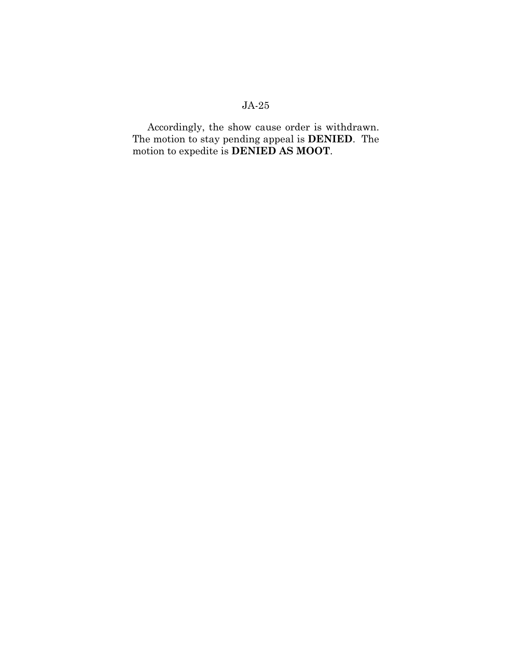Accordingly, the show cause order is withdrawn. The motion to stay pending appeal is **DENIED**. The motion to expedite is **DENIED AS MOOT**.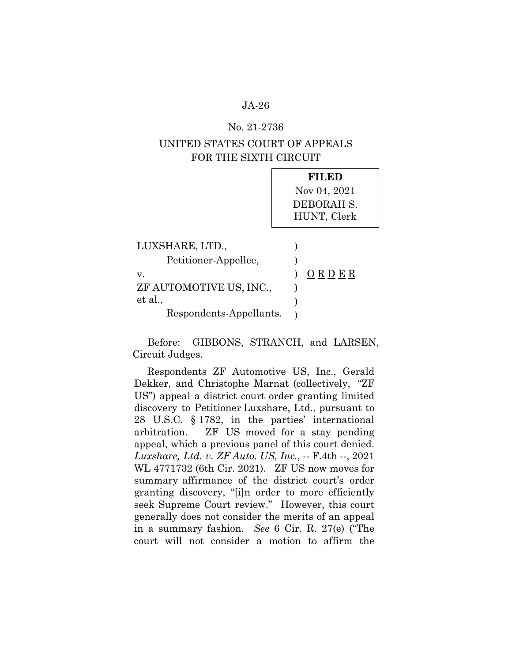#### No. 21-2736

# UNITED STATES COURT OF APPEALS FOR THE SIXTH CIRCUIT

|                                         | FILED<br>Nov 04, 2021<br>DEBORAH S.<br>HUNT, Clerk |
|-----------------------------------------|----------------------------------------------------|
| LUXSHARE, LTD.,<br>Petitioner-Appellee, |                                                    |
| v.<br>ZF AUTOMOTIVE US, INC.,           | ORDER                                              |
| et al.,<br>Respondents-Appellants.      |                                                    |

Before: GIBBONS, STRANCH, and LARSEN, Circuit Judges.

Respondents ZF Automotive US, Inc., Gerald Dekker, and Christophe Marnat (collectively, "ZF US") appeal a district court order granting limited discovery to Petitioner Luxshare, Ltd., pursuant to 28 U.S.C. § 1782, in the parties' international arbitration. ZF US moved for a stay pending appeal, which a previous panel of this court denied. *Luxshare, Ltd. v. ZF Auto. US, Inc.*, -- F.4th --, 2021 WL 4771732 (6th Cir. 2021). ZF US now moves for summary affirmance of the district court's order granting discovery, "[i]n order to more efficiently seek Supreme Court review." However, this court generally does not consider the merits of an appeal in a summary fashion. *See* 6 Cir. R. 27(e) ("The court will not consider a motion to affirm the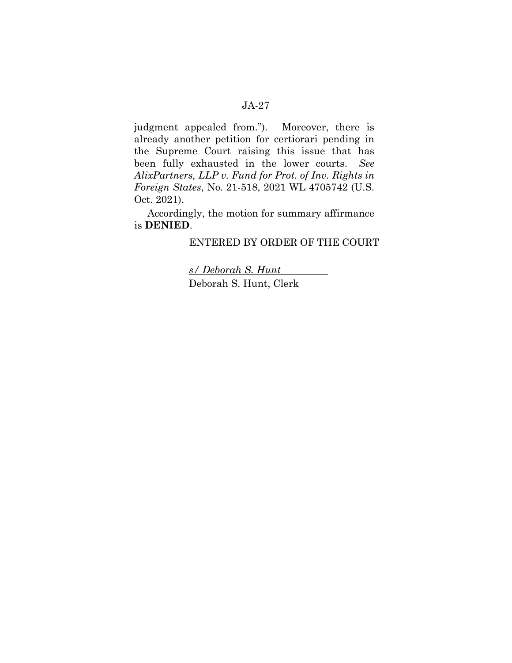judgment appealed from."). Moreover, there is already another petition for certiorari pending in the Supreme Court raising this issue that has been fully exhausted in the lower courts. *See AlixPartners, LLP v. Fund for Prot. of Inv. Rights in Foreign States*, No. 21-518, 2021 WL 4705742 (U.S. Oct. 2021).

Accordingly, the motion for summary affirmance is **DENIED**.

## ENTERED BY ORDER OF THE COURT

*s/ Deborah S. Hunt*  Deborah S. Hunt, Clerk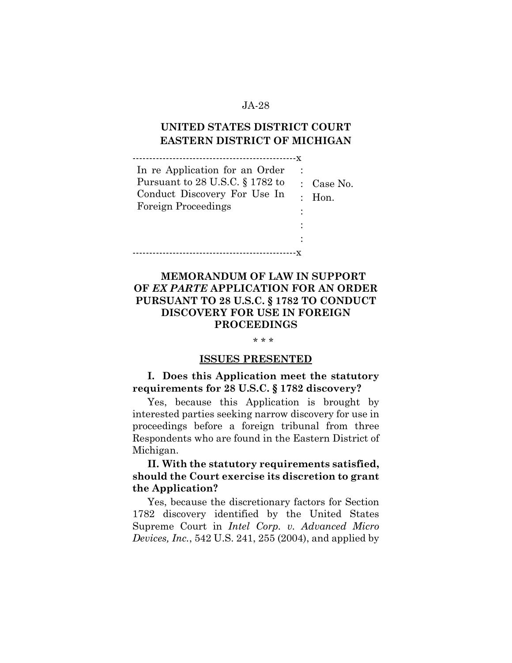# **UNITED STATES DISTRICT COURT EASTERN DISTRICT OF MICHIGAN**

-------------------------------------------------x

| In re Application for an Order     |                       |
|------------------------------------|-----------------------|
| Pursuant to 28 U.S.C. $\S 1782$ to | $\therefore$ Case No. |
| Conduct Discovery For Use In       | Hon.                  |
| <b>Foreign Proceedings</b>         |                       |
|                                    |                       |
|                                    |                       |
|                                    |                       |
|                                    |                       |

# **MEMORANDUM OF LAW IN SUPPORT OF** *EX PARTE* **APPLICATION FOR AN ORDER PURSUANT TO 28 U.S.C. § 1782 TO CONDUCT DISCOVERY FOR USE IN FOREIGN PROCEEDINGS**

#### \* \* \*

#### **ISSUES PRESENTED**

# **I. Does this Application meet the statutory requirements for 28 U.S.C. § 1782 discovery?**

Yes, because this Application is brought by interested parties seeking narrow discovery for use in proceedings before a foreign tribunal from three Respondents who are found in the Eastern District of Michigan.

## **II. With the statutory requirements satisfied, should the Court exercise its discretion to grant the Application?**

Yes, because the discretionary factors for Section 1782 discovery identified by the United States Supreme Court in *Intel Corp. v. Advanced Micro Devices, Inc.*, 542 U.S. 241, 255 (2004), and applied by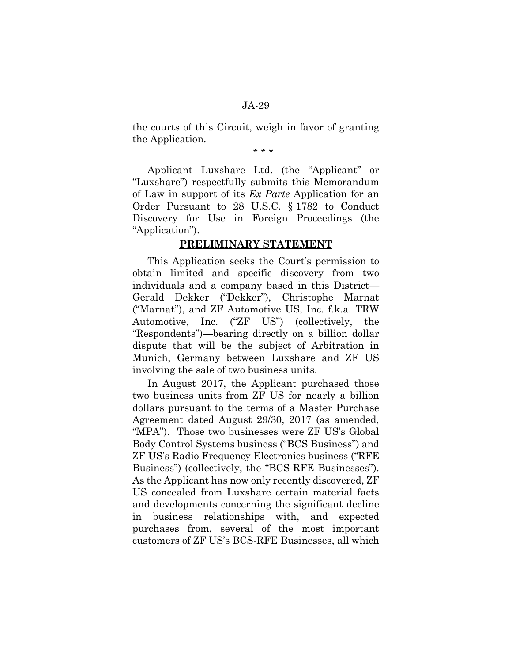the courts of this Circuit, weigh in favor of granting the Application.

\* \* \*

Applicant Luxshare Ltd. (the "Applicant" or "Luxshare") respectfully submits this Memorandum of Law in support of its *Ex Parte* Application for an Order Pursuant to 28 U.S.C. § 1782 to Conduct Discovery for Use in Foreign Proceedings (the "Application").

## **PRELIMINARY STATEMENT**

This Application seeks the Court's permission to obtain limited and specific discovery from two individuals and a company based in this District— Gerald Dekker ("Dekker"), Christophe Marnat ("Marnat"), and ZF Automotive US, Inc. f.k.a. TRW Automotive, Inc. ("ZF US") (collectively, the "Respondents")—bearing directly on a billion dollar dispute that will be the subject of Arbitration in Munich, Germany between Luxshare and ZF US involving the sale of two business units.

In August 2017, the Applicant purchased those two business units from ZF US for nearly a billion dollars pursuant to the terms of a Master Purchase Agreement dated August 29/30, 2017 (as amended, "MPA"). Those two businesses were ZF US's Global Body Control Systems business ("BCS Business") and ZF US's Radio Frequency Electronics business ("RFE Business") (collectively, the "BCS-RFE Businesses"). As the Applicant has now only recently discovered, ZF US concealed from Luxshare certain material facts and developments concerning the significant decline in business relationships with, and expected purchases from, several of the most important customers of ZF US's BCS-RFE Businesses, all which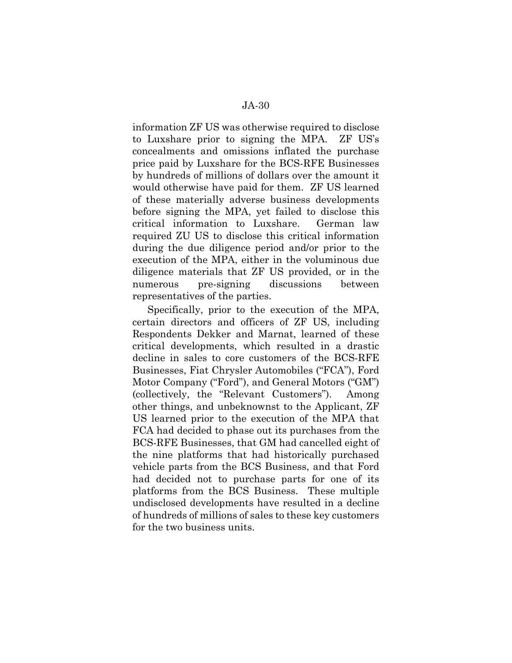information ZF US was otherwise required to disclose to Luxshare prior to signing the MPA. ZF US's concealments and omissions inflated the purchase price paid by Luxshare for the BCS-RFE Businesses by hundreds of millions of dollars over the amount it would otherwise have paid for them. ZF US learned of these materially adverse business developments before signing the MPA, yet failed to disclose this critical information to Luxshare. German law required ZU US to disclose this critical information during the due diligence period and/or prior to the execution of the MPA, either in the voluminous due diligence materials that ZF US provided, or in the numerous pre-signing discussions between representatives of the parties.

Specifically, prior to the execution of the MPA, certain directors and officers of ZF US, including Respondents Dekker and Marnat, learned of these critical developments, which resulted in a drastic decline in sales to core customers of the BCS-RFE Businesses, Fiat Chrysler Automobiles ("FCA"), Ford Motor Company ("Ford"), and General Motors ("GM") (collectively, the "Relevant Customers"). Among other things, and unbeknownst to the Applicant, ZF US learned prior to the execution of the MPA that FCA had decided to phase out its purchases from the BCS-RFE Businesses, that GM had cancelled eight of the nine platforms that had historically purchased vehicle parts from the BCS Business, and that Ford had decided not to purchase parts for one of its platforms from the BCS Business. These multiple undisclosed developments have resulted in a decline of hundreds of millions of sales to these key customers for the two business units.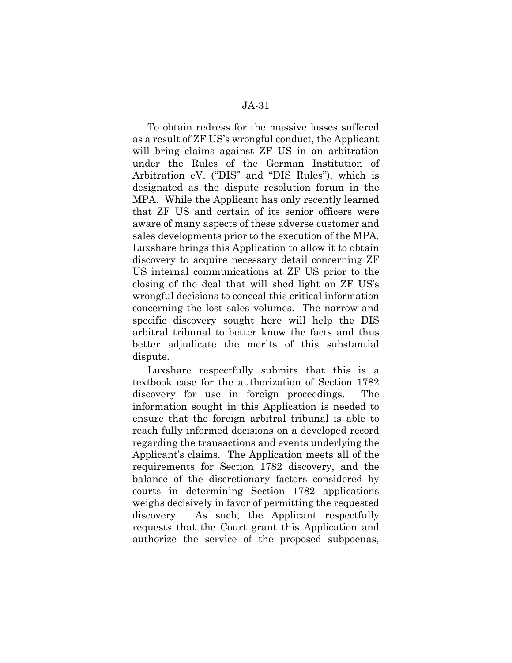To obtain redress for the massive losses suffered as a result of ZF US's wrongful conduct, the Applicant will bring claims against ZF US in an arbitration under the Rules of the German Institution of Arbitration eV. ("DIS" and "DIS Rules"), which is designated as the dispute resolution forum in the MPA. While the Applicant has only recently learned that ZF US and certain of its senior officers were aware of many aspects of these adverse customer and sales developments prior to the execution of the MPA, Luxshare brings this Application to allow it to obtain discovery to acquire necessary detail concerning ZF US internal communications at ZF US prior to the closing of the deal that will shed light on ZF US's wrongful decisions to conceal this critical information concerning the lost sales volumes. The narrow and specific discovery sought here will help the DIS arbitral tribunal to better know the facts and thus better adjudicate the merits of this substantial dispute.

Luxshare respectfully submits that this is a textbook case for the authorization of Section 1782 discovery for use in foreign proceedings. The information sought in this Application is needed to ensure that the foreign arbitral tribunal is able to reach fully informed decisions on a developed record regarding the transactions and events underlying the Applicant's claims. The Application meets all of the requirements for Section 1782 discovery, and the balance of the discretionary factors considered by courts in determining Section 1782 applications weighs decisively in favor of permitting the requested discovery. As such, the Applicant respectfully requests that the Court grant this Application and authorize the service of the proposed subpoenas,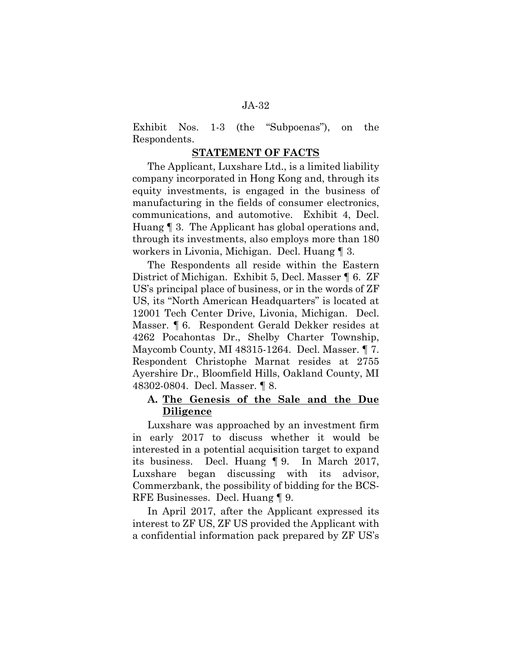Exhibit Nos. 1-3 (the "Subpoenas"), on the Respondents.

#### **STATEMENT OF FACTS**

The Applicant, Luxshare Ltd., is a limited liability company incorporated in Hong Kong and, through its equity investments, is engaged in the business of manufacturing in the fields of consumer electronics, communications, and automotive. Exhibit 4, Decl. Huang ¶ 3. The Applicant has global operations and, through its investments, also employs more than 180 workers in Livonia, Michigan. Decl. Huang ¶ 3.

The Respondents all reside within the Eastern District of Michigan. Exhibit 5, Decl. Masser ¶ 6. ZF US's principal place of business, or in the words of ZF US, its "North American Headquarters" is located at 12001 Tech Center Drive, Livonia, Michigan. Decl. Masser. ¶ 6. Respondent Gerald Dekker resides at 4262 Pocahontas Dr., Shelby Charter Township, Maycomb County, MI 48315-1264. Decl. Masser. ¶ 7. Respondent Christophe Marnat resides at 2755 Ayershire Dr., Bloomfield Hills, Oakland County, MI 48302-0804. Decl. Masser. ¶ 8.

## **A. The Genesis of the Sale and the Due Diligence**

Luxshare was approached by an investment firm in early 2017 to discuss whether it would be interested in a potential acquisition target to expand its business. Decl. Huang ¶ 9. In March 2017, Luxshare began discussing with its advisor, Commerzbank, the possibility of bidding for the BCS-RFE Businesses. Decl. Huang ¶ 9.

In April 2017, after the Applicant expressed its interest to ZF US, ZF US provided the Applicant with a confidential information pack prepared by ZF US's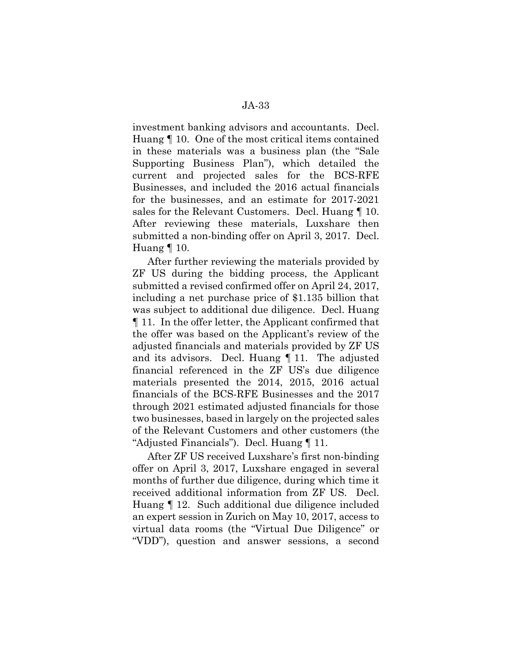investment banking advisors and accountants. Decl. Huang ¶ 10. One of the most critical items contained in these materials was a business plan (the "Sale Supporting Business Plan"), which detailed the current and projected sales for the BCS-RFE Businesses, and included the 2016 actual financials for the businesses, and an estimate for 2017-2021 sales for the Relevant Customers. Decl. Huang  $\P$  10. After reviewing these materials, Luxshare then submitted a non-binding offer on April 3, 2017. Decl. Huang ¶ 10.

After further reviewing the materials provided by ZF US during the bidding process, the Applicant submitted a revised confirmed offer on April 24, 2017, including a net purchase price of \$1.135 billion that was subject to additional due diligence. Decl. Huang ¶ 11. In the offer letter, the Applicant confirmed that the offer was based on the Applicant's review of the adjusted financials and materials provided by ZF US and its advisors. Decl. Huang ¶ 11. The adjusted financial referenced in the ZF US's due diligence materials presented the 2014, 2015, 2016 actual financials of the BCS-RFE Businesses and the 2017 through 2021 estimated adjusted financials for those two businesses, based in largely on the projected sales of the Relevant Customers and other customers (the "Adjusted Financials"). Decl. Huang ¶ 11.

After ZF US received Luxshare's first non-binding offer on April 3, 2017, Luxshare engaged in several months of further due diligence, during which time it received additional information from ZF US. Decl. Huang ¶ 12. Such additional due diligence included an expert session in Zurich on May 10, 2017, access to virtual data rooms (the "Virtual Due Diligence" or "VDD"), question and answer sessions, a second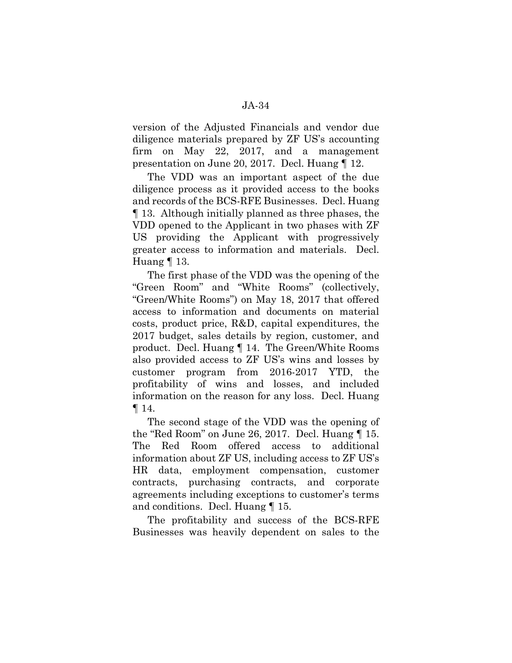version of the Adjusted Financials and vendor due diligence materials prepared by ZF US's accounting firm on May 22, 2017, and a management presentation on June 20, 2017. Decl. Huang ¶ 12.

The VDD was an important aspect of the due diligence process as it provided access to the books and records of the BCS-RFE Businesses. Decl. Huang ¶ 13. Although initially planned as three phases, the VDD opened to the Applicant in two phases with ZF US providing the Applicant with progressively greater access to information and materials. Decl. Huang ¶ 13.

The first phase of the VDD was the opening of the "Green Room" and "White Rooms" (collectively, "Green/White Rooms") on May 18, 2017 that offered access to information and documents on material costs, product price, R&D, capital expenditures, the 2017 budget, sales details by region, customer, and product. Decl. Huang ¶ 14. The Green/White Rooms also provided access to ZF US's wins and losses by customer program from 2016-2017 YTD, the profitability of wins and losses, and included information on the reason for any loss. Decl. Huang  $\P$  14.

The second stage of the VDD was the opening of the "Red Room" on June 26, 2017. Decl. Huang ¶ 15. The Red Room offered access to additional information about ZF US, including access to ZF US's HR data, employment compensation, customer contracts, purchasing contracts, and corporate agreements including exceptions to customer's terms and conditions. Decl. Huang ¶ 15.

The profitability and success of the BCS-RFE Businesses was heavily dependent on sales to the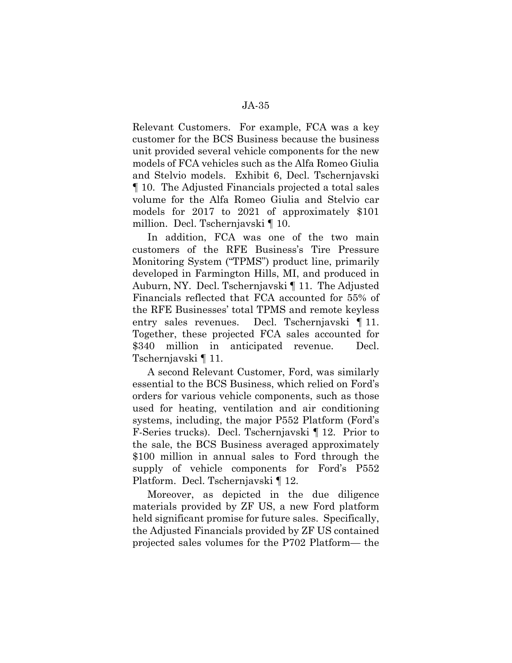Relevant Customers. For example, FCA was a key customer for the BCS Business because the business unit provided several vehicle components for the new models of FCA vehicles such as the Alfa Romeo Giulia and Stelvio models. Exhibit 6, Decl. Tschernjavski ¶ 10. The Adjusted Financials projected a total sales volume for the Alfa Romeo Giulia and Stelvio car models for 2017 to 2021 of approximately \$101 million. Decl. Tschernjavski ¶ 10.

In addition, FCA was one of the two main customers of the RFE Business's Tire Pressure Monitoring System ("TPMS") product line, primarily developed in Farmington Hills, MI, and produced in Auburn, NY. Decl. Tschernjavski ¶ 11. The Adjusted Financials reflected that FCA accounted for 55% of the RFE Businesses' total TPMS and remote keyless entry sales revenues. Decl. Tschernjavski ¶ 11. Together, these projected FCA sales accounted for \$340 million in anticipated revenue. Decl. Tschernjavski ¶ 11.

A second Relevant Customer, Ford, was similarly essential to the BCS Business, which relied on Ford's orders for various vehicle components, such as those used for heating, ventilation and air conditioning systems, including, the major P552 Platform (Ford's F-Series trucks). Decl. Tschernjavski ¶ 12. Prior to the sale, the BCS Business averaged approximately \$100 million in annual sales to Ford through the supply of vehicle components for Ford's P552 Platform. Decl. Tschernjavski ¶ 12.

Moreover, as depicted in the due diligence materials provided by ZF US, a new Ford platform held significant promise for future sales. Specifically, the Adjusted Financials provided by ZF US contained projected sales volumes for the P702 Platform— the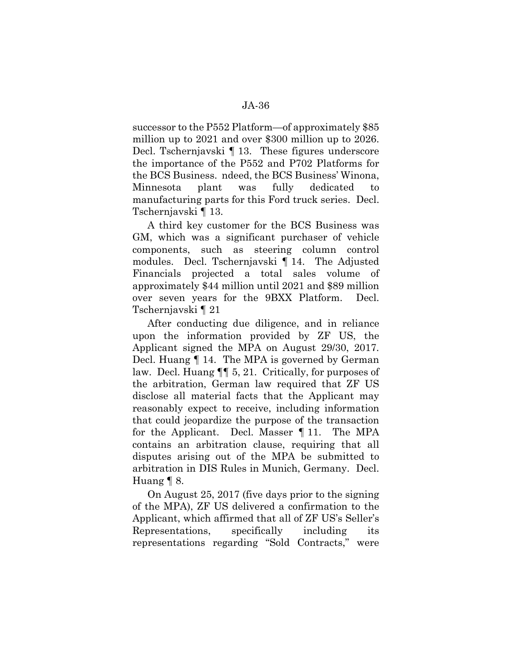successor to the P552 Platform—of approximately \$85 million up to 2021 and over \$300 million up to 2026. Decl. Tschernjavski ¶ 13. These figures underscore the importance of the P552 and P702 Platforms for the BCS Business. ndeed, the BCS Business' Winona, Minnesota plant was fully dedicated manufacturing parts for this Ford truck series. Decl. Tschernjavski ¶ 13.

A third key customer for the BCS Business was GM, which was a significant purchaser of vehicle components, such as steering column control modules. Decl. Tschernjavski ¶ 14. The Adjusted Financials projected a total sales volume of approximately \$44 million until 2021 and \$89 million over seven years for the 9BXX Platform. Decl. Tschernjavski ¶ 21

After conducting due diligence, and in reliance upon the information provided by ZF US, the Applicant signed the MPA on August 29/30, 2017. Decl. Huang ¶ 14. The MPA is governed by German law. Decl. Huang ¶¶ 5, 21. Critically, for purposes of the arbitration, German law required that ZF US disclose all material facts that the Applicant may reasonably expect to receive, including information that could jeopardize the purpose of the transaction for the Applicant. Decl. Masser ¶ 11. The MPA contains an arbitration clause, requiring that all disputes arising out of the MPA be submitted to arbitration in DIS Rules in Munich, Germany. Decl. Huang ¶ 8.

On August 25, 2017 (five days prior to the signing of the MPA), ZF US delivered a confirmation to the Applicant, which affirmed that all of ZF US's Seller's Representations, specifically including its representations regarding "Sold Contracts," were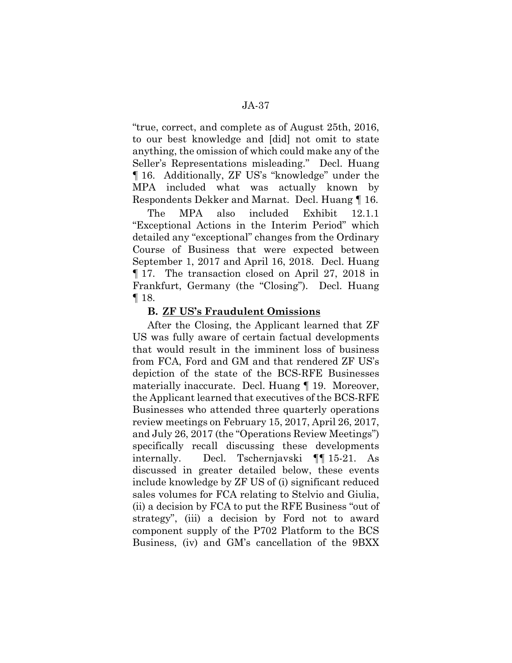"true, correct, and complete as of August 25th, 2016, to our best knowledge and [did] not omit to state anything, the omission of which could make any of the Seller's Representations misleading." Decl. Huang ¶ 16. Additionally, ZF US's "knowledge" under the MPA included what was actually known by Respondents Dekker and Marnat. Decl. Huang ¶ 16.

The MPA also included Exhibit 12.1.1 "Exceptional Actions in the Interim Period" which detailed any "exceptional" changes from the Ordinary Course of Business that were expected between September 1, 2017 and April 16, 2018. Decl. Huang ¶ 17. The transaction closed on April 27, 2018 in Frankfurt, Germany (the "Closing"). Decl. Huang ¶ 18.

### **B. ZF US's Fraudulent Omissions**

After the Closing, the Applicant learned that ZF US was fully aware of certain factual developments that would result in the imminent loss of business from FCA, Ford and GM and that rendered ZF US's depiction of the state of the BCS-RFE Businesses materially inaccurate. Decl. Huang ¶ 19. Moreover, the Applicant learned that executives of the BCS-RFE Businesses who attended three quarterly operations review meetings on February 15, 2017, April 26, 2017, and July 26, 2017 (the "Operations Review Meetings") specifically recall discussing these developments internally. Decl. Tschernjavski ¶¶ 15-21. As discussed in greater detailed below, these events include knowledge by ZF US of (i) significant reduced sales volumes for FCA relating to Stelvio and Giulia, (ii) a decision by FCA to put the RFE Business "out of strategy", (iii) a decision by Ford not to award component supply of the P702 Platform to the BCS Business, (iv) and GM's cancellation of the 9BXX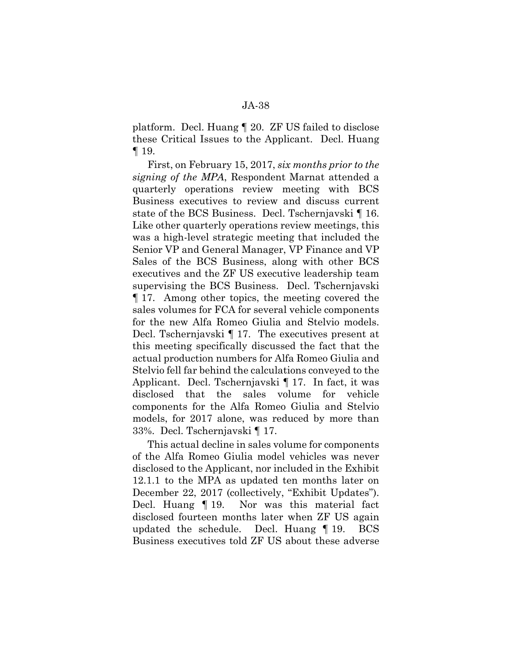platform. Decl. Huang ¶ 20. ZF US failed to disclose these Critical Issues to the Applicant. Decl. Huang ¶ 19.

First, on February 15, 2017, *six months prior to the signing of the MPA*, Respondent Marnat attended a quarterly operations review meeting with BCS Business executives to review and discuss current state of the BCS Business. Decl. Tschernjavski ¶ 16. Like other quarterly operations review meetings, this was a high-level strategic meeting that included the Senior VP and General Manager, VP Finance and VP Sales of the BCS Business, along with other BCS executives and the ZF US executive leadership team supervising the BCS Business. Decl. Tschernjavski ¶ 17. Among other topics, the meeting covered the sales volumes for FCA for several vehicle components for the new Alfa Romeo Giulia and Stelvio models. Decl. Tschernjavski ¶ 17. The executives present at this meeting specifically discussed the fact that the actual production numbers for Alfa Romeo Giulia and Stelvio fell far behind the calculations conveyed to the Applicant. Decl. Tschernjavski ¶ 17. In fact, it was disclosed that the sales volume for vehicle components for the Alfa Romeo Giulia and Stelvio models, for 2017 alone, was reduced by more than 33%. Decl. Tschernjavski ¶ 17.

This actual decline in sales volume for components of the Alfa Romeo Giulia model vehicles was never disclosed to the Applicant, nor included in the Exhibit 12.1.1 to the MPA as updated ten months later on December 22, 2017 (collectively, "Exhibit Updates"). Decl. Huang ¶ 19. Nor was this material fact disclosed fourteen months later when ZF US again updated the schedule. Decl. Huang ¶ 19. BCS Business executives told ZF US about these adverse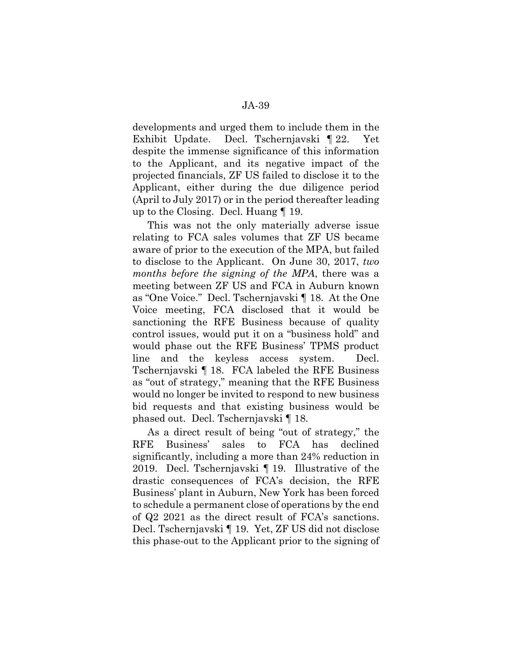developments and urged them to include them in the Exhibit Update. Decl. Tschernjavski ¶ 22. Yet despite the immense significance of this information to the Applicant, and its negative impact of the projected financials, ZF US failed to disclose it to the Applicant, either during the due diligence period (April to July 2017) or in the period thereafter leading up to the Closing. Decl. Huang ¶ 19.

This was not the only materially adverse issue relating to FCA sales volumes that ZF US became aware of prior to the execution of the MPA, but failed to disclose to the Applicant. On June 30, 2017, *two months before the signing of the MPA*, there was a meeting between ZF US and FCA in Auburn known as "One Voice." Decl. Tschernjavski ¶ 18. At the One Voice meeting, FCA disclosed that it would be sanctioning the RFE Business because of quality control issues, would put it on a "business hold" and would phase out the RFE Business' TPMS product line and the keyless access system. Decl. Tschernjavski ¶ 18. FCA labeled the RFE Business as "out of strategy," meaning that the RFE Business would no longer be invited to respond to new business bid requests and that existing business would be phased out. Decl. Tschernjavski ¶ 18.

As a direct result of being "out of strategy," the RFE Business' sales to FCA has declined significantly, including a more than 24% reduction in 2019. Decl. Tschernjavski ¶ 19. Illustrative of the drastic consequences of FCA's decision, the RFE Business' plant in Auburn, New York has been forced to schedule a permanent close of operations by the end of Q2 2021 as the direct result of FCA's sanctions. Decl. Tschernjavski ¶ 19. Yet, ZF US did not disclose this phase-out to the Applicant prior to the signing of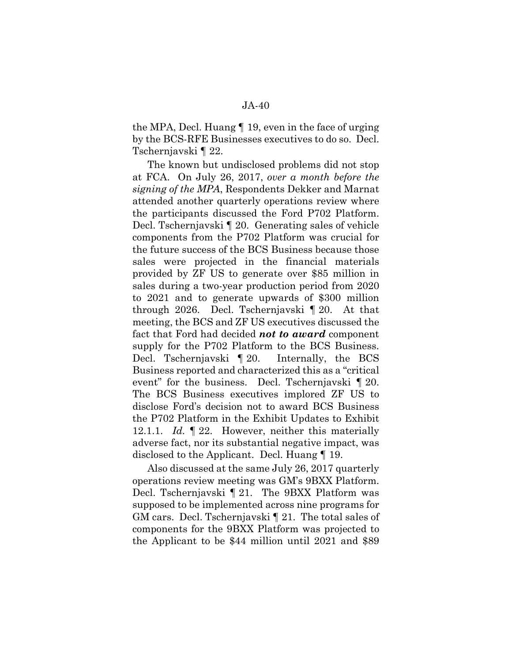the MPA, Decl. Huang ¶ 19, even in the face of urging by the BCS-RFE Businesses executives to do so. Decl. Tschernjavski ¶ 22.

The known but undisclosed problems did not stop at FCA. On July 26, 2017, *over a month before the signing of the MPA*, Respondents Dekker and Marnat attended another quarterly operations review where the participants discussed the Ford P702 Platform. Decl. Tschernjavski ¶ 20. Generating sales of vehicle components from the P702 Platform was crucial for the future success of the BCS Business because those sales were projected in the financial materials provided by ZF US to generate over \$85 million in sales during a two-year production period from 2020 to 2021 and to generate upwards of \$300 million through 2026. Decl. Tschernjavski ¶ 20. At that meeting, the BCS and ZF US executives discussed the fact that Ford had decided *not to award* component supply for the P702 Platform to the BCS Business. Decl. Tschernjavski ¶ 20. Internally, the BCS Business reported and characterized this as a "critical event" for the business. Decl. Tschernjavski *¶* 20. The BCS Business executives implored ZF US to disclose Ford's decision not to award BCS Business the P702 Platform in the Exhibit Updates to Exhibit 12.1.1. *Id.* ¶ 22. However, neither this materially adverse fact, nor its substantial negative impact, was disclosed to the Applicant. Decl. Huang ¶ 19.

Also discussed at the same July 26, 2017 quarterly operations review meeting was GM's 9BXX Platform. Decl. Tschernjavski ¶ 21. The 9BXX Platform was supposed to be implemented across nine programs for GM cars. Decl. Tschernjavski ¶ 21. The total sales of components for the 9BXX Platform was projected to the Applicant to be \$44 million until 2021 and \$89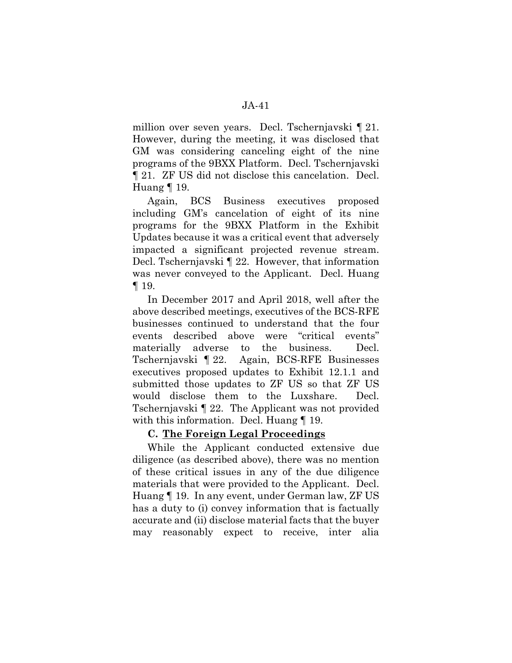million over seven years. Decl. Tschernjavski ¶ 21. However, during the meeting, it was disclosed that GM was considering canceling eight of the nine programs of the 9BXX Platform. Decl. Tschernjavski ¶ 21. ZF US did not disclose this cancelation. Decl. Huang ¶ 19.

Again, BCS Business executives proposed including GM's cancelation of eight of its nine programs for the 9BXX Platform in the Exhibit Updates because it was a critical event that adversely impacted a significant projected revenue stream. Decl. Tschernjavski ¶ 22. However, that information was never conveyed to the Applicant. Decl. Huang ¶ 19.

In December 2017 and April 2018, well after the above described meetings, executives of the BCS-RFE businesses continued to understand that the four events described above were "critical events" materially adverse to the business. Decl. Tschernjavski ¶ 22. Again, BCS-RFE Businesses executives proposed updates to Exhibit 12.1.1 and submitted those updates to ZF US so that ZF US would disclose them to the Luxshare. Decl. Tschernjavski ¶ 22. The Applicant was not provided with this information. Decl. Huang [19.]

# **C. The Foreign Legal Proceedings**

While the Applicant conducted extensive due diligence (as described above), there was no mention of these critical issues in any of the due diligence materials that were provided to the Applicant. Decl. Huang ¶ 19. In any event, under German law, ZF US has a duty to (i) convey information that is factually accurate and (ii) disclose material facts that the buyer may reasonably expect to receive, inter alia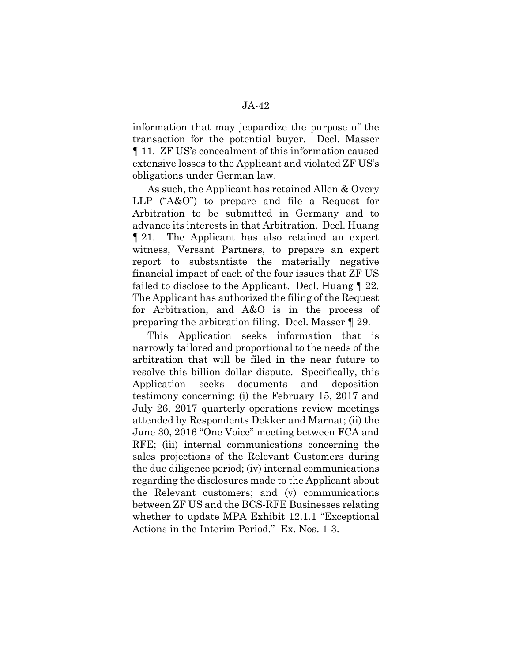information that may jeopardize the purpose of the transaction for the potential buyer. Decl. Masser ¶ 11. ZF US's concealment of this information caused extensive losses to the Applicant and violated ZF US's obligations under German law.

As such, the Applicant has retained Allen & Overy LLP ("A&O") to prepare and file a Request for Arbitration to be submitted in Germany and to advance its interests in that Arbitration. Decl. Huang ¶ 21. The Applicant has also retained an expert witness, Versant Partners, to prepare an expert report to substantiate the materially negative financial impact of each of the four issues that ZF US failed to disclose to the Applicant. Decl. Huang ¶ 22. The Applicant has authorized the filing of the Request for Arbitration, and A&O is in the process of preparing the arbitration filing. Decl. Masser ¶ 29.

This Application seeks information that is narrowly tailored and proportional to the needs of the arbitration that will be filed in the near future to resolve this billion dollar dispute. Specifically, this Application seeks documents and deposition testimony concerning: (i) the February 15, 2017 and July 26, 2017 quarterly operations review meetings attended by Respondents Dekker and Marnat; (ii) the June 30, 2016 "One Voice" meeting between FCA and RFE; (iii) internal communications concerning the sales projections of the Relevant Customers during the due diligence period; (iv) internal communications regarding the disclosures made to the Applicant about the Relevant customers; and (v) communications between ZF US and the BCS-RFE Businesses relating whether to update MPA Exhibit 12.1.1 "Exceptional Actions in the Interim Period." Ex. Nos. 1-3.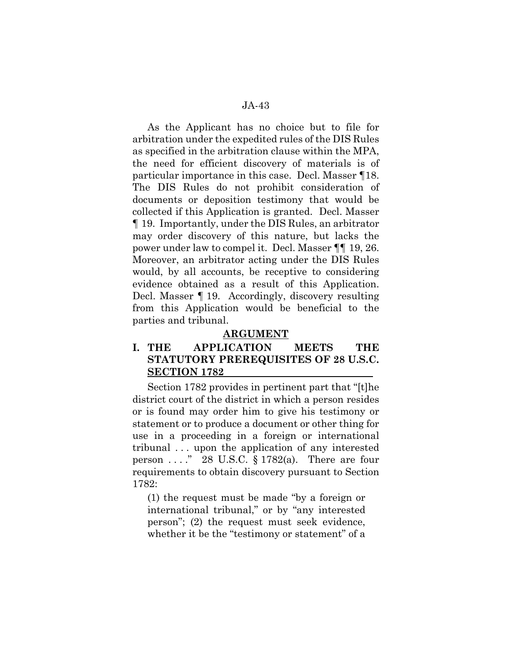As the Applicant has no choice but to file for arbitration under the expedited rules of the DIS Rules as specified in the arbitration clause within the MPA, the need for efficient discovery of materials is of particular importance in this case. Decl. Masser ¶18. The DIS Rules do not prohibit consideration of documents or deposition testimony that would be collected if this Application is granted. Decl. Masser ¶ 19. Importantly, under the DIS Rules, an arbitrator may order discovery of this nature, but lacks the power under law to compel it. Decl. Masser ¶¶ 19, 26. Moreover, an arbitrator acting under the DIS Rules would, by all accounts, be receptive to considering evidence obtained as a result of this Application. Decl. Masser ¶ 19. Accordingly, discovery resulting from this Application would be beneficial to the parties and tribunal.

### **ARGUMENT**

# **I. THE APPLICATION MEETS THE STATUTORY PREREQUISITES OF 28 U.S.C. SECTION 1782**

Section 1782 provides in pertinent part that "[t]he district court of the district in which a person resides or is found may order him to give his testimony or statement or to produce a document or other thing for use in a proceeding in a foreign or international tribunal . . . upon the application of any interested person  $\dots$  ." 28 U.S.C. § 1782(a). There are four requirements to obtain discovery pursuant to Section 1782:

(1) the request must be made "by a foreign or international tribunal," or by "any interested person"; (2) the request must seek evidence, whether it be the "testimony or statement" of a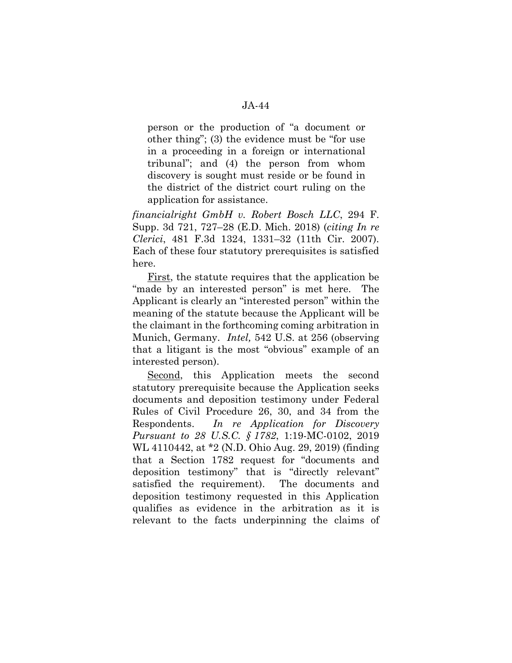person or the production of "a document or other thing"; (3) the evidence must be "for use in a proceeding in a foreign or international tribunal"; and (4) the person from whom discovery is sought must reside or be found in the district of the district court ruling on the application for assistance.

*financialright GmbH v. Robert Bosch LLC*, 294 F. Supp. 3d 721, 727–28 (E.D. Mich. 2018) (*citing In re Clerici*, 481 F.3d 1324, 1331–32 (11th Cir. 2007). Each of these four statutory prerequisites is satisfied here.

First, the statute requires that the application be "made by an interested person" is met here. The Applicant is clearly an "interested person" within the meaning of the statute because the Applicant will be the claimant in the forthcoming coming arbitration in Munich, Germany. *Intel,* 542 U.S. at 256 (observing that a litigant is the most "obvious" example of an interested person).

Second, this Application meets the second statutory prerequisite because the Application seeks documents and deposition testimony under Federal Rules of Civil Procedure 26, 30, and 34 from the Respondents. *In re Application for Discovery Pursuant to 28 U.S.C. § 1782*, 1:19-MC-0102, 2019 WL 4110442, at \*2 (N.D. Ohio Aug. 29, 2019) (finding that a Section 1782 request for "documents and deposition testimony" that is "directly relevant" satisfied the requirement). The documents and deposition testimony requested in this Application qualifies as evidence in the arbitration as it is relevant to the facts underpinning the claims of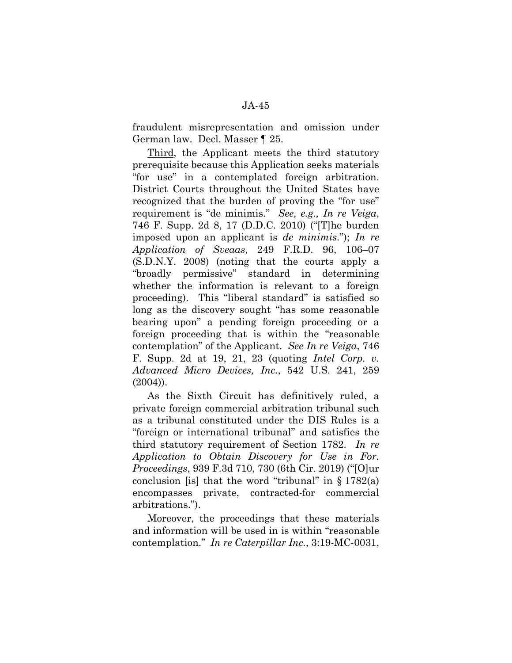fraudulent misrepresentation and omission under German law. Decl. Masser ¶ 25.

Third, the Applicant meets the third statutory prerequisite because this Application seeks materials "for use" in a contemplated foreign arbitration. District Courts throughout the United States have recognized that the burden of proving the "for use" requirement is "de minimis." *See, e.g., In re Veiga*, 746 F. Supp. 2d 8, 17 (D.D.C. 2010) ("[T]he burden imposed upon an applicant is *de minimis*."); *In re Application of Sveaas*, 249 F.R.D. 96, 106–07 (S.D.N.Y. 2008) (noting that the courts apply a "broadly permissive" standard in determining whether the information is relevant to a foreign proceeding). This "liberal standard" is satisfied so long as the discovery sought "has some reasonable bearing upon" a pending foreign proceeding or a foreign proceeding that is within the "reasonable contemplation" of the Applicant. *See In re Veiga*, 746 F. Supp. 2d at 19, 21, 23 (quoting *Intel Corp. v. Advanced Micro Devices, Inc.*, 542 U.S. 241, 259 (2004)).

As the Sixth Circuit has definitively ruled, a private foreign commercial arbitration tribunal such as a tribunal constituted under the DIS Rules is a "foreign or international tribunal" and satisfies the third statutory requirement of Section 1782. *In re Application to Obtain Discovery for Use in For. Proceedings*, 939 F.3d 710, 730 (6th Cir. 2019) ("[O]ur conclusion [is] that the word "tribunal" in  $\S 1782(a)$ encompasses private, contracted-for commercial arbitrations.").

Moreover, the proceedings that these materials and information will be used in is within "reasonable contemplation." *In re Caterpillar Inc.*, 3:19-MC-0031,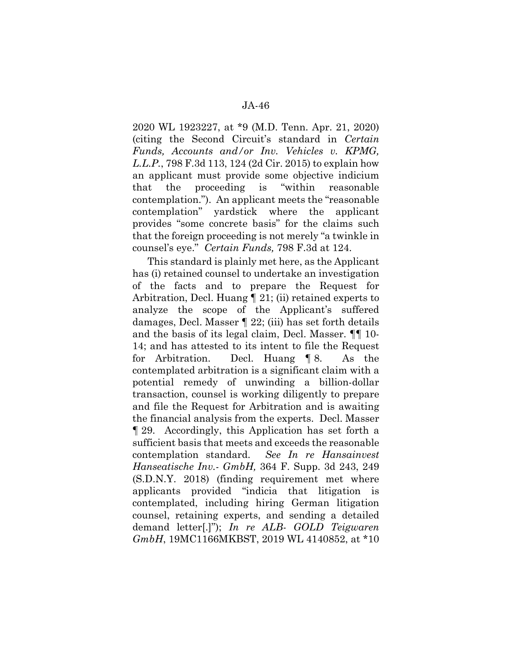2020 WL 1923227, at \*9 (M.D. Tenn. Apr. 21, 2020) (citing the Second Circuit's standard in *Certain Funds, Accounts and/or Inv. Vehicles v. KPMG, L.L.P.*, 798 F.3d 113, 124 (2d Cir. 2015) to explain how an applicant must provide some objective indicium that the proceeding is "within reasonable contemplation."). An applicant meets the "reasonable contemplation" yardstick where the applicant provides "some concrete basis" for the claims such that the foreign proceeding is not merely "a twinkle in counsel's eye." *Certain Funds,* 798 F.3d at 124.

This standard is plainly met here, as the Applicant has (i) retained counsel to undertake an investigation of the facts and to prepare the Request for Arbitration, Decl. Huang ¶ 21; (ii) retained experts to analyze the scope of the Applicant's suffered damages, Decl. Masser ¶ 22; (iii) has set forth details and the basis of its legal claim, Decl. Masser. ¶¶ 10- 14; and has attested to its intent to file the Request for Arbitration. Decl. Huang ¶ 8. As the contemplated arbitration is a significant claim with a potential remedy of unwinding a billion-dollar transaction, counsel is working diligently to prepare and file the Request for Arbitration and is awaiting the financial analysis from the experts. Decl. Masser ¶ 29. Accordingly, this Application has set forth a sufficient basis that meets and exceeds the reasonable contemplation standard. *See In re Hansainvest Hanseatische Inv.- GmbH,* 364 F. Supp. 3d 243, 249 (S.D.N.Y. 2018) (finding requirement met where applicants provided "indicia that litigation is contemplated, including hiring German litigation counsel, retaining experts, and sending a detailed demand letter[.]"); *In re ALB- GOLD Teigwaren GmbH*, 19MC1166MKBST, 2019 WL 4140852, at \*10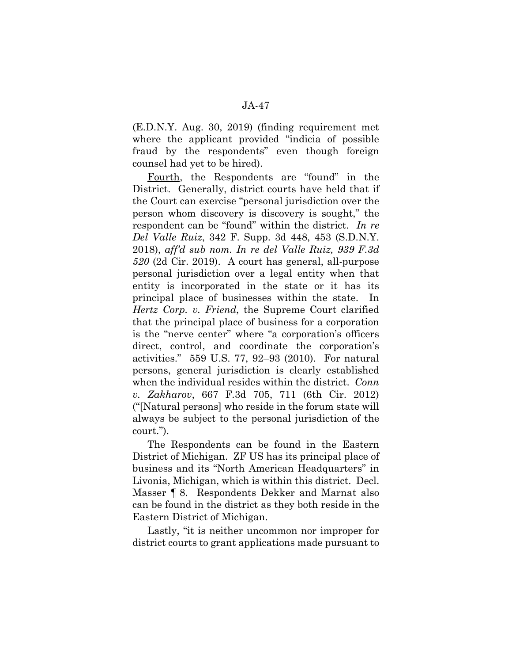(E.D.N.Y. Aug. 30, 2019) (finding requirement met where the applicant provided "indicia of possible fraud by the respondents" even though foreign counsel had yet to be hired).

Fourth, the Respondents are "found" in the District. Generally, district courts have held that if the Court can exercise "personal jurisdiction over the person whom discovery is discovery is sought," the respondent can be "found" within the district. *In re Del Valle Ruiz*, 342 F. Supp. 3d 448, 453 (S.D.N.Y. 2018), *aff'd sub nom. In re del Valle Ruiz, 939 F.3d 520* (2d Cir. 2019). A court has general, all-purpose personal jurisdiction over a legal entity when that entity is incorporated in the state or it has its principal place of businesses within the state. In *Hertz Corp. v. Friend*, the Supreme Court clarified that the principal place of business for a corporation is the "nerve center" where "a corporation's officers direct, control, and coordinate the corporation's activities." 559 U.S. 77, 92–93 (2010). For natural persons, general jurisdiction is clearly established when the individual resides within the district. *Conn v. Zakharov*, 667 F.3d 705, 711 (6th Cir. 2012) ("[Natural persons] who reside in the forum state will always be subject to the personal jurisdiction of the court.").

The Respondents can be found in the Eastern District of Michigan. ZF US has its principal place of business and its "North American Headquarters" in Livonia, Michigan, which is within this district. Decl. Masser ¶ 8. Respondents Dekker and Marnat also can be found in the district as they both reside in the Eastern District of Michigan.

Lastly, "it is neither uncommon nor improper for district courts to grant applications made pursuant to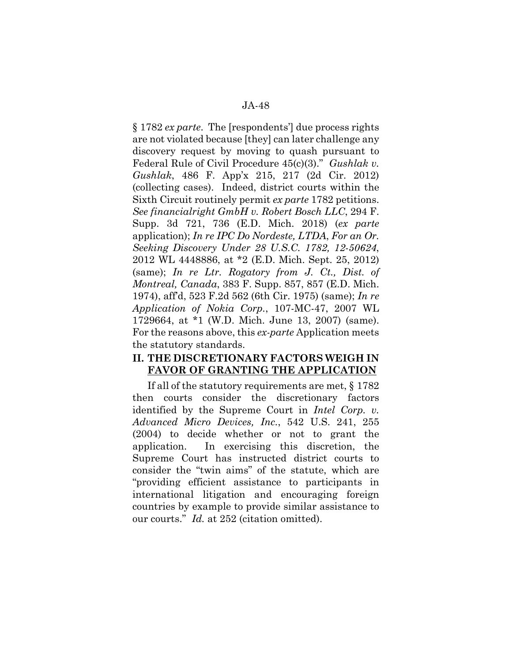§ 1782 *ex parte*. The [respondents'] due process rights are not violated because [they] can later challenge any discovery request by moving to quash pursuant to Federal Rule of Civil Procedure 45(c)(3)." *Gushlak v. Gushlak*, 486 F. App'x 215, 217 (2d Cir. 2012) (collecting cases). Indeed, district courts within the Sixth Circuit routinely permit *ex parte* 1782 petitions. *See financialright GmbH v. Robert Bosch LLC*, 294 F. Supp. 3d 721, 736 (E.D. Mich. 2018) (*ex parte*  application); *In re IPC Do Nordeste, LTDA*, *For an Or. Seeking Discovery Under 28 U.S.C. 1782, 12-50624*, 2012 WL 4448886, at \*2 (E.D. Mich. Sept. 25, 2012) (same); *In re Ltr. Rogatory from J. Ct., Dist. of Montreal, Canada*, 383 F. Supp. 857, 857 (E.D. Mich. 1974), aff'd, 523 F.2d 562 (6th Cir. 1975) (same); *In re Application of Nokia Corp.*, 107-MC-47, 2007 WL 1729664, at \*1 (W.D. Mich. June 13, 2007) (same). For the reasons above, this *ex-parte* Application meets the statutory standards.

#### **II. THE DISCRETIONARY FACTORS WEIGH IN FAVOR OF GRANTING THE APPLICATION**

If all of the statutory requirements are met, § 1782 then courts consider the discretionary factors identified by the Supreme Court in *Intel Corp. v. Advanced Micro Devices, Inc.*, 542 U.S. 241, 255 (2004) to decide whether or not to grant the application. In exercising this discretion, the Supreme Court has instructed district courts to consider the "twin aims" of the statute, which are "providing efficient assistance to participants in international litigation and encouraging foreign countries by example to provide similar assistance to our courts." *Id.* at 252 (citation omitted).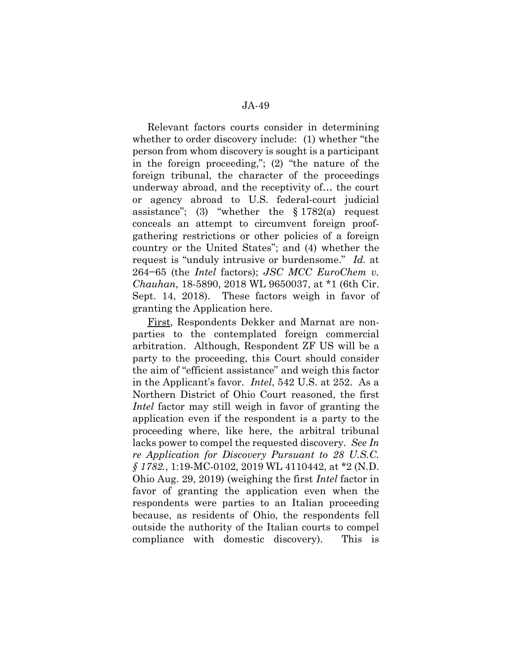Relevant factors courts consider in determining whether to order discovery include: (1) whether "the person from whom discovery is sought is a participant in the foreign proceeding,"; (2) "the nature of the foreign tribunal, the character of the proceedings underway abroad, and the receptivity of… the court or agency abroad to U.S. federal-court judicial assistance"; (3) "whether the  $§ 1782(a)$  request conceals an attempt to circumvent foreign proofgathering restrictions or other policies of a foreign country or the United States"; and (4) whether the request is "unduly intrusive or burdensome." *Id.* at 264−65 (the *Intel* factors); *JSC MCC EuroChem v. Chauhan*, 18-5890, 2018 WL 9650037, at \*1 (6th Cir. Sept. 14, 2018). These factors weigh in favor of granting the Application here.

First, Respondents Dekker and Marnat are nonparties to the contemplated foreign commercial arbitration. Although, Respondent ZF US will be a party to the proceeding, this Court should consider the aim of "efficient assistance" and weigh this factor in the Applicant's favor. *Intel*, 542 U.S. at 252. As a Northern District of Ohio Court reasoned, the first *Intel* factor may still weigh in favor of granting the application even if the respondent is a party to the proceeding where, like here, the arbitral tribunal lacks power to compel the requested discovery. *See In re Application for Discovery Pursuant to 28 U.S.C. § 1782.*, 1:19-MC-0102, 2019 WL 4110442, at \*2 (N.D. Ohio Aug. 29, 2019) (weighing the first *Intel* factor in favor of granting the application even when the respondents were parties to an Italian proceeding because, as residents of Ohio, the respondents fell outside the authority of the Italian courts to compel compliance with domestic discovery). This is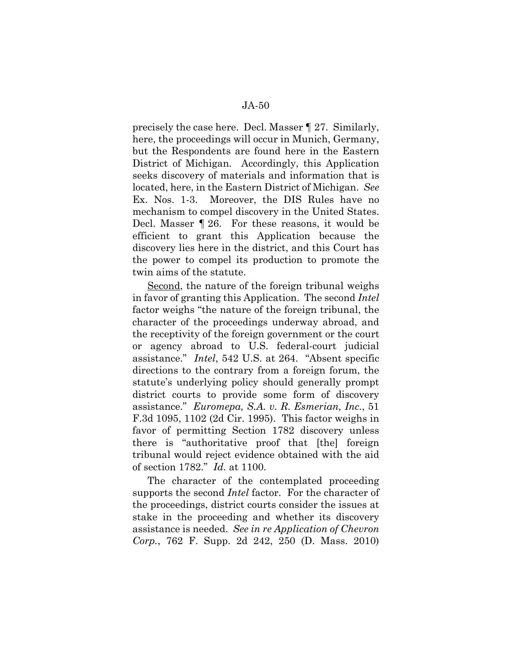precisely the case here. Decl. Masser ¶ 27. Similarly, here, the proceedings will occur in Munich, Germany, but the Respondents are found here in the Eastern District of Michigan. Accordingly, this Application seeks discovery of materials and information that is located, here, in the Eastern District of Michigan. *See*  Ex. Nos. 1-3. Moreover, the DIS Rules have no mechanism to compel discovery in the United States. Decl. Masser ¶ 26. For these reasons, it would be efficient to grant this Application because the discovery lies here in the district, and this Court has the power to compel its production to promote the twin aims of the statute.

Second, the nature of the foreign tribunal weighs in favor of granting this Application. The second *Intel*  factor weighs "the nature of the foreign tribunal, the character of the proceedings underway abroad, and the receptivity of the foreign government or the court or agency abroad to U.S. federal-court judicial assistance." *Intel*, 542 U.S. at 264. "Absent specific directions to the contrary from a foreign forum, the statute's underlying policy should generally prompt district courts to provide some form of discovery assistance." *Euromepa, S.A. v. R. Esmerian, Inc.*, 51 F.3d 1095, 1102 (2d Cir. 1995). This factor weighs in favor of permitting Section 1782 discovery unless there is "authoritative proof that [the] foreign tribunal would reject evidence obtained with the aid of section 1782." *Id.* at 1100.

The character of the contemplated proceeding supports the second *Intel* factor. For the character of the proceedings, district courts consider the issues at stake in the proceeding and whether its discovery assistance is needed. *See in re Application of Chevron Corp.*, 762 F. Supp. 2d 242, 250 (D. Mass. 2010)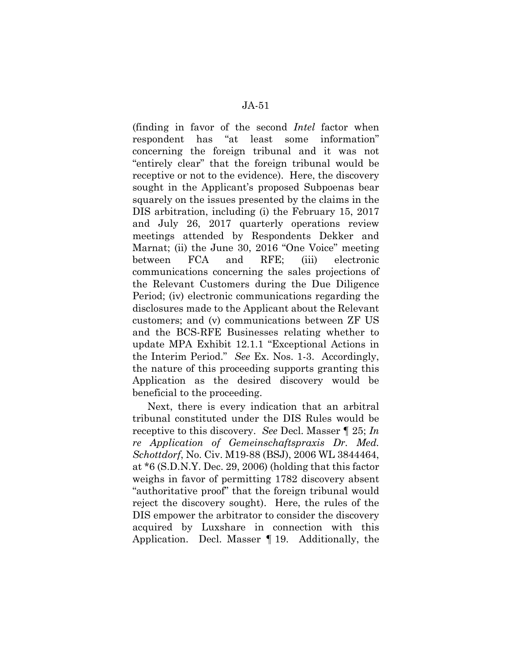(finding in favor of the second *Intel* factor when respondent has "at least some information" concerning the foreign tribunal and it was not "entirely clear" that the foreign tribunal would be receptive or not to the evidence). Here, the discovery sought in the Applicant's proposed Subpoenas bear squarely on the issues presented by the claims in the DIS arbitration, including (i) the February 15, 2017 and July 26, 2017 quarterly operations review meetings attended by Respondents Dekker and Marnat; (ii) the June 30, 2016 "One Voice" meeting between FCA and RFE; (iii) electronic communications concerning the sales projections of the Relevant Customers during the Due Diligence Period; (iv) electronic communications regarding the disclosures made to the Applicant about the Relevant customers; and (v) communications between ZF US and the BCS-RFE Businesses relating whether to update MPA Exhibit 12.1.1 "Exceptional Actions in the Interim Period." *See* Ex. Nos. 1-3. Accordingly, the nature of this proceeding supports granting this Application as the desired discovery would be beneficial to the proceeding.

Next, there is every indication that an arbitral tribunal constituted under the DIS Rules would be receptive to this discovery. *See* Decl. Masser ¶ 25; *In re Application of Gemeinschaftspraxis Dr. Med. Schottdorf*, No. Civ. M19-88 (BSJ), 2006 WL 3844464, at \*6 (S.D.N.Y. Dec. 29, 2006) (holding that this factor weighs in favor of permitting 1782 discovery absent "authoritative proof" that the foreign tribunal would reject the discovery sought). Here, the rules of the DIS empower the arbitrator to consider the discovery acquired by Luxshare in connection with this Application. Decl. Masser ¶ 19. Additionally, the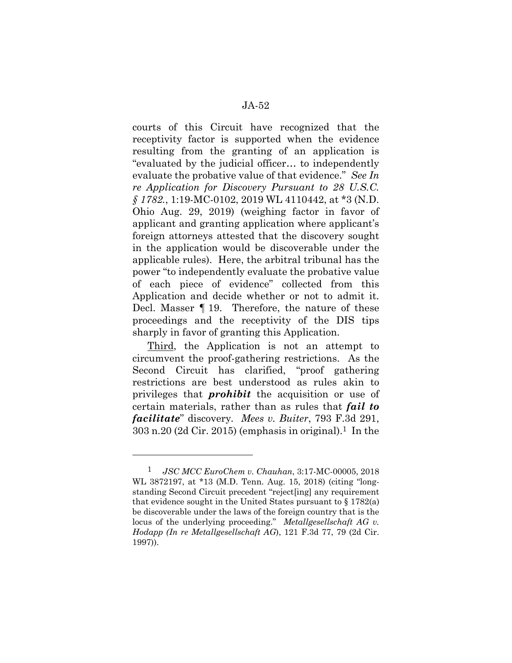courts of this Circuit have recognized that the receptivity factor is supported when the evidence resulting from the granting of an application is "evaluated by the judicial officer… to independently evaluate the probative value of that evidence." *See In re Application for Discovery Pursuant to 28 U.S.C. § 1782.*, 1:19-MC-0102, 2019 WL 4110442, at \*3 (N.D. Ohio Aug. 29, 2019) (weighing factor in favor of applicant and granting application where applicant's foreign attorneys attested that the discovery sought in the application would be discoverable under the applicable rules). Here, the arbitral tribunal has the power "to independently evaluate the probative value of each piece of evidence" collected from this Application and decide whether or not to admit it. Decl. Masser ¶ 19. Therefore, the nature of these proceedings and the receptivity of the DIS tips sharply in favor of granting this Application.

Third, the Application is not an attempt to circumvent the proof-gathering restrictions. As the Second Circuit has clarified, "proof gathering restrictions are best understood as rules akin to privileges that *prohibit* the acquisition or use of certain materials, rather than as rules that *fail to facilitate*" discovery*. Mees v. Buiter*, 793 F.3d 291,  $303$  n.20 (2d Cir. 2015) (emphasis in original).<sup>1</sup> In the

<sup>1</sup> *JSC MCC EuroChem v. Chauhan*, 3:17-MC-00005, 2018 WL 3872197, at \*13 (M.D. Tenn. Aug. 15, 2018) (citing "longstanding Second Circuit precedent "reject[ing] any requirement that evidence sought in the United States pursuant to  $\S 1782(a)$ be discoverable under the laws of the foreign country that is the locus of the underlying proceeding." *Metallgesellschaft AG v. Hodapp (In re Metallgesellschaft AG*), 121 F.3d 77, 79 (2d Cir. 1997)).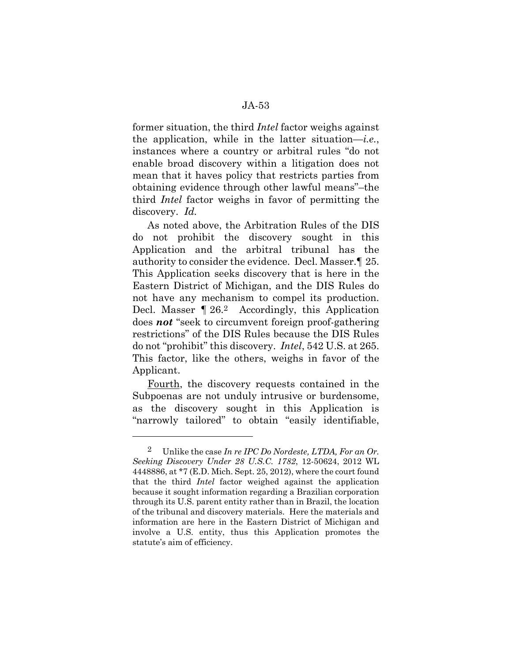former situation, the third *Intel* factor weighs against the application, while in the latter situation—*i.e.*, instances where a country or arbitral rules "do not enable broad discovery within a litigation does not mean that it haves policy that restricts parties from obtaining evidence through other lawful means"–the third *Intel* factor weighs in favor of permitting the discovery. *Id.* 

As noted above, the Arbitration Rules of the DIS do not prohibit the discovery sought in this Application and the arbitral tribunal has the authority to consider the evidence. Decl. Masser.¶ 25. This Application seeks discovery that is here in the Eastern District of Michigan, and the DIS Rules do not have any mechanism to compel its production. Decl. Masser  $\P$  26.<sup>2</sup> Accordingly, this Application does *not* "seek to circumvent foreign proof-gathering restrictions" of the DIS Rules because the DIS Rules do not "prohibit" this discovery. *Intel*, 542 U.S. at 265. This factor, like the others, weighs in favor of the Applicant.

Fourth, the discovery requests contained in the Subpoenas are not unduly intrusive or burdensome, as the discovery sought in this Application is "narrowly tailored" to obtain "easily identifiable,

<sup>2</sup> Unlike the case *In re IPC Do Nordeste, LTDA, For an Or. Seeking Discovery Under 28 U.S.C. 1782*, 12-50624, 2012 WL 4448886, at \*7 (E.D. Mich. Sept. 25, 2012), where the court found that the third *Intel* factor weighed against the application because it sought information regarding a Brazilian corporation through its U.S. parent entity rather than in Brazil, the location of the tribunal and discovery materials. Here the materials and information are here in the Eastern District of Michigan and involve a U.S. entity, thus this Application promotes the statute's aim of efficiency.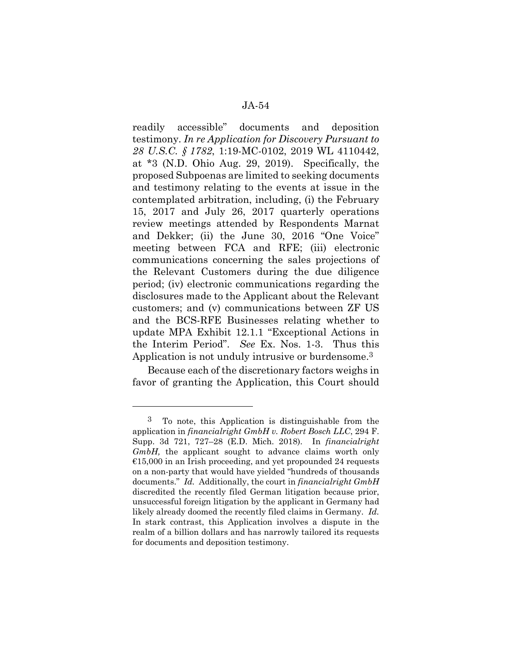readily accessible" documents and deposition testimony. *In re Application for Discovery Pursuant to 28 U.S.C. § 1782*, 1:19-MC-0102, 2019 WL 4110442, at \*3 (N.D. Ohio Aug. 29, 2019). Specifically, the proposed Subpoenas are limited to seeking documents and testimony relating to the events at issue in the contemplated arbitration, including, (i) the February 15, 2017 and July 26, 2017 quarterly operations review meetings attended by Respondents Marnat and Dekker; (ii) the June 30, 2016 "One Voice" meeting between FCA and RFE; (iii) electronic communications concerning the sales projections of the Relevant Customers during the due diligence period; (iv) electronic communications regarding the disclosures made to the Applicant about the Relevant customers; and (v) communications between ZF US and the BCS-RFE Businesses relating whether to update MPA Exhibit 12.1.1 "Exceptional Actions in the Interim Period". *See* Ex. Nos. 1-3. Thus this Application is not unduly intrusive or burdensome.3

Because each of the discretionary factors weighs in favor of granting the Application, this Court should

<sup>3</sup> To note, this Application is distinguishable from the application in *financialright GmbH v. Robert Bosch LLC*, 294 F. Supp. 3d 721, 727–28 (E.D. Mich. 2018). In *financialright GmbH*, the applicant sought to advance claims worth only  $\epsilon$ 15,000 in an Irish proceeding, and yet propounded 24 requests on a non-party that would have yielded "hundreds of thousands documents." *Id.* Additionally, the court in *financialright GmbH*  discredited the recently filed German litigation because prior, unsuccessful foreign litigation by the applicant in Germany had likely already doomed the recently filed claims in Germany. *Id.*  In stark contrast, this Application involves a dispute in the realm of a billion dollars and has narrowly tailored its requests for documents and deposition testimony.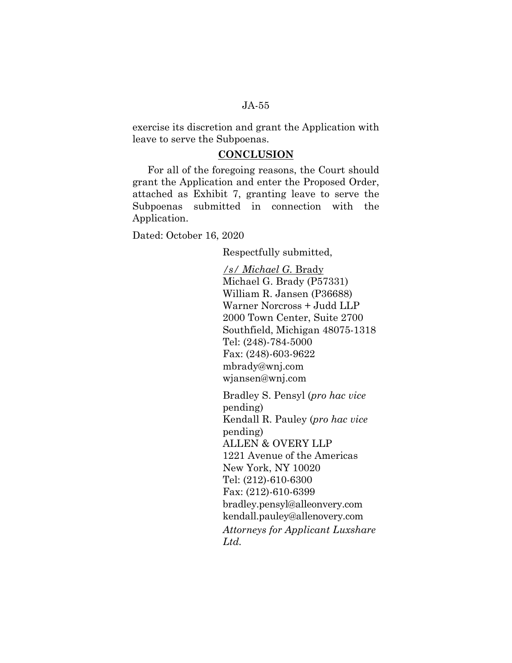exercise its discretion and grant the Application with leave to serve the Subpoenas.

#### **CONCLUSION**

For all of the foregoing reasons, the Court should grant the Application and enter the Proposed Order, attached as Exhibit 7, granting leave to serve the Subpoenas submitted in connection with the Application.

Dated: October 16, 2020

Respectfully submitted,

*/s/ Michael G.* Brady Michael G. Brady (P57331) William R. Jansen (P36688) Warner Norcross + Judd LLP 2000 Town Center, Suite 2700 Southfield, Michigan 48075-1318 Tel: (248)-784-5000 Fax: (248)-603-9622 mbrady@wnj.com wjansen@wnj.com

Bradley S. Pensyl (*pro hac vice* pending) Kendall R. Pauley (*pro hac vice* pending) ALLEN & OVERY LLP 1221 Avenue of the Americas New York, NY 10020 Tel: (212)-610-6300 Fax: (212)-610-6399 bradley.pensyl@alleonvery.com kendall.pauley@allenovery.com *Attorneys for Applicant Luxshare Ltd.*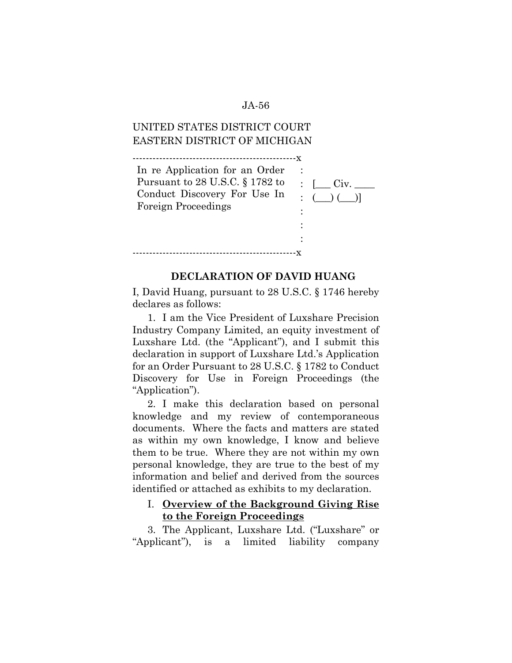# UNITED STATES DISTRICT COURT EASTERN DISTRICT OF MICHIGAN

-------------------------------------------------x

-------------------------------------------------x In re Application for an Order Pursuant to 28 U.S.C. § 1782 to Conduct Discovery For Use In Foreign Proceedings :  $\therefore$   $\Box$  Civ.  $\Box$  $\left( \begin{array}{c} \begin{array}{c} \end{array} \end{array} \right)$ : : :

#### **DECLARATION OF DAVID HUANG**

I, David Huang, pursuant to 28 U.S.C. § 1746 hereby declares as follows:

1. I am the Vice President of Luxshare Precision Industry Company Limited, an equity investment of Luxshare Ltd. (the "Applicant"), and I submit this declaration in support of Luxshare Ltd.'s Application for an Order Pursuant to 28 U.S.C. § 1782 to Conduct Discovery for Use in Foreign Proceedings (the "Application").

2. I make this declaration based on personal knowledge and my review of contemporaneous documents. Where the facts and matters are stated as within my own knowledge, I know and believe them to be true. Where they are not within my own personal knowledge, they are true to the best of my information and belief and derived from the sources identified or attached as exhibits to my declaration.

## I. **Overview of the Background Giving Rise to the Foreign Proceedings**

3. The Applicant, Luxshare Ltd. ("Luxshare" or "Applicant"), is a limited liability company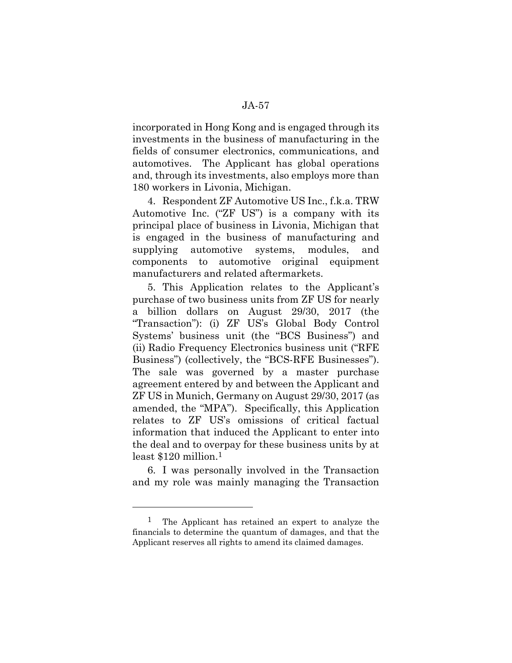incorporated in Hong Kong and is engaged through its investments in the business of manufacturing in the fields of consumer electronics, communications, and automotives. The Applicant has global operations and, through its investments, also employs more than 180 workers in Livonia, Michigan.

4. Respondent ZF Automotive US Inc., f.k.a. TRW Automotive Inc. ("ZF US") is a company with its principal place of business in Livonia, Michigan that is engaged in the business of manufacturing and supplying automotive systems, modules, and components to automotive original equipment manufacturers and related aftermarkets.

5. This Application relates to the Applicant's purchase of two business units from ZF US for nearly a billion dollars on August 29/30, 2017 (the "Transaction"): (i) ZF US's Global Body Control Systems' business unit (the "BCS Business") and (ii) Radio Frequency Electronics business unit ("RFE Business") (collectively, the "BCS-RFE Businesses"). The sale was governed by a master purchase agreement entered by and between the Applicant and ZF US in Munich, Germany on August 29/30, 2017 (as amended, the "MPA"). Specifically, this Application relates to ZF US's omissions of critical factual information that induced the Applicant to enter into the deal and to overpay for these business units by at least \$120 million.1

6. I was personally involved in the Transaction and my role was mainly managing the Transaction

l

<sup>1</sup> The Applicant has retained an expert to analyze the financials to determine the quantum of damages, and that the Applicant reserves all rights to amend its claimed damages.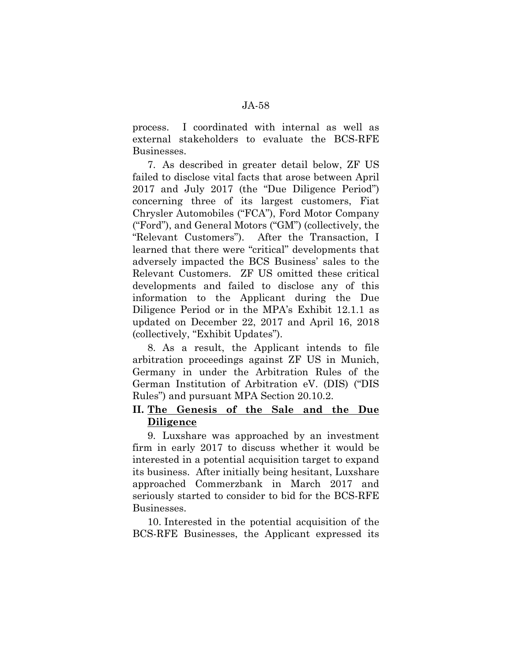process. I coordinated with internal as well as external stakeholders to evaluate the BCS-RFE Businesses.

7. As described in greater detail below, ZF US failed to disclose vital facts that arose between April 2017 and July 2017 (the "Due Diligence Period") concerning three of its largest customers, Fiat Chrysler Automobiles ("FCA"), Ford Motor Company ("Ford"), and General Motors ("GM") (collectively, the "Relevant Customers"). After the Transaction, I learned that there were "critical" developments that adversely impacted the BCS Business' sales to the Relevant Customers. ZF US omitted these critical developments and failed to disclose any of this information to the Applicant during the Due Diligence Period or in the MPA's Exhibit 12.1.1 as updated on December 22, 2017 and April 16, 2018 (collectively, "Exhibit Updates").

8. As a result, the Applicant intends to file arbitration proceedings against ZF US in Munich, Germany in under the Arbitration Rules of the German Institution of Arbitration eV. (DIS) ("DIS Rules") and pursuant MPA Section 20.10.2.

# **II. The Genesis of the Sale and the Due Diligence**

9. Luxshare was approached by an investment firm in early 2017 to discuss whether it would be interested in a potential acquisition target to expand its business. After initially being hesitant, Luxshare approached Commerzbank in March 2017 and seriously started to consider to bid for the BCS-RFE Businesses.

10. Interested in the potential acquisition of the BCS-RFE Businesses, the Applicant expressed its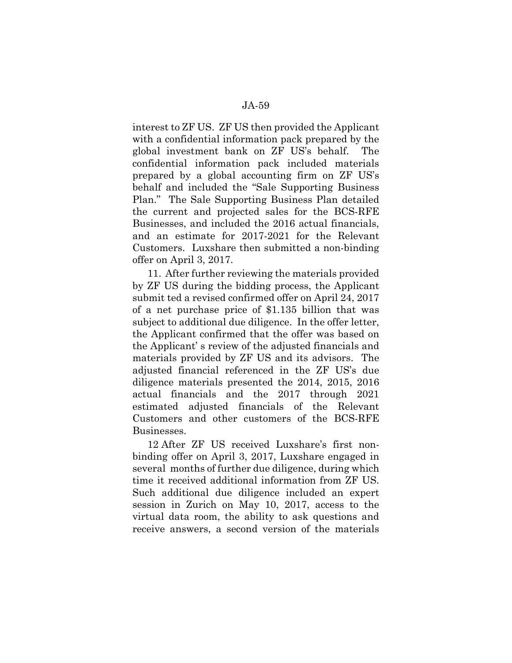interest to ZF US. ZF US then provided the Applicant with a confidential information pack prepared by the global investment bank on ZF US's behalf. The confidential information pack included materials prepared by a global accounting firm on ZF US's behalf and included the "Sale Supporting Business Plan." The Sale Supporting Business Plan detailed the current and projected sales for the BCS-RFE Businesses, and included the 2016 actual financials, and an estimate for 2017-2021 for the Relevant Customers. Luxshare then submitted a non-binding offer on April 3, 2017.

11. After further reviewing the materials provided by ZF US during the bidding process, the Applicant submit ted a revised confirmed offer on April 24, 2017 of a net purchase price of \$1.135 billion that was subject to additional due diligence. In the offer letter, the Applicant confirmed that the offer was based on the Applicant' s review of the adjusted financials and materials provided by ZF US and its advisors. The adjusted financial referenced in the ZF US's due diligence materials presented the 2014, 2015, 2016 actual financials and the 2017 through 2021 estimated adjusted financials of the Relevant Customers and other customers of the BCS-RFE Businesses.

12 After ZF US received Luxshare's first nonbinding offer on April 3, 2017, Luxshare engaged in several months of further due diligence, during which time it received additional information from ZF US. Such additional due diligence included an expert session in Zurich on May 10, 2017, access to the virtual data room, the ability to ask questions and receive answers, a second version of the materials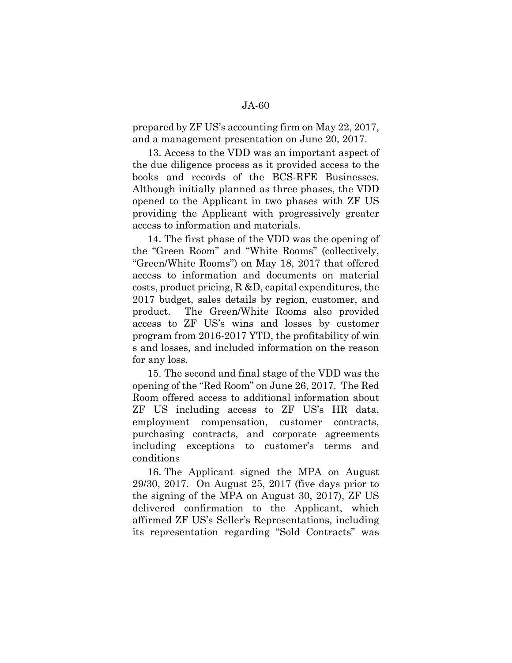## prepared by ZF US's accounting firm on May 22, 2017, and a management presentation on June 20, 2017.

13. Access to the VDD was an important aspect of the due diligence process as it provided access to the books and records of the BCS-RFE Businesses. Although initially planned as three phases, the VDD opened to the Applicant in two phases with ZF US providing the Applicant with progressively greater access to information and materials.

14. The first phase of the VDD was the opening of the "Green Room" and "White Rooms" (collectively, "Green/White Rooms") on May 18, 2017 that offered access to information and documents on material costs, product pricing, R &D, capital expenditures, the 2017 budget, sales details by region, customer, and product. The Green/White Rooms also provided access to ZF US's wins and losses by customer program from 2016-2017 YTD, the profitability of win s and losses, and included information on the reason for any loss.

15. The second and final stage of the VDD was the opening of the "Red Room" on June 26, 2017. The Red Room offered access to additional information about ZF US including access to ZF US's HR data, employment compensation, customer contracts, purchasing contracts, and corporate agreements including exceptions to customer's terms and conditions

16. The Applicant signed the MPA on August 29/30, 2017. On August 25, 2017 (five days prior to the signing of the MPA on August 30, 2017), ZF US delivered confirmation to the Applicant, which affirmed ZF US's Seller's Representations, including its representation regarding "Sold Contracts" was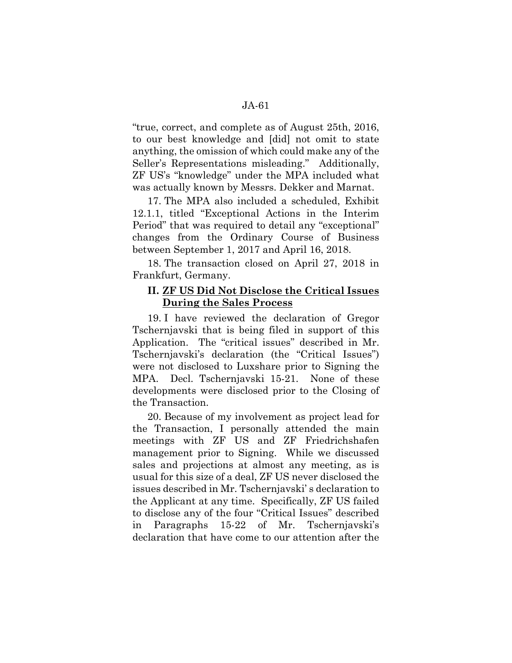"true, correct, and complete as of August 25th, 2016, to our best knowledge and [did] not omit to state anything, the omission of which could make any of the Seller's Representations misleading." Additionally, ZF US's "knowledge" under the MPA included what was actually known by Messrs. Dekker and Marnat.

17. The MPA also included a scheduled, Exhibit 12.1.1, titled "Exceptional Actions in the Interim Period" that was required to detail any "exceptional" changes from the Ordinary Course of Business between September 1, 2017 and April 16, 2018.

18. The transaction closed on April 27, 2018 in Frankfurt, Germany.

# **II. ZF US Did Not Disclose the Critical Issues During the Sales Process**

19. I have reviewed the declaration of Gregor Tschernjavski that is being filed in support of this Application. The "critical issues" described in Mr. Tschernjavski's declaration (the "Critical Issues") were not disclosed to Luxshare prior to Signing the MPA. Decl. Tschernjavski 15-21. None of these developments were disclosed prior to the Closing of the Transaction.

20. Because of my involvement as project lead for the Transaction, I personally attended the main meetings with ZF US and ZF Friedrichshafen management prior to Signing. While we discussed sales and projections at almost any meeting, as is usual for this size of a deal, ZF US never disclosed the issues described in Mr. Tschernjavski' s declaration to the Applicant at any time. Specifically, ZF US failed to disclose any of the four "Critical Issues" described in Paragraphs 15-22 of Mr. Tschernjavski's declaration that have come to our attention after the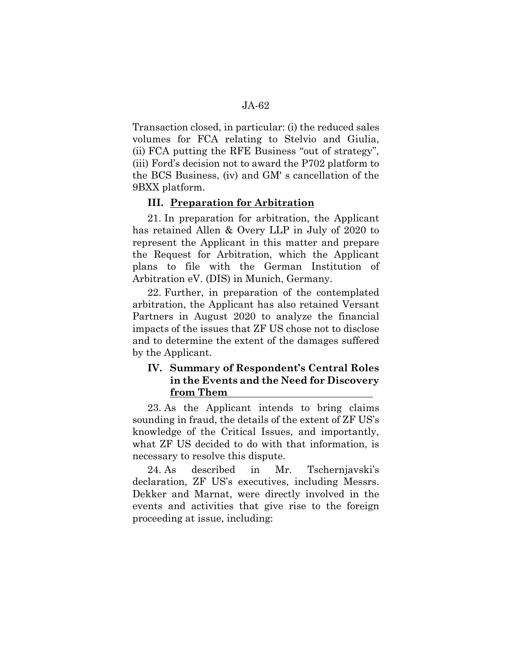Transaction closed, in particular: (i) the reduced sales volumes for FCA relating to Stelvio and Giulia, (ii) FCA putting the RFE Business "out of strategy", (iii) Ford's decision not to award the P702 platform to the BCS Business, (iv) and GM' s cancellation of the 9BXX platform.

## **III. Preparation for Arbitration**

21. In preparation for arbitration, the Applicant has retained Allen & Overy LLP in July of 2020 to represent the Applicant in this matter and prepare the Request for Arbitration, which the Applicant plans to file with the German Institution of Arbitration eV. (DIS) in Munich, Germany.

22. Further, in preparation of the contemplated arbitration, the Applicant has also retained Versant Partners in August 2020 to analyze the financial impacts of the issues that ZF US chose not to disclose and to determine the extent of the damages suffered by the Applicant.

# **IV. Summary of Respondent's Central Roles in the Events and the Need for Discovery from Them**

23. As the Applicant intends to bring claims sounding in fraud, the details of the extent of ZF US's knowledge of the Critical Issues, and importantly, what ZF US decided to do with that information, is necessary to resolve this dispute.

24. As described in Mr. Tschernjavski's declaration, ZF US's executives, including Messrs. Dekker and Marnat, were directly involved in the events and activities that give rise to the foreign proceeding at issue, including: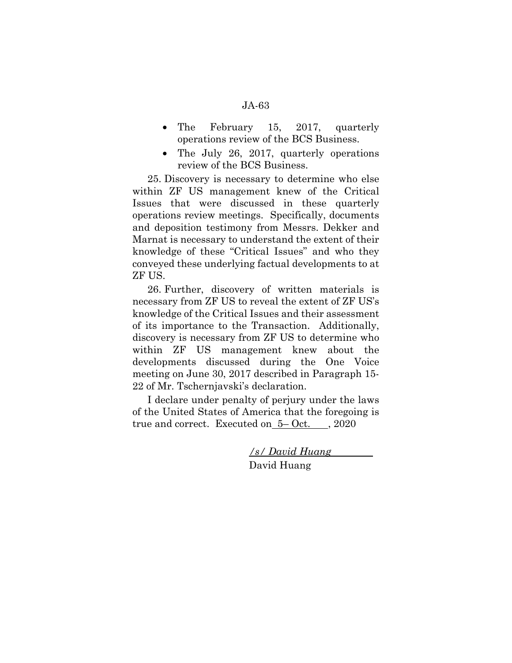- The February 15, 2017, quarterly operations review of the BCS Business.
- The July 26, 2017, quarterly operations review of the BCS Business.

25. Discovery is necessary to determine who else within ZF US management knew of the Critical Issues that were discussed in these quarterly operations review meetings. Specifically, documents and deposition testimony from Messrs. Dekker and Marnat is necessary to understand the extent of their knowledge of these "Critical Issues" and who they conveyed these underlying factual developments to at ZF US.

26. Further, discovery of written materials is necessary from ZF US to reveal the extent of ZF US's knowledge of the Critical Issues and their assessment of its importance to the Transaction. Additionally, discovery is necessary from ZF US to determine who within ZF US management knew about the developments discussed during the One Voice meeting on June 30, 2017 described in Paragraph 15- 22 of Mr. Tschernjavski's declaration.

I declare under penalty of perjury under the laws of the United States of America that the foregoing is true and correct. Executed on 5– Oct. , 2020

> */s/ David Huang*  David Huang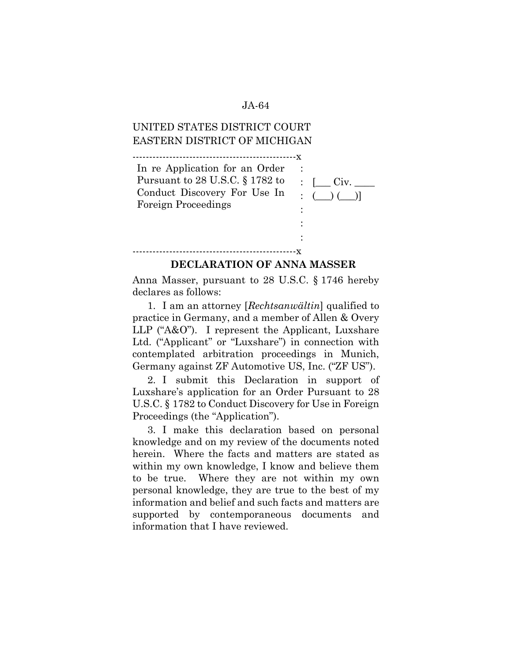# UNITED STATES DISTRICT COURT EASTERN DISTRICT OF MICHIGAN

-------------------------------------------------x

-------------------------------------------------x

| In re Application for an Order       |                                                       |
|--------------------------------------|-------------------------------------------------------|
| Pursuant to $28$ U.S.C. $\S 1782$ to | $\therefore$ $\qquad$ Civ.                            |
| Conduct Discovery For Use In         | $\left( \bigcup_{i=1}^{n}$ $\left( \bigcup_{i=1}^{n}$ |
| <b>Foreign Proceedings</b>           |                                                       |
|                                      |                                                       |
|                                      |                                                       |

#### **DECLARATION OF ANNA MASSER**

:

Anna Masser, pursuant to 28 U.S.C. § 1746 hereby declares as follows:

1. I am an attorney [*Rechtsanwältin*] qualified to practice in Germany, and a member of Allen & Overy LLP ("A&O"). I represent the Applicant, Luxshare Ltd. ("Applicant" or "Luxshare") in connection with contemplated arbitration proceedings in Munich, Germany against ZF Automotive US, Inc. ("ZF US").

2. I submit this Declaration in support of Luxshare's application for an Order Pursuant to 28 U.S.C. § 1782 to Conduct Discovery for Use in Foreign Proceedings (the "Application").

3. I make this declaration based on personal knowledge and on my review of the documents noted herein. Where the facts and matters are stated as within my own knowledge, I know and believe them to be true. Where they are not within my own personal knowledge, they are true to the best of my information and belief and such facts and matters are supported by contemporaneous documents and information that I have reviewed.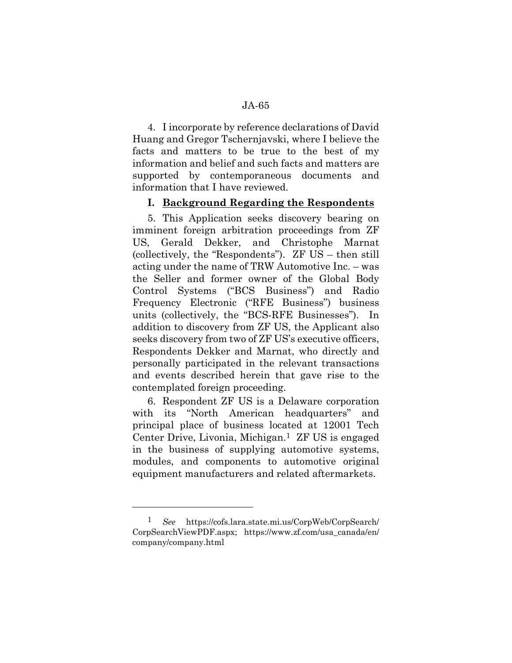4. I incorporate by reference declarations of David Huang and Gregor Tschernjavski, where I believe the facts and matters to be true to the best of my information and belief and such facts and matters are supported by contemporaneous documents and information that I have reviewed.

### **I. Background Regarding the Respondents**

5. This Application seeks discovery bearing on imminent foreign arbitration proceedings from ZF US, Gerald Dekker, and Christophe Marnat (collectively, the "Respondents"). ZF US – then still acting under the name of TRW Automotive Inc. – was the Seller and former owner of the Global Body Control Systems ("BCS Business") and Radio Frequency Electronic ("RFE Business") business units (collectively, the "BCS-RFE Businesses"). In addition to discovery from ZF US, the Applicant also seeks discovery from two of ZF US's executive officers, Respondents Dekker and Marnat, who directly and personally participated in the relevant transactions and events described herein that gave rise to the contemplated foreign proceeding.

6. Respondent ZF US is a Delaware corporation with its "North American headquarters" and principal place of business located at 12001 Tech Center Drive, Livonia, Michigan.1 ZF US is engaged in the business of supplying automotive systems, modules, and components to automotive original equipment manufacturers and related aftermarkets.

l

<sup>1</sup> *See* https://cofs.lara.state.mi.us/CorpWeb/CorpSearch/ CorpSearchViewPDF.aspx; https://www.zf.com/usa\_canada/en/ company/company.html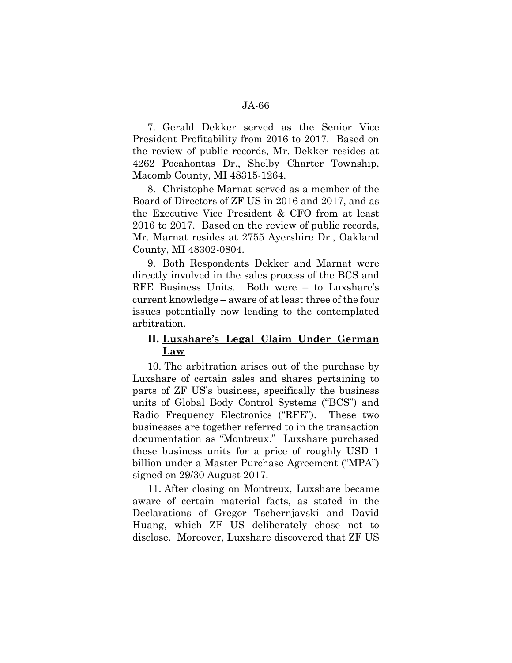7. Gerald Dekker served as the Senior Vice President Profitability from 2016 to 2017. Based on the review of public records, Mr. Dekker resides at 4262 Pocahontas Dr., Shelby Charter Township, Macomb County, MI 48315-1264.

8. Christophe Marnat served as a member of the Board of Directors of ZF US in 2016 and 2017, and as the Executive Vice President & CFO from at least 2016 to 2017. Based on the review of public records, Mr. Marnat resides at 2755 Ayershire Dr., Oakland County, MI 48302-0804.

9. Both Respondents Dekker and Marnat were directly involved in the sales process of the BCS and RFE Business Units. Both were – to Luxshare's current knowledge – aware of at least three of the four issues potentially now leading to the contemplated arbitration.

# **II. Luxshare's Legal Claim Under German Law**

10. The arbitration arises out of the purchase by Luxshare of certain sales and shares pertaining to parts of ZF US's business, specifically the business units of Global Body Control Systems ("BCS") and Radio Frequency Electronics ("RFE"). These two businesses are together referred to in the transaction documentation as "Montreux." Luxshare purchased these business units for a price of roughly USD 1 billion under a Master Purchase Agreement ("MPA") signed on 29/30 August 2017.

11. After closing on Montreux, Luxshare became aware of certain material facts, as stated in the Declarations of Gregor Tschernjavski and David Huang, which ZF US deliberately chose not to disclose. Moreover, Luxshare discovered that ZF US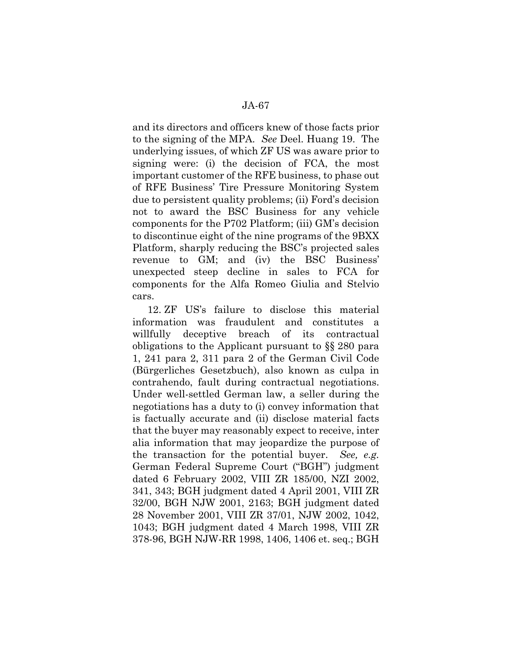and its directors and officers knew of those facts prior to the signing of the MPA. *See* Deel. Huang 19. The underlying issues, of which ZF US was aware prior to signing were: (i) the decision of FCA, the most important customer of the RFE business, to phase out of RFE Business' Tire Pressure Monitoring System due to persistent quality problems; (ii) Ford's decision not to award the BSC Business for any vehicle components for the P702 Platform; (iii) GM's decision to discontinue eight of the nine programs of the 9BXX Platform, sharply reducing the BSC's projected sales revenue to GM; and (iv) the BSC Business' unexpected steep decline in sales to FCA for components for the Alfa Romeo Giulia and Stelvio cars.

12. ZF US's failure to disclose this material information was fraudulent and constitutes a willfully deceptive breach of its contractual obligations to the Applicant pursuant to §§ 280 para 1, 241 para 2, 311 para 2 of the German Civil Code (Bürgerliches Gesetzbuch), also known as culpa in contrahendo, fault during contractual negotiations. Under well-settled German law, a seller during the negotiations has a duty to (i) convey information that is factually accurate and (ii) disclose material facts that the buyer may reasonably expect to receive, inter alia information that may jeopardize the purpose of the transaction for the potential buyer. *See, e.g.* German Federal Supreme Court ("BGH") judgment dated 6 February 2002, VIII ZR 185/00, NZI 2002, 341, 343; BGH judgment dated 4 April 2001, VIII ZR 32/00, BGH NJW 2001, 2163; BGH judgment dated 28 November 2001, VIII ZR 37/01, NJW 2002, 1042, 1043; BGH judgment dated 4 March 1998, VIII ZR 378-96, BGH NJW-RR 1998, 1406, 1406 et. seq.; BGH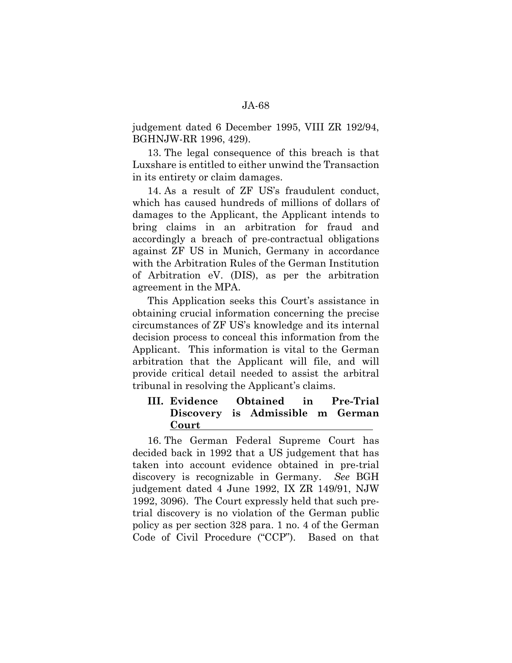judgement dated 6 December 1995, VIII ZR 192/94, BGHNJW-RR 1996, 429).

13. The legal consequence of this breach is that Luxshare is entitled to either unwind the Transaction in its entirety or claim damages.

14. As a result of ZF US's fraudulent conduct, which has caused hundreds of millions of dollars of damages to the Applicant, the Applicant intends to bring claims in an arbitration for fraud and accordingly a breach of pre-contractual obligations against ZF US in Munich, Germany in accordance with the Arbitration Rules of the German Institution of Arbitration eV. (DIS), as per the arbitration agreement in the MPA.

This Application seeks this Court's assistance in obtaining crucial information concerning the precise circumstances of ZF US's knowledge and its internal decision process to conceal this information from the Applicant. This information is vital to the German arbitration that the Applicant will file, and will provide critical detail needed to assist the arbitral tribunal in resolving the Applicant's claims.

# **III. Evidence Obtained in Pre-Trial Discovery is Admissible m German Court**

16. The German Federal Supreme Court has decided back in 1992 that a US judgement that has taken into account evidence obtained in pre-trial discovery is recognizable in Germany. *See* BGH judgement dated 4 June 1992, IX ZR 149/91, NJW 1992, 3096). The Court expressly held that such pretrial discovery is no violation of the German public policy as per section 328 para. 1 no. 4 of the German Code of Civil Procedure ("CCP"). Based on that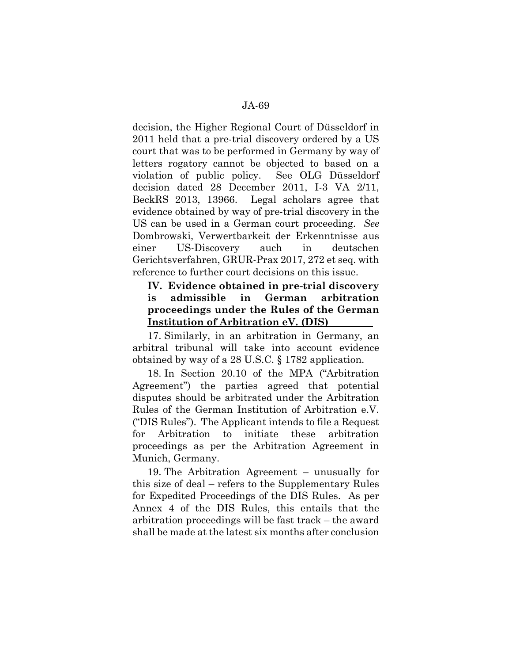decision, the Higher Regional Court of Düsseldorf in 2011 held that a pre-trial discovery ordered by a US court that was to be performed in Germany by way of letters rogatory cannot be objected to based on a violation of public policy. See OLG Düsseldorf decision dated 28 December 2011, I-3 VA 2/11, BeckRS 2013, 13966. Legal scholars agree that evidence obtained by way of pre-trial discovery in the US can be used in a German court proceeding. *See* Dombrowski, Verwertbarkeit der Erkenntnisse aus einer US-Discovery auch in deutschen Gerichtsverfahren, GRUR-Prax 2017, 272 et seq. with reference to further court decisions on this issue.

# **IV. Evidence obtained in pre-trial discovery is admissible in German arbitration proceedings under the Rules of the German Institution of Arbitration eV. (DIS)**

17. Similarly, in an arbitration in Germany, an arbitral tribunal will take into account evidence obtained by way of a 28 U.S.C. § 1782 application.

18. In Section 20.10 of the MPA ("Arbitration Agreement") the parties agreed that potential disputes should be arbitrated under the Arbitration Rules of the German Institution of Arbitration e.V. ("DIS Rules"). The Applicant intends to file a Request for Arbitration to initiate these arbitration proceedings as per the Arbitration Agreement in Munich, Germany.

19. The Arbitration Agreement – unusually for this size of deal – refers to the Supplementary Rules for Expedited Proceedings of the DIS Rules. As per Annex 4 of the DIS Rules, this entails that the arbitration proceedings will be fast track – the award shall be made at the latest six months after conclusion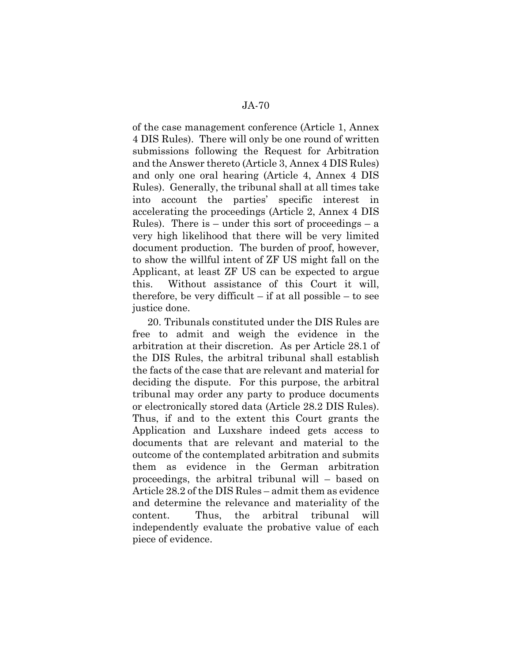of the case management conference (Article 1, Annex 4 DIS Rules). There will only be one round of written submissions following the Request for Arbitration and the Answer thereto (Article 3, Annex 4 DIS Rules) and only one oral hearing (Article 4, Annex 4 DIS Rules). Generally, the tribunal shall at all times take into account the parties' specific interest in accelerating the proceedings (Article 2, Annex 4 DIS Rules). There is  $-$  under this sort of proceedings  $-$  a very high likelihood that there will be very limited document production. The burden of proof, however, to show the willful intent of ZF US might fall on the Applicant, at least ZF US can be expected to argue this. Without assistance of this Court it will, therefore, be very difficult  $-$  if at all possible  $-$  to see justice done.

20. Tribunals constituted under the DIS Rules are free to admit and weigh the evidence in the arbitration at their discretion. As per Article 28.1 of the DIS Rules, the arbitral tribunal shall establish the facts of the case that are relevant and material for deciding the dispute. For this purpose, the arbitral tribunal may order any party to produce documents or electronically stored data (Article 28.2 DIS Rules). Thus, if and to the extent this Court grants the Application and Luxshare indeed gets access to documents that are relevant and material to the outcome of the contemplated arbitration and submits them as evidence in the German arbitration proceedings, the arbitral tribunal will – based on Article 28.2 of the DIS Rules – admit them as evidence and determine the relevance and materiality of the content. Thus, the arbitral tribunal will independently evaluate the probative value of each piece of evidence.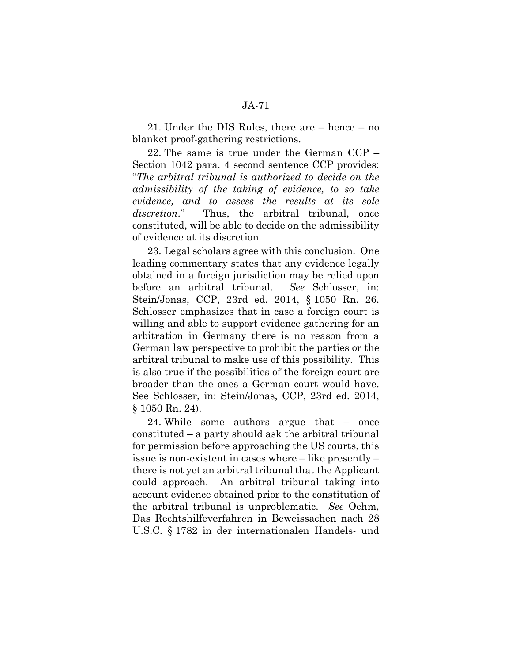21. Under the DIS Rules, there are – hence – no blanket proof-gathering restrictions.

22. The same is true under the German CCP – Section 1042 para. 4 second sentence CCP provides: "*The arbitral tribunal is authorized to decide on the admissibility of the taking of evidence, to so take evidence, and to assess the results at its sole discretion*." Thus, the arbitral tribunal, once constituted, will be able to decide on the admissibility of evidence at its discretion.

23. Legal scholars agree with this conclusion. One leading commentary states that any evidence legally obtained in a foreign jurisdiction may be relied upon before an arbitral tribunal. *See* Schlosser, in: Stein/Jonas, CCP, 23rd ed. 2014, § 1050 Rn. 26. Schlosser emphasizes that in case a foreign court is willing and able to support evidence gathering for an arbitration in Germany there is no reason from a German law perspective to prohibit the parties or the arbitral tribunal to make use of this possibility. This is also true if the possibilities of the foreign court are broader than the ones a German court would have. See Schlosser, in: Stein/Jonas, CCP, 23rd ed. 2014, § 1050 Rn. 24).

24. While some authors argue that – once constituted – a party should ask the arbitral tribunal for permission before approaching the US courts, this issue is non-existent in cases where – like presently – there is not yet an arbitral tribunal that the Applicant could approach. An arbitral tribunal taking into account evidence obtained prior to the constitution of the arbitral tribunal is unproblematic. *See* Oehm, Das Rechtshilfeverfahren in Beweissachen nach 28 U.S.C. § 1782 in der internationalen Handels- und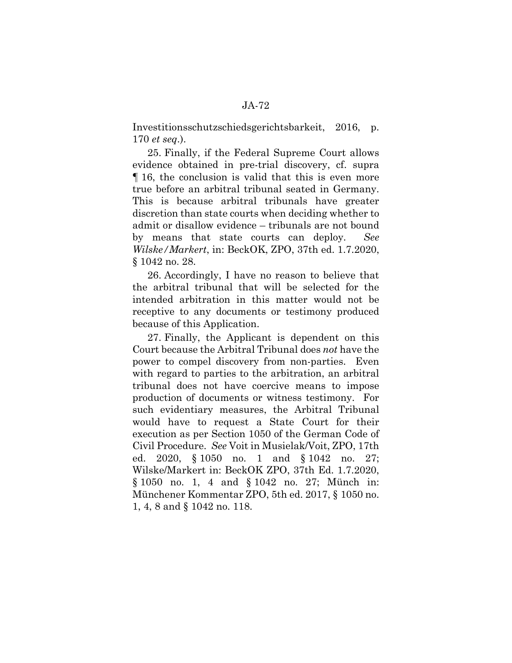Investitionsschutzschiedsgerichtsbarkeit, 2016, p. 170 *et seq*.).

25. Finally, if the Federal Supreme Court allows evidence obtained in pre-trial discovery, cf. supra ¶ 16, the conclusion is valid that this is even more true before an arbitral tribunal seated in Germany. This is because arbitral tribunals have greater discretion than state courts when deciding whether to admit or disallow evidence – tribunals are not bound by means that state courts can deploy. *See Wilske/Markert*, in: BeckOK, ZPO, 37th ed. 1.7.2020, § 1042 no. 28.

26. Accordingly, I have no reason to believe that the arbitral tribunal that will be selected for the intended arbitration in this matter would not be receptive to any documents or testimony produced because of this Application.

27. Finally, the Applicant is dependent on this Court because the Arbitral Tribunal does *not* have the power to compel discovery from non-parties. Even with regard to parties to the arbitration, an arbitral tribunal does not have coercive means to impose production of documents or witness testimony. For such evidentiary measures, the Arbitral Tribunal would have to request a State Court for their execution as per Section 1050 of the German Code of Civil Procedure. *See* Voit in Musielak/Voit, ZPO, 17th ed. 2020, § 1050 no. 1 and § 1042 no. 27; Wilske/Markert in: BeckOK ZPO, 37th Ed. 1.7.2020, § 1050 no. 1, 4 and § 1042 no. 27; Münch in: Münchener Kommentar ZPO, 5th ed. 2017, § 1050 no. 1, 4, 8 and § 1042 no. 118.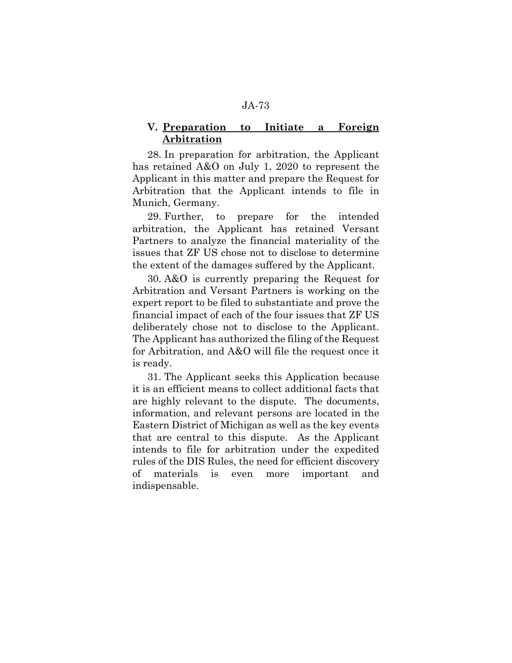### **V. Preparation to Initiate a Foreign Arbitration**

28. In preparation for arbitration, the Applicant has retained A&O on July 1, 2020 to represent the Applicant in this matter and prepare the Request for Arbitration that the Applicant intends to file in Munich, Germany.

29. Further, to prepare for the intended arbitration, the Applicant has retained Versant Partners to analyze the financial materiality of the issues that ZF US chose not to disclose to determine the extent of the damages suffered by the Applicant.

30. A&O is currently preparing the Request for Arbitration and Versant Partners is working on the expert report to be filed to substantiate and prove the financial impact of each of the four issues that ZF US deliberately chose not to disclose to the Applicant. The Applicant has authorized the filing of the Request for Arbitration, and A&O will file the request once it is ready.

31. The Applicant seeks this Application because it is an efficient means to collect additional facts that are highly relevant to the dispute. The documents, information, and relevant persons are located in the Eastern District of Michigan as well as the key events that are central to this dispute. As the Applicant intends to file for arbitration under the expedited rules of the DIS Rules, the need for efficient discovery of materials is even more important and indispensable.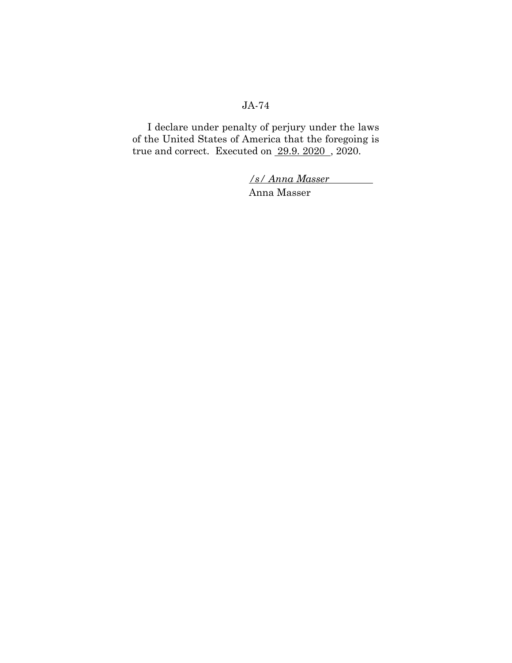I declare under penalty of perjury under the laws of the United States of America that the foregoing is true and correct. Executed on 29.9. 2020 , 2020.

> */s/ Anna Masser*  Anna Masser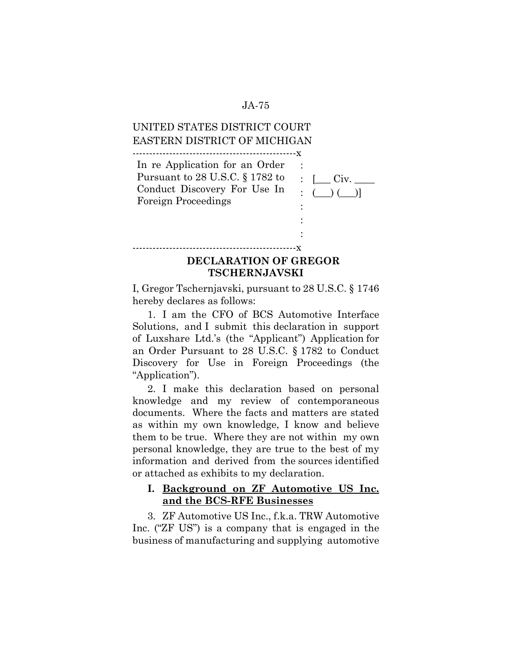# UNITED STATES DISTRICT COURT EASTERN DISTRICT OF MICHIGAN

-------------------------------------------------x

-------------------------------------------------x

| In re Application for an Order  |                      |
|---------------------------------|----------------------|
| Pursuant to 28 U.S.C. § 1782 to |                      |
| Conduct Discovery For Use In    | $\colon ( \ ) ( \ )$ |
| Foreign Proceedings             |                      |
|                                 |                      |
|                                 |                      |

# **DECLARATION OF GREGOR TSCHERNJAVSKI**

:

I, Gregor Tschernjavski, pursuant to 28 U.S.C. § 1746 hereby declares as follows:

1. I am the CFO of BCS Automotive Interface Solutions, and I submit this declaration in support of Luxshare Ltd.'s (the "Applicant") Application for an Order Pursuant to 28 U.S.C. § 1782 to Conduct Discovery for Use in Foreign Proceedings (the "Application").

2. I make this declaration based on personal knowledge and my review of contemporaneous documents. Where the facts and matters are stated as within my own knowledge, I know and believe them to be true. Where they are not within my own personal knowledge, they are true to the best of my information and derived from the sources identified or attached as exhibits to my declaration.

## **I. Background on ZF Automotive US Inc. and the BCS-RFE Businesses**

3. ZF Automotive US Inc., f.k.a. TRW Automotive Inc. ("ZF US") is a company that is engaged in the business of manufacturing and supplying automotive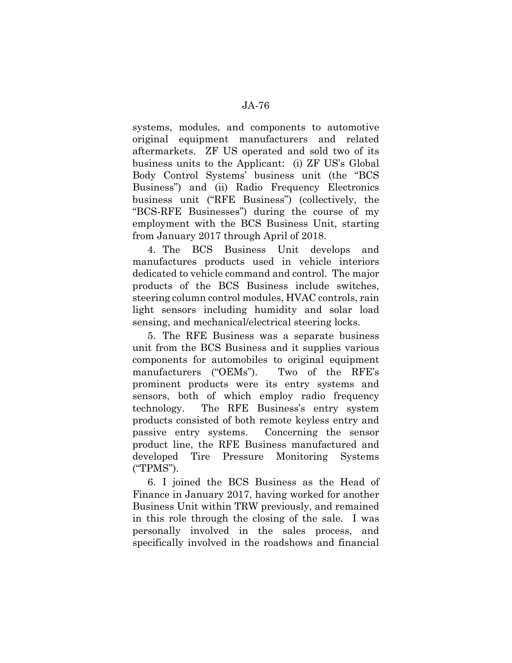systems, modules, and components to automotive original equipment manufacturers and related aftermarkets. ZF US operated and sold two of its business units to the Applicant: (i) ZF US's Global Body Control Systems' business unit (the "BCS Business") and (ii) Radio Frequency Electronics business unit ("RFE Business") (collectively, the "BCS-RFE Businesses") during the course of my employment with the BCS Business Unit, starting from January 2017 through April of 2018.

4. The BCS Business Unit develops and manufactures products used in vehicle interiors dedicated to vehicle command and control. The major products of the BCS Business include switches, steering column control modules, HVAC controls, rain light sensors including humidity and solar load sensing, and mechanical/electrical steering locks.

5. The RFE Business was a separate business unit from the BCS Business and it supplies various components for automobiles to original equipment manufacturers ("OEMs"). Two of the RFE's prominent products were its entry systems and sensors, both of which employ radio frequency technology. The RFE Business's entry system products consisted of both remote keyless entry and passive entry systems. Concerning the sensor product line, the RFE Business manufactured and developed Tire Pressure Monitoring Systems ("TPMS").

6. I joined the BCS Business as the Head of Finance in January 2017, having worked for another Business Unit within TRW previously, and remained in this role through the closing of the sale. I was personally involved in the sales process, and specifically involved in the roadshows and financial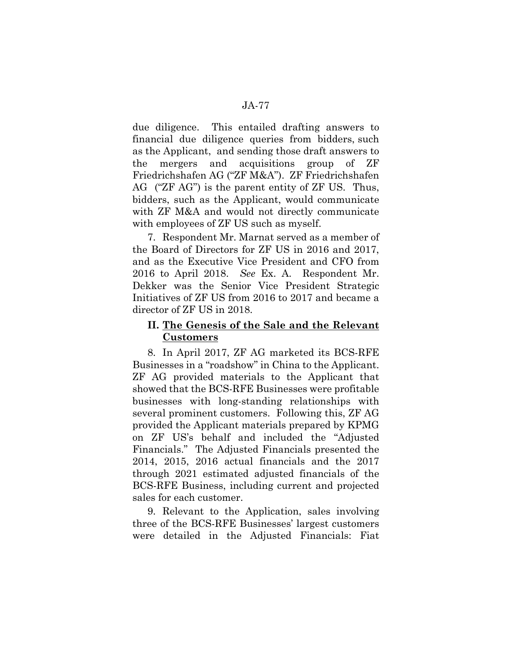due diligence. This entailed drafting answers to financial due diligence queries from bidders, such as the Applicant, and sending those draft answers to the mergers and acquisitions group of ZF Friedrichshafen AG ("ZF M&A"). ZF Friedrichshafen AG ("ZF AG") is the parent entity of ZF US. Thus, bidders, such as the Applicant, would communicate with ZF M&A and would not directly communicate with employees of ZF US such as myself.

7. Respondent Mr. Marnat served as a member of the Board of Directors for ZF US in 2016 and 2017, and as the Executive Vice President and CFO from 2016 to April 2018. *See* Ex. A. Respondent Mr. Dekker was the Senior Vice President Strategic Initiatives of ZF US from 2016 to 2017 and became a director of ZF US in 2018.

# **II. The Genesis of the Sale and the Relevant Customers**

8. In April 2017, ZF AG marketed its BCS-RFE Businesses in a "roadshow" in China to the Applicant. ZF AG provided materials to the Applicant that showed that the BCS-RFE Businesses were profitable businesses with long-standing relationships with several prominent customers. Following this, ZF AG provided the Applicant materials prepared by KPMG on ZF US's behalf and included the "Adjusted Financials." The Adjusted Financials presented the 2014, 2015, 2016 actual financials and the 2017 through 2021 estimated adjusted financials of the BCS-RFE Business, including current and projected sales for each customer.

9. Relevant to the Application, sales involving three of the BCS-RFE Businesses' largest customers were detailed in the Adjusted Financials: Fiat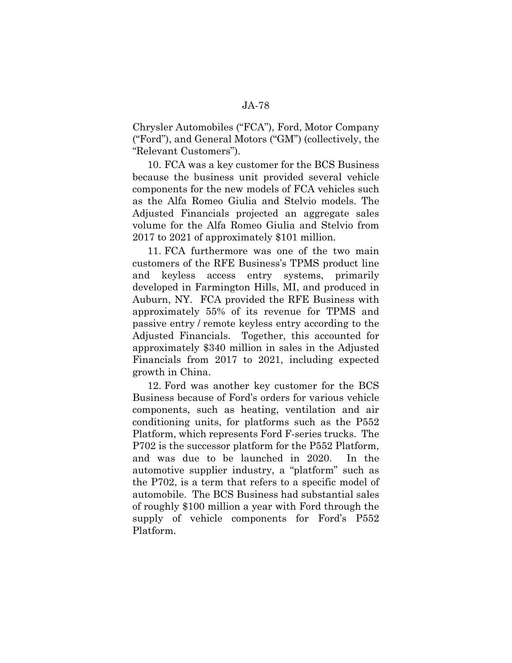Chrysler Automobiles ("FCA"), Ford, Motor Company ("Ford"), and General Motors ("GM") (collectively, the "Relevant Customers").

10. FCA was a key customer for the BCS Business because the business unit provided several vehicle components for the new models of FCA vehicles such as the Alfa Romeo Giulia and Stelvio models. The Adjusted Financials projected an aggregate sales volume for the Alfa Romeo Giulia and Stelvio from 2017 to 2021 of approximately \$101 million.

11. FCA furthermore was one of the two main customers of the RFE Business's TPMS product line and keyless access entry systems, primarily developed in Farmington Hills, MI, and produced in Auburn, NY. FCA provided the RFE Business with approximately 55% of its revenue for TPMS and passive entry / remote keyless entry according to the Adjusted Financials. Together, this accounted for approximately \$340 million in sales in the Adjusted Financials from 2017 to 2021, including expected growth in China.

12. Ford was another key customer for the BCS Business because of Ford's orders for various vehicle components, such as heating, ventilation and air conditioning units, for platforms such as the P552 Platform, which represents Ford F-series trucks. The P702 is the successor platform for the P552 Platform, and was due to be launched in 2020. In the automotive supplier industry, a "platform" such as the P702, is a term that refers to a specific model of automobile. The BCS Business had substantial sales of roughly \$100 million a year with Ford through the supply of vehicle components for Ford's P552 Platform.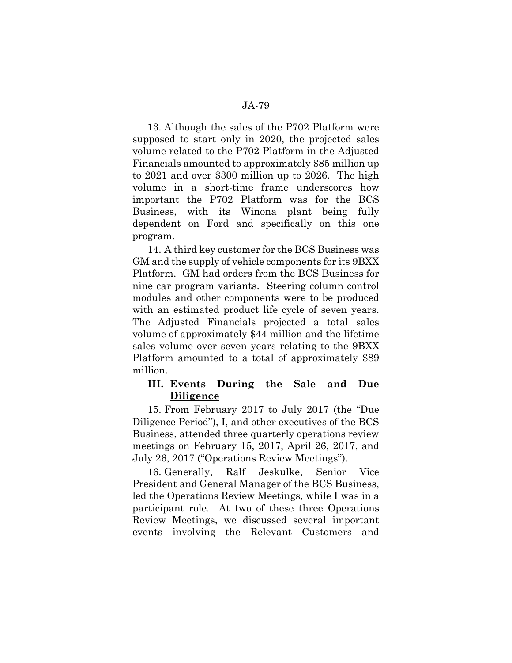13. Although the sales of the P702 Platform were supposed to start only in 2020, the projected sales volume related to the P702 Platform in the Adjusted Financials amounted to approximately \$85 million up to 2021 and over \$300 million up to 2026. The high volume in a short-time frame underscores how important the P702 Platform was for the BCS Business, with its Winona plant being fully dependent on Ford and specifically on this one program.

14. A third key customer for the BCS Business was GM and the supply of vehicle components for its 9BXX Platform. GM had orders from the BCS Business for nine car program variants. Steering column control modules and other components were to be produced with an estimated product life cycle of seven years. The Adjusted Financials projected a total sales volume of approximately \$44 million and the lifetime sales volume over seven years relating to the 9BXX Platform amounted to a total of approximately \$89 million.

### **III. Events During the Sale and Due Diligence**

15. From February 2017 to July 2017 (the "Due Diligence Period"), I, and other executives of the BCS Business, attended three quarterly operations review meetings on February 15, 2017, April 26, 2017, and July 26, 2017 ("Operations Review Meetings").

16. Generally, Ralf Jeskulke, Senior Vice President and General Manager of the BCS Business, led the Operations Review Meetings, while I was in a participant role. At two of these three Operations Review Meetings, we discussed several important events involving the Relevant Customers and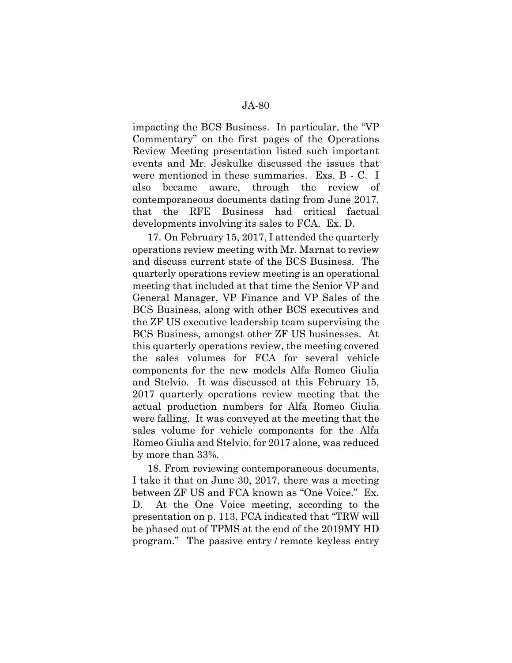impacting the BCS Business. In particular, the "VP Commentary" on the first pages of the Operations Review Meeting presentation listed such important events and Mr. Jeskulke discussed the issues that were mentioned in these summaries. Exs. B - C. I also became aware, through the review of contemporaneous documents dating from June 2017, that the RFE Business had critical factual developments involving its sales to FCA. Ex. D.

17. On February 15, 2017, I attended the quarterly operations review meeting with Mr. Marnat to review and discuss current state of the BCS Business. The quarterly operations review meeting is an operational meeting that included at that time the Senior VP and General Manager, VP Finance and VP Sales of the BCS Business, along with other BCS executives and the ZF US executive leadership team supervising the BCS Business, amongst other ZF US businesses. At this quarterly operations review, the meeting covered the sales volumes for FCA for several vehicle components for the new models Alfa Romeo Giulia and Stelvio. It was discussed at this February 15, 2017 quarterly operations review meeting that the actual production numbers for Alfa Romeo Giulia were falling. It was conveyed at the meeting that the sales volume for vehicle components for the Alfa Romeo Giulia and Stelvio, for 2017 alone, was reduced by more than 33%.

18. From reviewing contemporaneous documents, I take it that on June 30, 2017, there was a meeting between ZF US and FCA known as "One Voice." Ex. D. At the One Voice meeting, according to the presentation on p. 113, FCA indicated that "TRW will be phased out of TPMS at the end of the 2019MY HD program." The passive entry / remote keyless entry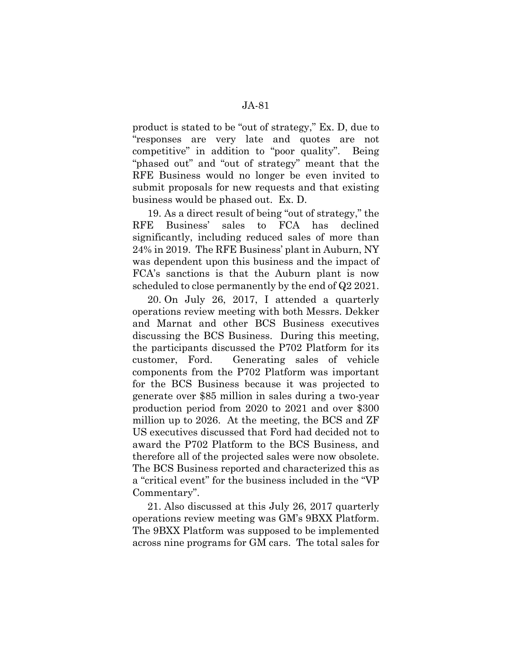product is stated to be "out of strategy," Ex. D, due to "responses are very late and quotes are not competitive" in addition to "poor quality". Being "phased out" and "out of strategy" meant that the RFE Business would no longer be even invited to submit proposals for new requests and that existing business would be phased out. Ex. D.

19. As a direct result of being "out of strategy," the RFE Business' sales to FCA has declined significantly, including reduced sales of more than 24% in 2019. The RFE Business' plant in Auburn, NY was dependent upon this business and the impact of FCA's sanctions is that the Auburn plant is now scheduled to close permanently by the end of Q2 2021.

20. On July 26, 2017, I attended a quarterly operations review meeting with both Messrs. Dekker and Marnat and other BCS Business executives discussing the BCS Business. During this meeting, the participants discussed the P702 Platform for its customer, Ford. Generating sales of vehicle components from the P702 Platform was important for the BCS Business because it was projected to generate over \$85 million in sales during a two-year production period from 2020 to 2021 and over \$300 million up to 2026. At the meeting, the BCS and ZF US executives discussed that Ford had decided not to award the P702 Platform to the BCS Business, and therefore all of the projected sales were now obsolete. The BCS Business reported and characterized this as a "critical event" for the business included in the "VP Commentary".

21. Also discussed at this July 26, 2017 quarterly operations review meeting was GM's 9BXX Platform. The 9BXX Platform was supposed to be implemented across nine programs for GM cars. The total sales for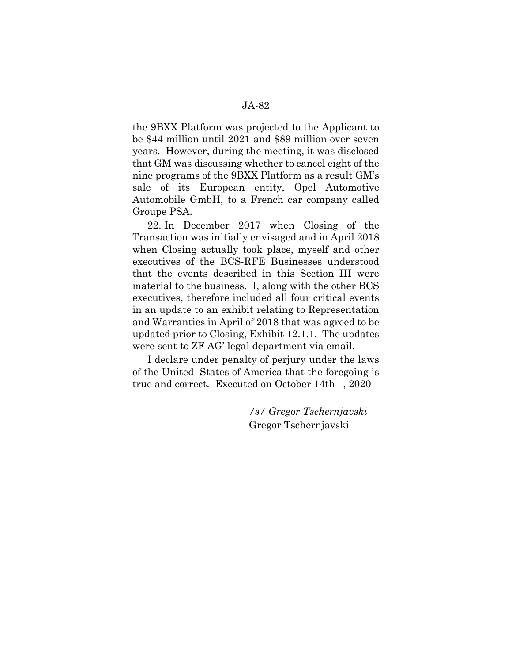the 9BXX Platform was projected to the Applicant to be \$44 million until 2021 and \$89 million over seven years. However, during the meeting, it was disclosed that GM was discussing whether to cancel eight of the nine programs of the 9BXX Platform as a result GM's

sale of its European entity, Opel Automotive Automobile GmbH, to a French car company called Groupe PSA.

22. In December 2017 when Closing of the Transaction was initially envisaged and in April 2018 when Closing actually took place, myself and other executives of the BCS-RFE Businesses understood that the events described in this Section III were material to the business. I, along with the other BCS executives, therefore included all four critical events in an update to an exhibit relating to Representation and Warranties in April of 2018 that was agreed to be updated prior to Closing, Exhibit 12.1.1. The updates were sent to ZF AG' legal department via email.

I declare under penalty of perjury under the laws of the United States of America that the foregoing is true and correct. Executed on October 14th, 2020

> */s/ Gregor Tschernjavski*  Gregor Tschernjavski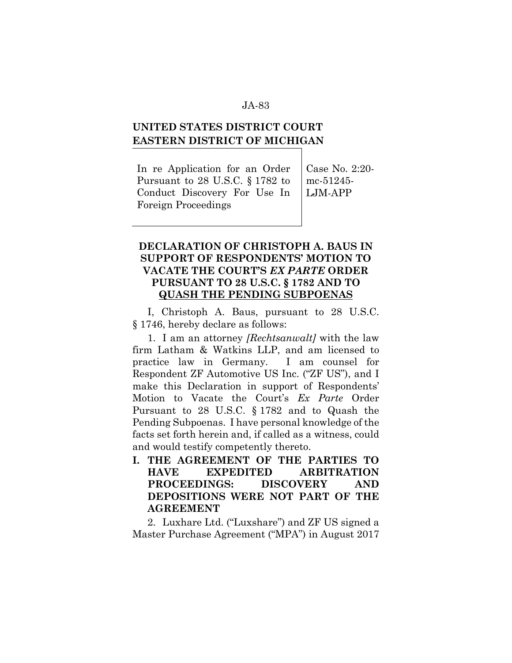# **UNITED STATES DISTRICT COURT EASTERN DISTRICT OF MICHIGAN**

In re Application for an Order Pursuant to 28 U.S.C. § 1782 to Conduct Discovery For Use In Foreign Proceedings

Case No. 2:20 mc-51245- LJM-APP

# **DECLARATION OF CHRISTOPH A. BAUS IN SUPPORT OF RESPONDENTS' MOTION TO VACATE THE COURT'S** *EX PARTE* **ORDER PURSUANT TO 28 U.S.C. § 1782 AND TO QUASH THE PENDING SUBPOENAS**

I, Christoph A. Baus, pursuant to 28 U.S.C. § 1746, hereby declare as follows:

1. I am an attorney *[Rechtsanwalt]* with the law firm Latham & Watkins LLP, and am licensed to practice law in Germany. I am counsel for Respondent ZF Automotive US Inc. ("ZF US"), and I make this Declaration in support of Respondents' Motion to Vacate the Court's *Ex Parte* Order Pursuant to 28 U.S.C. § 1782 and to Quash the Pending Subpoenas. I have personal knowledge of the facts set forth herein and, if called as a witness, could and would testify competently thereto.

**I. THE AGREEMENT OF THE PARTIES TO HAVE EXPEDITED ARBITRATION PROCEEDINGS: DISCOVERY AND DEPOSITIONS WERE NOT PART OF THE AGREEMENT** 

2. Luxhare Ltd. ("Luxshare") and ZF US signed a Master Purchase Agreement ("MPA") in August 2017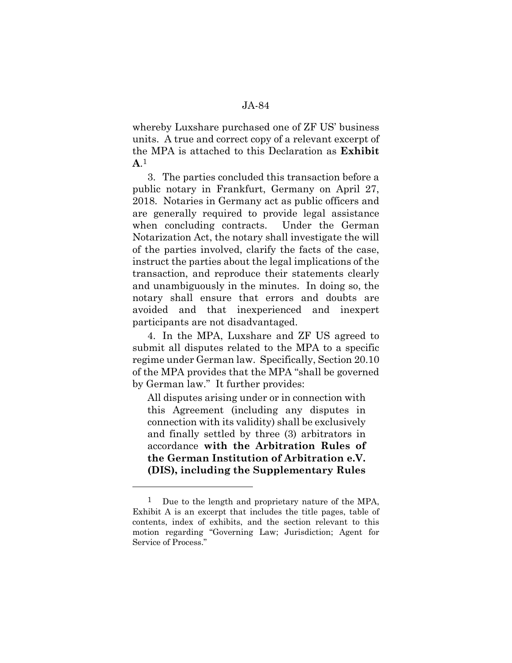whereby Luxshare purchased one of ZF US' business units. A true and correct copy of a relevant excerpt of the MPA is attached to this Declaration as **Exhibit A**.1

3. The parties concluded this transaction before a public notary in Frankfurt, Germany on April 27, 2018. Notaries in Germany act as public officers and are generally required to provide legal assistance when concluding contracts. Under the German Notarization Act, the notary shall investigate the will of the parties involved, clarify the facts of the case, instruct the parties about the legal implications of the transaction, and reproduce their statements clearly and unambiguously in the minutes. In doing so, the notary shall ensure that errors and doubts are avoided and that inexperienced and inexpert participants are not disadvantaged.

4. In the MPA, Luxshare and ZF US agreed to submit all disputes related to the MPA to a specific regime under German law. Specifically, Section 20.10 of the MPA provides that the MPA "shall be governed by German law." It further provides:

All disputes arising under or in connection with this Agreement (including any disputes in connection with its validity) shall be exclusively and finally settled by three (3) arbitrators in accordance **with the Arbitration Rules of the German Institution of Arbitration e.V. (DIS), including the Supplementary Rules** 

l

<sup>&</sup>lt;sup>1</sup> Due to the length and proprietary nature of the MPA, Exhibit A is an excerpt that includes the title pages, table of contents, index of exhibits, and the section relevant to this motion regarding "Governing Law; Jurisdiction; Agent for Service of Process."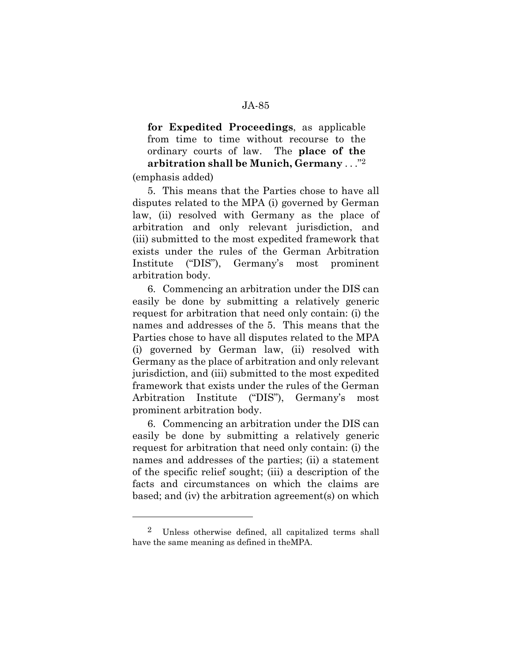# **for Expedited Proceedings**, as applicable from time to time without recourse to the ordinary courts of law. The **place of the arbitration shall be Munich, Germany** . . ."2

(emphasis added)

l

5. This means that the Parties chose to have all disputes related to the MPA (i) governed by German law, (ii) resolved with Germany as the place of arbitration and only relevant jurisdiction, and (iii) submitted to the most expedited framework that exists under the rules of the German Arbitration Institute ("DIS"), Germany's most prominent arbitration body.

6. Commencing an arbitration under the DIS can easily be done by submitting a relatively generic request for arbitration that need only contain: (i) the names and addresses of the 5. This means that the Parties chose to have all disputes related to the MPA (i) governed by German law, (ii) resolved with Germany as the place of arbitration and only relevant jurisdiction, and (iii) submitted to the most expedited framework that exists under the rules of the German Arbitration Institute ("DIS"), Germany's most prominent arbitration body.

6. Commencing an arbitration under the DIS can easily be done by submitting a relatively generic request for arbitration that need only contain: (i) the names and addresses of the parties; (ii) a statement of the specific relief sought; (iii) a description of the facts and circumstances on which the claims are based; and (iv) the arbitration agreement(s) on which

<sup>2</sup> Unless otherwise defined, all capitalized terms shall have the same meaning as defined in theMPA.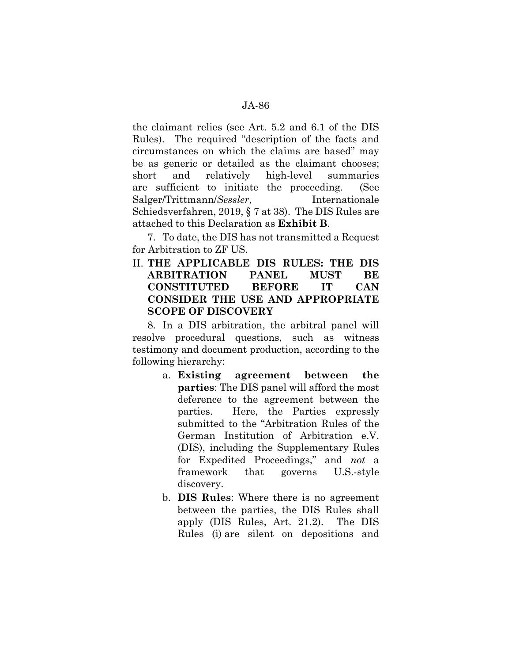the claimant relies (see Art. 5.2 and 6.1 of the DIS Rules). The required "description of the facts and circumstances on which the claims are based" may be as generic or detailed as the claimant chooses; short and relatively high-level summaries are sufficient to initiate the proceeding. (See Salger/Trittmann/*Sessler*, Internationale Schiedsverfahren, 2019, § 7 at 38). The DIS Rules are attached to this Declaration as **Exhibit B**.

7. To date, the DIS has not transmitted a Request for Arbitration to ZF US.

# II. **THE APPLICABLE DIS RULES: THE DIS ARBITRATION PANEL MUST BE CONSTITUTED BEFORE IT CAN CONSIDER THE USE AND APPROPRIATE SCOPE OF DISCOVERY**

8. In a DIS arbitration, the arbitral panel will resolve procedural questions, such as witness testimony and document production, according to the following hierarchy:

- a. **Existing agreement between the parties**: The DIS panel will afford the most deference to the agreement between the parties. Here, the Parties expressly submitted to the "Arbitration Rules of the German Institution of Arbitration e.V. (DIS), including the Supplementary Rules for Expedited Proceedings," and *not* a framework that governs U.S.-style discovery.
- b. **DIS Rules**: Where there is no agreement between the parties, the DIS Rules shall apply (DIS Rules, Art. 21.2). The DIS Rules (i) are silent on depositions and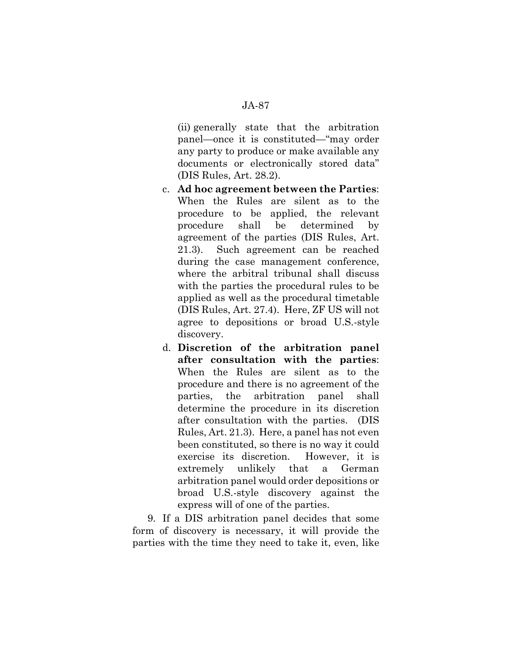(ii) generally state that the arbitration panel—once it is constituted—"may order any party to produce or make available any documents or electronically stored data" (DIS Rules, Art. 28.2).

- c. **Ad hoc agreement between the Parties**: When the Rules are silent as to the procedure to be applied, the relevant procedure shall be determined by agreement of the parties (DIS Rules, Art. 21.3). Such agreement can be reached during the case management conference, where the arbitral tribunal shall discuss with the parties the procedural rules to be applied as well as the procedural timetable (DIS Rules, Art. 27.4). Here, ZF US will not agree to depositions or broad U.S.-style discovery.
- d. **Discretion of the arbitration panel after consultation with the parties**: When the Rules are silent as to the procedure and there is no agreement of the parties, the arbitration panel shall determine the procedure in its discretion after consultation with the parties. (DIS Rules, Art. 21.3). Here, a panel has not even been constituted, so there is no way it could exercise its discretion. However, it is extremely unlikely that a German arbitration panel would order depositions or broad U.S.-style discovery against the express will of one of the parties.

9. If a DIS arbitration panel decides that some form of discovery is necessary, it will provide the parties with the time they need to take it, even, like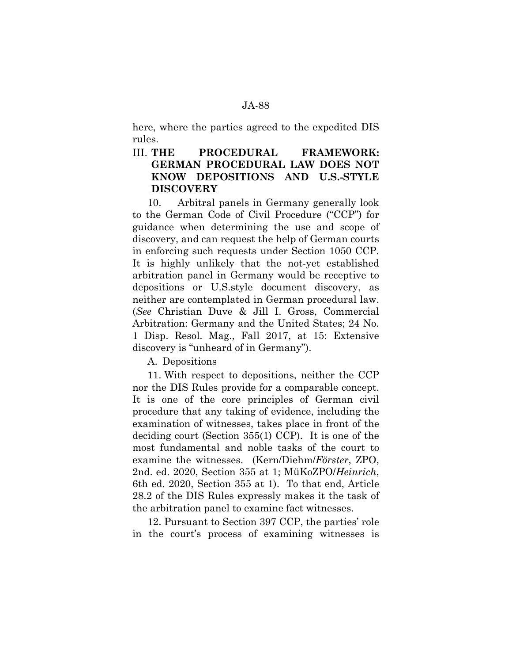here, where the parties agreed to the expedited DIS rules.

## III. **THE PROCEDURAL FRAMEWORK: GERMAN PROCEDURAL LAW DOES NOT KNOW DEPOSITIONS AND U.S.-STYLE DISCOVERY**

10. Arbitral panels in Germany generally look to the German Code of Civil Procedure ("CCP") for guidance when determining the use and scope of discovery, and can request the help of German courts in enforcing such requests under Section 1050 CCP. It is highly unlikely that the not-yet established arbitration panel in Germany would be receptive to depositions or U.S.style document discovery, as neither are contemplated in German procedural law. (*See* Christian Duve & Jill I. Gross, Commercial Arbitration: Germany and the United States; 24 No. 1 Disp. Resol. Mag., Fall 2017, at 15: Extensive discovery is "unheard of in Germany").

A. Depositions

11. With respect to depositions, neither the CCP nor the DIS Rules provide for a comparable concept. It is one of the core principles of German civil procedure that any taking of evidence, including the examination of witnesses, takes place in front of the deciding court (Section 355(1) CCP). It is one of the most fundamental and noble tasks of the court to examine the witnesses. (Kern/Diehm/*Förster*, ZPO, 2nd. ed. 2020, Section 355 at 1; MüKoZPO/*Heinrich*, 6th ed. 2020, Section 355 at 1). To that end, Article 28.2 of the DIS Rules expressly makes it the task of the arbitration panel to examine fact witnesses.

12. Pursuant to Section 397 CCP, the parties' role in the court's process of examining witnesses is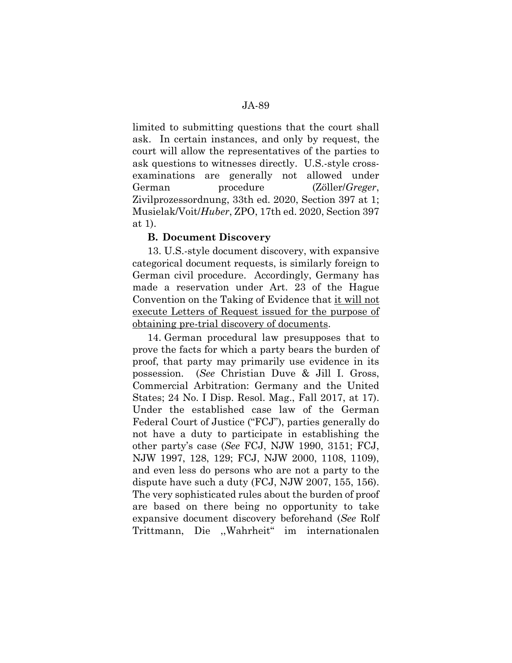limited to submitting questions that the court shall ask. In certain instances, and only by request, the court will allow the representatives of the parties to ask questions to witnesses directly. U.S.-style crossexaminations are generally not allowed under German procedure (Zöller/*Greger*, Zivilprozessordnung, 33th ed. 2020, Section 397 at 1; Musielak/Voit/*Huber*, ZPO, 17th ed. 2020, Section 397 at 1).

### **B. Document Discovery**

13. U.S.-style document discovery, with expansive categorical document requests, is similarly foreign to German civil procedure. Accordingly, Germany has made a reservation under Art. 23 of the Hague Convention on the Taking of Evidence that it will not execute Letters of Request issued for the purpose of obtaining pre-trial discovery of documents.

14. German procedural law presupposes that to prove the facts for which a party bears the burden of proof, that party may primarily use evidence in its possession. (*See* Christian Duve & Jill I. Gross, Commercial Arbitration: Germany and the United States; 24 No. I Disp. Resol. Mag., Fall 2017, at 17). Under the established case law of the German Federal Court of Justice ("FCJ"), parties generally do not have a duty to participate in establishing the other party's case (*See* FCJ, NJW 1990, 3151; FCJ, NJW 1997, 128, 129; FCJ, NJW 2000, 1108, 1109), and even less do persons who are not a party to the dispute have such a duty (FCJ, NJW 2007, 155, 156). The very sophisticated rules about the burden of proof are based on there being no opportunity to take expansive document discovery beforehand (*See* Rolf Trittmann, Die ,,Wahrheit" im internationalen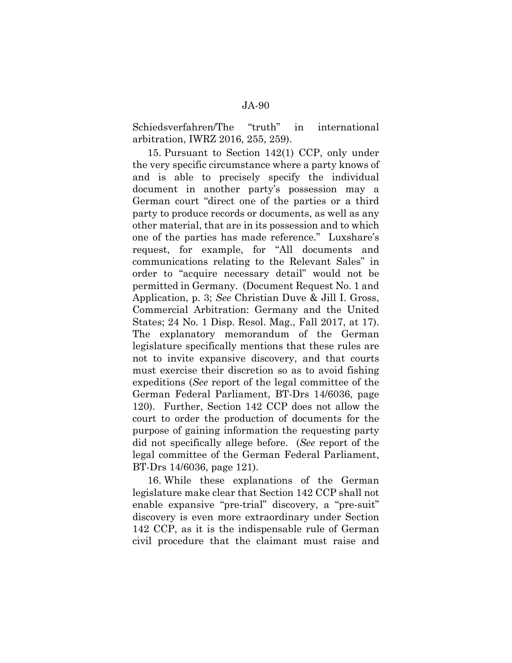Schiedsverfahren/The "truth" in international arbitration, IWRZ 2016, 255, 259).

15. Pursuant to Section 142(1) CCP, only under the very specific circumstance where a party knows of and is able to precisely specify the individual document in another party's possession may a German court "direct one of the parties or a third party to produce records or documents, as well as any other material, that are in its possession and to which one of the parties has made reference." Luxshare's request, for example, for "All documents and communications relating to the Relevant Sales" in order to "acquire necessary detail" would not be permitted in Germany. (Document Request No. 1 and Application, p. 3; *See* Christian Duve & Jill I. Gross, Commercial Arbitration: Germany and the United States; 24 No. 1 Disp. Resol. Mag., Fall 2017, at 17). The explanatory memorandum of the German legislature specifically mentions that these rules are not to invite expansive discovery, and that courts must exercise their discretion so as to avoid fishing expeditions (*See* report of the legal committee of the German Federal Parliament, BT-Drs 14/6036, page 120). Further, Section 142 CCP does not allow the court to order the production of documents for the purpose of gaining information the requesting party did not specifically allege before. (*See* report of the legal committee of the German Federal Parliament, BT-Drs 14/6036, page 121).

16. While these explanations of the German legislature make clear that Section 142 CCP shall not enable expansive "pre-trial" discovery, a "pre-suit" discovery is even more extraordinary under Section 142 CCP, as it is the indispensable rule of German civil procedure that the claimant must raise and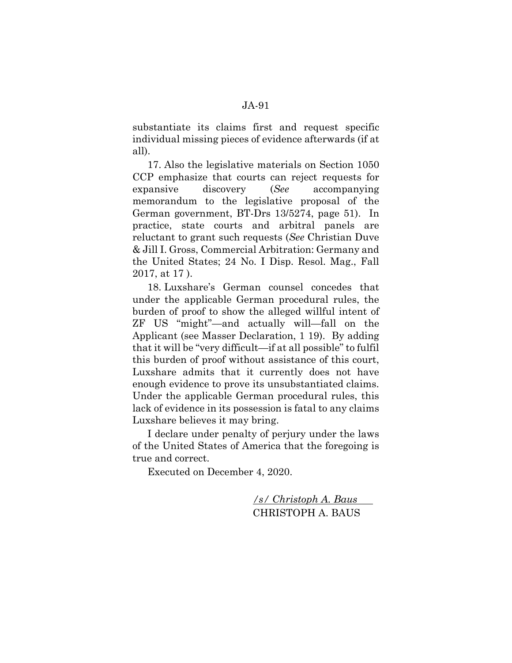substantiate its claims first and request specific individual missing pieces of evidence afterwards (if at all).

17. Also the legislative materials on Section 1050 CCP emphasize that courts can reject requests for expansive discovery (*See* accompanying memorandum to the legislative proposal of the German government, BT-Drs 13/5274, page 51). In practice, state courts and arbitral panels are reluctant to grant such requests (*See* Christian Duve & Jill I. Gross, Commercial Arbitration: Germany and the United States; 24 No. I Disp. Resol. Mag., Fall 2017, at 17 ).

18. Luxshare's German counsel concedes that under the applicable German procedural rules, the burden of proof to show the alleged willful intent of ZF US "might"—and actually will—fall on the Applicant (see Masser Declaration, 1 19). By adding that it will be "very difficult—if at all possible" to fulfil this burden of proof without assistance of this court, Luxshare admits that it currently does not have enough evidence to prove its unsubstantiated claims. Under the applicable German procedural rules, this lack of evidence in its possession is fatal to any claims Luxshare believes it may bring.

I declare under penalty of perjury under the laws of the United States of America that the foregoing is true and correct.

Executed on December 4, 2020.

*/s/ Christoph A. Baus*  CHRISTOPH A. BAUS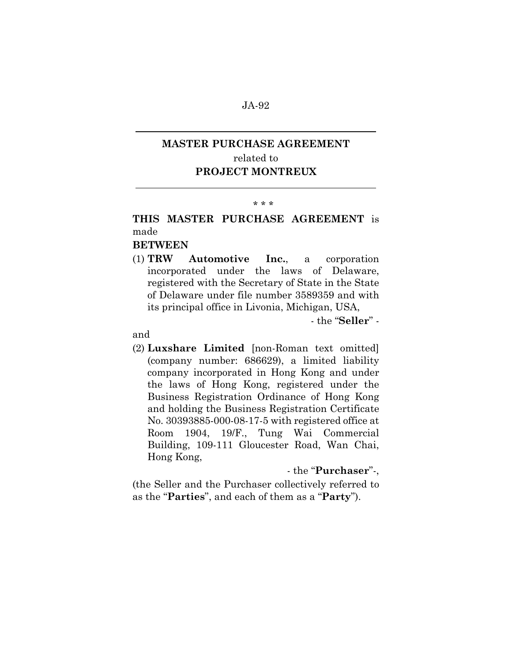# **MASTER PURCHASE AGREEMENT**  related to **PROJECT MONTREUX**

#### \* \* \*

# **THIS MASTER PURCHASE AGREEMENT** is made

# **BETWEEN**

(1) **TRW Automotive Inc.**, a corporation incorporated under the laws of Delaware, registered with the Secretary of State in the State of Delaware under file number 3589359 and with its principal office in Livonia, Michigan, USA,

- the "**Seller**" -

### and

 $\overline{a}$ 

 $\overline{a}$ 

(2) **Luxshare Limited** [non-Roman text omitted] (company number: 686629), a limited liability company incorporated in Hong Kong and under the laws of Hong Kong, registered under the Business Registration Ordinance of Hong Kong and holding the Business Registration Certificate No. 30393885-000-08-17-5 with registered office at Room 1904, 19/F., Tung Wai Commercial Building, 109-111 Gloucester Road, Wan Chai, Hong Kong,

### - the "**Purchaser**"-,

(the Seller and the Purchaser collectively referred to as the "**Parties**", and each of them as a "**Party**").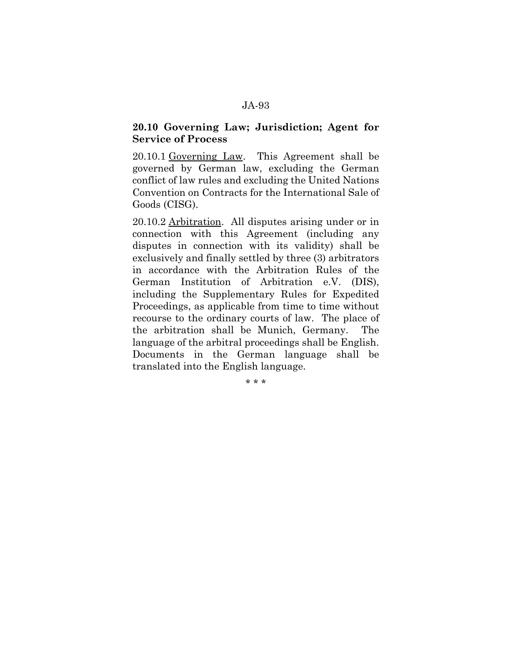### **20.10 Governing Law; Jurisdiction; Agent for Service of Process**

20.10.1 Governing Law. This Agreement shall be governed by German law, excluding the German conflict of law rules and excluding the United Nations Convention on Contracts for the International Sale of Goods (CISG).

20.10.2 Arbitration. All disputes arising under or in connection with this Agreement (including any disputes in connection with its validity) shall be exclusively and finally settled by three (3) arbitrators in accordance with the Arbitration Rules of the German Institution of Arbitration e.V. (DIS), including the Supplementary Rules for Expedited Proceedings, as applicable from time to time without recourse to the ordinary courts of law. The place of the arbitration shall be Munich, Germany. The language of the arbitral proceedings shall be English. Documents in the German language shall be translated into the English language.

\* \* \*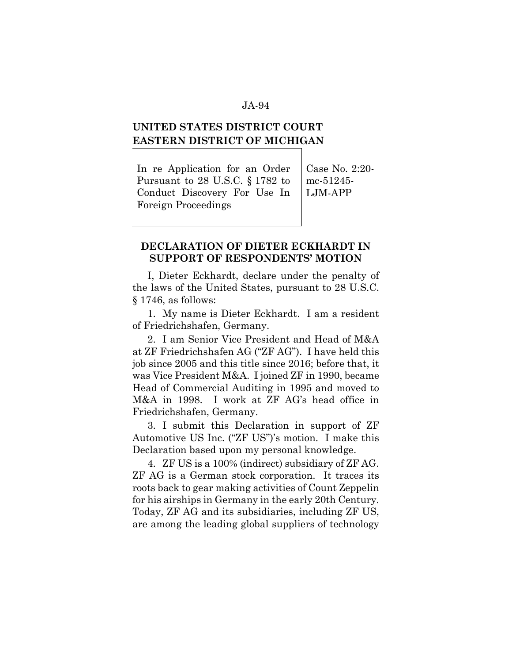# **UNITED STATES DISTRICT COURT EASTERN DISTRICT OF MICHIGAN**

In re Application for an Order Pursuant to 28 U.S.C. § 1782 to Conduct Discovery For Use In Foreign Proceedings

Case No. 2:20 mc-51245- LJM-APP

### **DECLARATION OF DIETER ECKHARDT IN SUPPORT OF RESPONDENTS' MOTION**

I, Dieter Eckhardt, declare under the penalty of the laws of the United States, pursuant to 28 U.S.C. § 1746, as follows:

1. My name is Dieter Eckhardt. I am a resident of Friedrichshafen, Germany.

2. I am Senior Vice President and Head of M&A at ZF Friedrichshafen AG ("ZF AG"). I have held this job since 2005 and this title since 2016; before that, it was Vice President M&A. I joined ZF in 1990, became Head of Commercial Auditing in 1995 and moved to M&A in 1998. I work at ZF AG's head office in Friedrichshafen, Germany.

3. I submit this Declaration in support of ZF Automotive US Inc. ("ZF US")'s motion. I make this Declaration based upon my personal knowledge.

4. ZF US is a 100% (indirect) subsidiary of ZF AG. ZF AG is a German stock corporation. It traces its roots back to gear making activities of Count Zeppelin for his airships in Germany in the early 20th Century. Today, ZF AG and its subsidiaries, including ZF US, are among the leading global suppliers of technology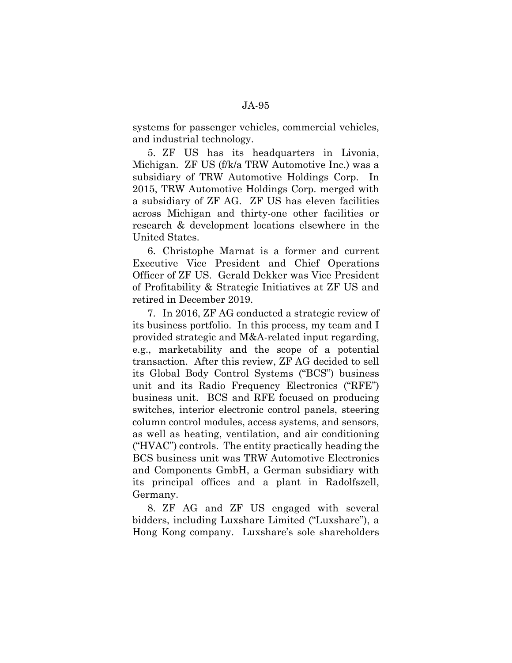systems for passenger vehicles, commercial vehicles, and industrial technology.

5. ZF US has its headquarters in Livonia, Michigan. ZF US (f/k/a TRW Automotive Inc.) was a subsidiary of TRW Automotive Holdings Corp. In 2015, TRW Automotive Holdings Corp. merged with a subsidiary of ZF AG. ZF US has eleven facilities across Michigan and thirty-one other facilities or research & development locations elsewhere in the United States.

6. Christophe Marnat is a former and current Executive Vice President and Chief Operations Officer of ZF US. Gerald Dekker was Vice President of Profitability & Strategic Initiatives at ZF US and retired in December 2019.

7. In 2016, ZF AG conducted a strategic review of its business portfolio. In this process, my team and I provided strategic and M&A-related input regarding, e.g., marketability and the scope of a potential transaction. After this review, ZF AG decided to sell its Global Body Control Systems ("BCS") business unit and its Radio Frequency Electronics ("RFE") business unit. BCS and RFE focused on producing switches, interior electronic control panels, steering column control modules, access systems, and sensors, as well as heating, ventilation, and air conditioning ("HVAC") controls. The entity practically heading the BCS business unit was TRW Automotive Electronics and Components GmbH, a German subsidiary with its principal offices and a plant in Radolfszell, Germany.

8. ZF AG and ZF US engaged with several bidders, including Luxshare Limited ("Luxshare"), a Hong Kong company. Luxshare's sole shareholders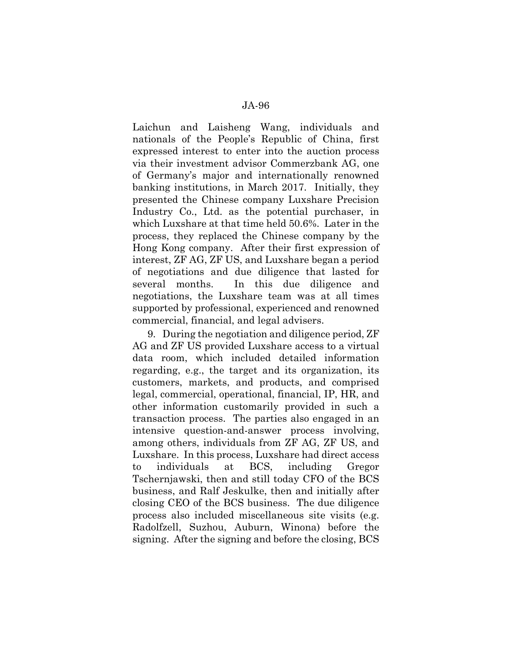Laichun and Laisheng Wang, individuals and nationals of the People's Republic of China, first expressed interest to enter into the auction process via their investment advisor Commerzbank AG, one of Germany's major and internationally renowned banking institutions, in March 2017. Initially, they presented the Chinese company Luxshare Precision Industry Co., Ltd. as the potential purchaser, in which Luxshare at that time held 50.6%. Later in the process, they replaced the Chinese company by the Hong Kong company. After their first expression of interest, ZF AG, ZF US, and Luxshare began a period of negotiations and due diligence that lasted for several months. In this due diligence and negotiations, the Luxshare team was at all times supported by professional, experienced and renowned commercial, financial, and legal advisers.

9. During the negotiation and diligence period, ZF AG and ZF US provided Luxshare access to a virtual data room, which included detailed information regarding, e.g., the target and its organization, its customers, markets, and products, and comprised legal, commercial, operational, financial, IP, HR, and other information customarily provided in such a transaction process. The parties also engaged in an intensive question-and-answer process involving, among others, individuals from ZF AG, ZF US, and Luxshare. In this process, Luxshare had direct access to individuals at BCS, including Gregor Tschernjawski, then and still today CFO of the BCS business, and Ralf Jeskulke, then and initially after closing CEO of the BCS business. The due diligence process also included miscellaneous site visits (e.g. Radolfzell, Suzhou, Auburn, Winona) before the signing. After the signing and before the closing, BCS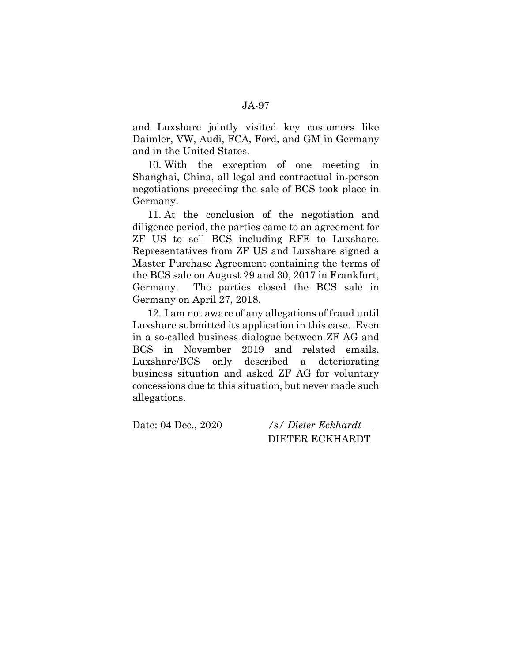and Luxshare jointly visited key customers like Daimler, VW, Audi, FCA, Ford, and GM in Germany and in the United States.

10. With the exception of one meeting in Shanghai, China, all legal and contractual in-person negotiations preceding the sale of BCS took place in Germany.

11. At the conclusion of the negotiation and diligence period, the parties came to an agreement for ZF US to sell BCS including RFE to Luxshare. Representatives from ZF US and Luxshare signed a Master Purchase Agreement containing the terms of the BCS sale on August 29 and 30, 2017 in Frankfurt, Germany. The parties closed the BCS sale in Germany on April 27, 2018.

12. I am not aware of any allegations of fraud until Luxshare submitted its application in this case. Even in a so-called business dialogue between ZF AG and BCS in November 2019 and related emails, Luxshare/BCS only described a deteriorating business situation and asked ZF AG for voluntary concessions due to this situation, but never made such allegations.

Date: 04 Dec., 2020 */s/ Dieter Eckhardt*  DIETER ECKHARDT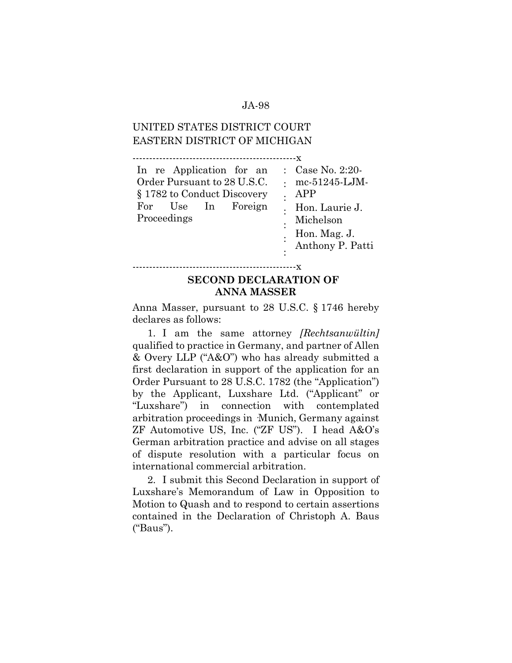# UNITED STATES DISTRICT COURT EASTERN DISTRICT OF MICHIGAN

-------------------------------------------------x

| In re Application for an    | : $Case No. 2:20$                |
|-----------------------------|----------------------------------|
| Order Pursuant to 28 U.S.C. | $\therefore$ mc-51245-LJM-       |
| § 1782 to Conduct Discovery | APP                              |
| For Use In Foreign          | Hon. Laurie J.                   |
| Proceedings                 | Michelson                        |
|                             | Hon. Mag. J.<br>Anthony P. Patti |
|                             |                                  |
|                             |                                  |

#### -------------------------------------------------x

## **SECOND DECLARATION OF ANNA MASSER**

Anna Masser, pursuant to 28 U.S.C. § 1746 hereby declares as follows:

1. I am the same attorney *[Rechtsanwültin]*  qualified to practice in Germany, and partner of Allen & Overy LLP ("A&O") who has already submitted a first declaration in support of the application for an Order Pursuant to 28 U.S.C. 1782 (the "Application") by the Applicant, Luxshare Ltd. ("Applicant" or "Luxshare") in connection with contemplated arbitration proceedings in ·Munich, Germany against ZF Automotive US, Inc. ("ZF US"). I head A&O's German arbitration practice and advise on all stages of dispute resolution with a particular focus on international commercial arbitration.

2. I submit this Second Declaration in support of Luxshare's Memorandum of Law in Opposition to Motion to Quash and to respond to certain assertions contained in the Declaration of Christoph A. Baus ("Baus").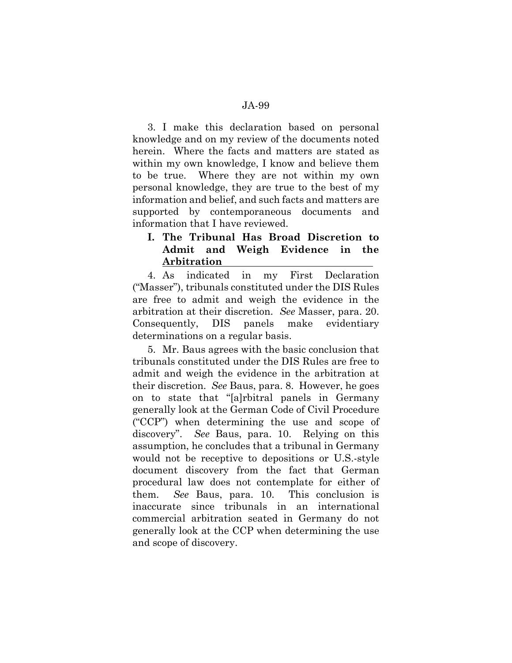3. I make this declaration based on personal knowledge and on my review of the documents noted herein. Where the facts and matters are stated as within my own knowledge, I know and believe them to be true. Where they are not within my own personal knowledge, they are true to the best of my information and belief, and such facts and matters are supported by contemporaneous documents and information that I have reviewed.

## **I. The Tribunal Has Broad Discretion to Admit and Weigh Evidence in the Arbitration**

4. As indicated in my First Declaration ("Masser"), tribunals constituted under the DIS Rules are free to admit and weigh the evidence in the arbitration at their discretion. *See* Masser, para. 20. Consequently, DIS panels make evidentiary determinations on a regular basis.

5. Mr. Baus agrees with the basic conclusion that tribunals constituted under the DIS Rules are free to admit and weigh the evidence in the arbitration at their discretion. *See* Baus, para. 8. However, he goes on to state that "[a]rbitral panels in Germany generally look at the German Code of Civil Procedure ("CCP") when determining the use and scope of discovery". *See* Baus, para. 10. Relying on this assumption, he concludes that a tribunal in Germany would not be receptive to depositions or U.S.-style document discovery from the fact that German procedural law does not contemplate for either of them. *See* Baus, para. 10. This conclusion is inaccurate since tribunals in an international commercial arbitration seated in Germany do not generally look at the CCP when determining the use and scope of discovery.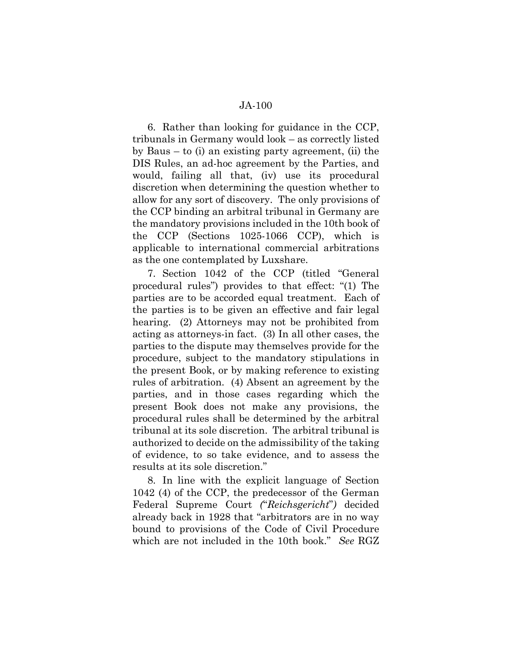6. Rather than looking for guidance in the CCP, tribunals in Germany would look – as correctly listed by Baus – to (i) an existing party agreement, (ii) the DIS Rules, an ad-hoc agreement by the Parties, and would, failing all that, (iv) use its procedural discretion when determining the question whether to allow for any sort of discovery. The only provisions of the CCP binding an arbitral tribunal in Germany are the mandatory provisions included in the 10th book of the CCP (Sections 1025-1066 CCP), which is applicable to international commercial arbitrations as the one contemplated by Luxshare.

7. Section 1042 of the CCP (titled "General procedural rules") provides to that effect: "(1) The parties are to be accorded equal treatment. Each of the parties is to be given an effective and fair legal hearing. (2) Attorneys may not be prohibited from acting as attorneys-in fact. (3) In all other cases, the parties to the dispute may themselves provide for the procedure, subject to the mandatory stipulations in the present Book, or by making reference to existing rules of arbitration. (4) Absent an agreement by the parties, and in those cases regarding which the present Book does not make any provisions, the procedural rules shall be determined by the arbitral tribunal at its sole discretion. The arbitral tribunal is authorized to decide on the admissibility of the taking of evidence, to so take evidence, and to assess the results at its sole discretion."

8. In line with the explicit language of Section 1042 (4) of the CCP, the predecessor of the German Federal Supreme Court *(*"*Reichsgericht*"*)* decided already back in 1928 that "arbitrators are in no way bound to provisions of the Code of Civil Procedure which are not included in the 10th book." *See* RGZ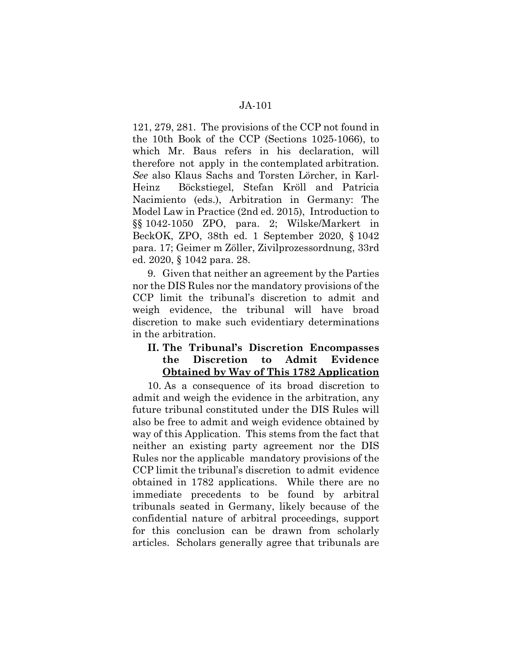121, 279, 281. The provisions of the CCP not found in the 10th Book of the CCP (Sections 1025-1066), to which Mr. Baus refers in his declaration, will therefore not apply in the contemplated arbitration. *See* also Klaus Sachs and Torsten Lörcher, in Karl-Heinz Böckstiegel, Stefan Kröll and Patricia Nacimiento (eds.), Arbitration in Germany: The Model Law in Practice (2nd ed. 2015), Introduction to §§ 1042-1050 ZPO, para. 2; Wilske/Markert in BeckOK, ZPO, 38th ed. 1 September 2020, § 1042 para. 17; Geimer m Zöller, Zivilprozessordnung, 33rd ed. 2020, § 1042 para. 28.

9. Given that neither an agreement by the Parties nor the DIS Rules nor the mandatory provisions of the CCP limit the tribunal's discretion to admit and weigh evidence, the tribunal will have broad discretion to make such evidentiary determinations in the arbitration.

# **II. The Tribunal's Discretion Encompasses the Discretion to Admit Evidence Obtained by Way of This 1782 Application**

10. As a consequence of its broad discretion to admit and weigh the evidence in the arbitration, any future tribunal constituted under the DIS Rules will also be free to admit and weigh evidence obtained by way of this Application. This stems from the fact that neither an existing party agreement nor the DIS Rules nor the applicable mandatory provisions of the CCP limit the tribunal's discretion to admit evidence obtained in 1782 applications. While there are no immediate precedents to be found by arbitral tribunals seated in Germany, likely because of the confidential nature of arbitral proceedings, support for this conclusion can be drawn from scholarly articles. Scholars generally agree that tribunals are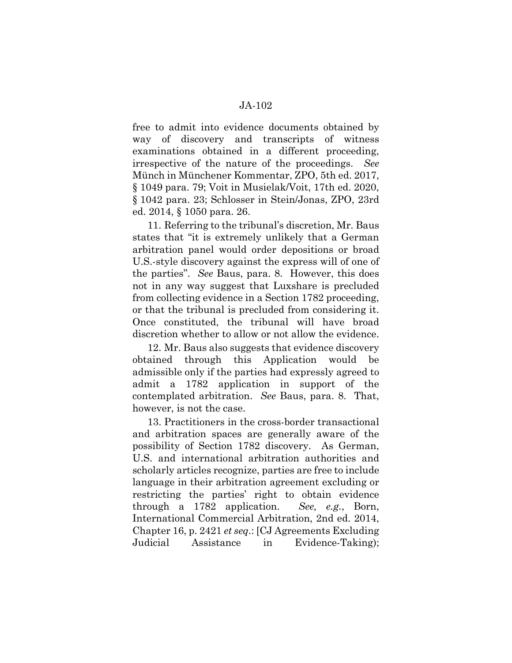free to admit into evidence documents obtained by way of discovery and transcripts of witness examinations obtained in a different proceeding, irrespective of the nature of the proceedings. *See*  Münch in Münchener Kommentar, ZPO, 5th ed. 2017, § 1049 para. 79; Voit in Musielak/Voit, 17th ed. 2020, § 1042 para. 23; Schlosser in Stein/Jonas, ZPO, 23rd ed. 2014, § 1050 para. 26.

11. Referring to the tribunal's discretion, Mr. Baus states that "it is extremely unlikely that a German arbitration panel would order depositions or broad U.S.-style discovery against the express will of one of the parties". *See* Baus, para. 8. However, this does not in any way suggest that Luxshare is precluded from collecting evidence in a Section 1782 proceeding, or that the tribunal is precluded from considering it. Once constituted, the tribunal will have broad discretion whether to allow or not allow the evidence.

12. Mr. Baus also suggests that evidence discovery obtained through this Application would be admissible only if the parties had expressly agreed to admit a 1782 application in support of the contemplated arbitration. *See* Baus, para. 8. That, however, is not the case.

13. Practitioners in the cross-border transactional and arbitration spaces are generally aware of the possibility of Section 1782 discovery. As German, U.S. and international arbitration authorities and scholarly articles recognize, parties are free to include language in their arbitration agreement excluding or restricting the parties' right to obtain evidence through a 1782 application. *See, e.g.*, Born, International Commercial Arbitration, 2nd ed. 2014, Chapter 16, p. 2421 *et seq*.: [CJ Agreements Excluding Judicial Assistance in Evidence-Taking);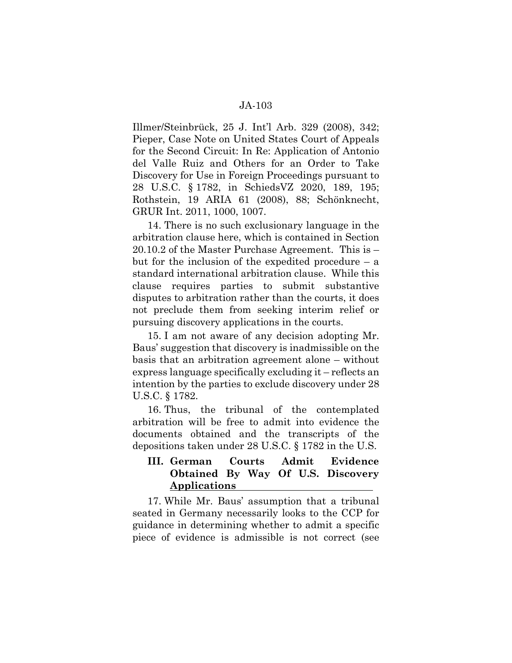Illmer/Steinbrück, 25 J. Int'l Arb. 329 (2008), 342; Pieper, Case Note on United States Court of Appeals for the Second Circuit: In Re: Application of Antonio del Valle Ruiz and Others for an Order to Take Discovery for Use in Foreign Proceedings pursuant to 28 U.S.C. § 1782, in SchiedsVZ 2020, 189, 195; Rothstein, 19 ARIA 61 (2008), 88; Schönknecht, GRUR Int. 2011, 1000, 1007.

14. There is no such exclusionary language in the arbitration clause here, which is contained in Section 20.10.2 of the Master Purchase Agreement. This is – but for the inclusion of the expedited procedure – a standard international arbitration clause. While this clause requires parties to submit substantive disputes to arbitration rather than the courts, it does not preclude them from seeking interim relief or pursuing discovery applications in the courts.

15. I am not aware of any decision adopting Mr. Baus' suggestion that discovery is inadmissible on the basis that an arbitration agreement alone – without express language specifically excluding it – reflects an intention by the parties to exclude discovery under 28 U.S.C. § 1782.

16. Thus, the tribunal of the contemplated arbitration will be free to admit into evidence the documents obtained and the transcripts of the depositions taken under 28 U.S.C. § 1782 in the U.S.

# **III. German Courts Admit Evidence Obtained By Way Of U.S. Discovery Applications**

17. While Mr. Baus' assumption that a tribunal seated in Germany necessarily looks to the CCP for guidance in determining whether to admit a specific piece of evidence is admissible is not correct (see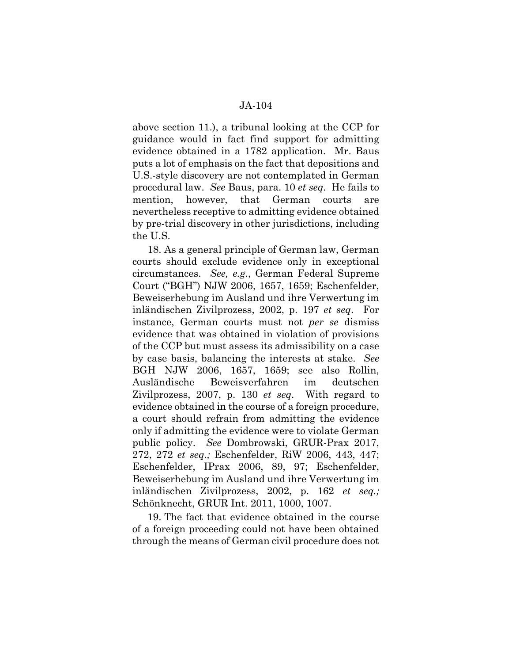above section 11.), a tribunal looking at the CCP for guidance would in fact find support for admitting evidence obtained in a 1782 application. Mr. Baus puts a lot of emphasis on the fact that depositions and U.S.-style discovery are not contemplated in German procedural law. *See* Baus, para. 10 *et seq*. He fails to mention, however, that German courts are nevertheless receptive to admitting evidence obtained by pre-trial discovery in other jurisdictions, including the U.S.

18. As a general principle of German law, German courts should exclude evidence only in exceptional circumstances. *See, e.g.*, German Federal Supreme Court ("BGH") NJW 2006, 1657, 1659; Eschenfelder, Beweiserhebung im Ausland und ihre Verwertung im inländischen Zivilprozess, 2002, p. 197 *et seq*. For instance, German courts must not *per se* dismiss evidence that was obtained in violation of provisions of the CCP but must assess its admissibility on a case by case basis, balancing the interests at stake. *See* BGH NJW 2006, 1657, 1659; see also Rollin, Ausländische Beweisverfahren im deutschen Zivilprozess, 2007, p. 130 *et seq*. With regard to evidence obtained in the course of a foreign procedure, a court should refrain from admitting the evidence only if admitting the evidence were to violate German public policy. *See* Dombrowski, GRUR-Prax 2017, 272, 272 *et seq.;* Eschenfelder, RiW 2006, 443, 447; Eschenfelder, IPrax 2006, 89, 97; Eschenfelder, Beweiserhebung im Ausland und ihre Verwertung im inländischen Zivilprozess, 2002, p. 162 *et seq.;*  Schönknecht, GRUR Int. 2011, 1000, 1007.

19. The fact that evidence obtained in the course of a foreign proceeding could not have been obtained through the means of German civil procedure does not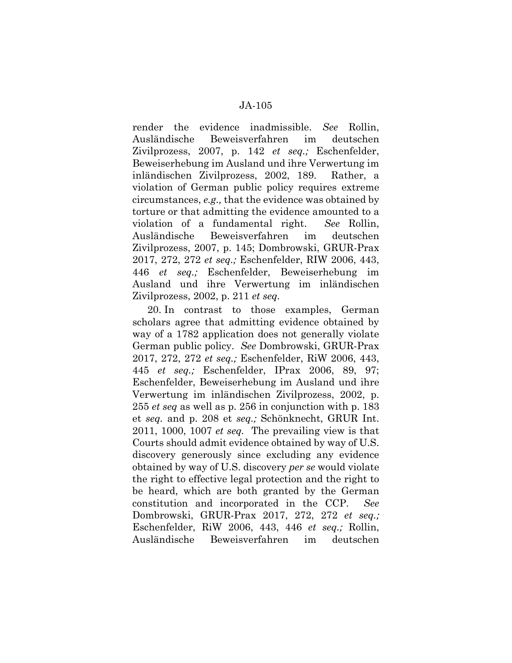render the evidence inadmissible. *See* Rollin, Ausländische Beweisverfahren im deutschen Zivilprozess, 2007, p. 142 *et seq.;* Eschenfelder, Beweiserhebung im Ausland und ihre Verwertung im inländischen Zivilprozess, 2002, 189. Rather, a violation of German public policy requires extreme circumstances, *e.g.,* that the evidence was obtained by torture or that admitting the evidence amounted to a violation of a fundamental right. *See* Rollin, Ausländische Beweisverfahren im deutschen Zivilprozess, 2007, p. 145; Dombrowski, GRUR-Prax 2017, 272, 272 *et seq.;* Eschenfelder, RIW 2006, 443, 446 *et seq.;* Eschenfelder, Beweiserhebung im Ausland und ihre Verwertung im inländischen Zivilprozess, 2002, p. 211 *et seq.* 

20. In contrast to those examples, German scholars agree that admitting evidence obtained by way of a 1782 application does not generally violate German public policy. *See* Dombrowski, GRUR-Prax 2017, 272, 272 *et seq.;* Eschenfelder, RiW 2006, 443, 445 *et seq.;* Eschenfelder, IPrax 2006, 89, 97; Eschenfelder, Beweiserhebung im Ausland und ihre Verwertung im inländischen Zivilprozess, 2002, p. 255 *et seq* as well as p. 256 in conjunction with p. 183 et *seq.* and p. 208 et *seq.;* Schönknecht, GRUR Int. 2011, 1000, 1007 *et seq.* The prevailing view is that Courts should admit evidence obtained by way of U.S. discovery generously since excluding any evidence obtained by way of U.S. discovery *per se* would violate the right to effective legal protection and the right to be heard, which are both granted by the German constitution and incorporated in the CCP. *See*  Dombrowski, GRUR-Prax 2017, 272, 272 *et seq.;*  Eschenfelder, RiW 2006, 443, 446 *et seq.;* Rollin, Ausländische Beweisverfahren im deutschen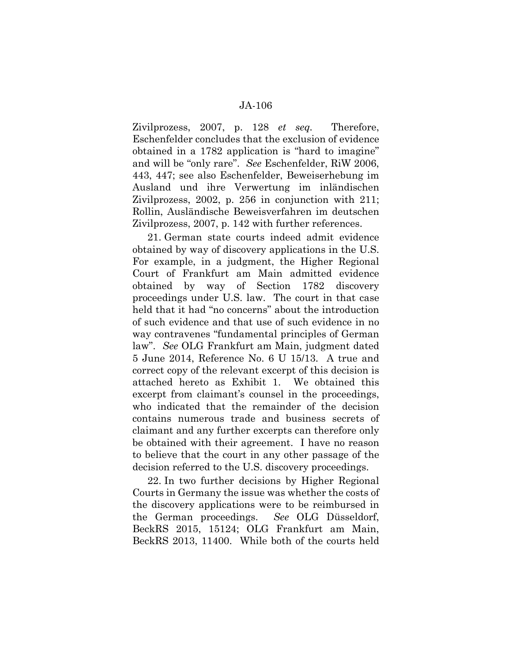Zivilprozess, 2007, p. 128 *et seq.* Therefore, Eschenfelder concludes that the exclusion of evidence obtained in a 1782 application is "hard to imagine" and will be "only rare". *See* Eschenfelder, RiW 2006, 443, 447; see also Eschenfelder, Beweiserhebung im Ausland und ihre Verwertung im inländischen Zivilprozess, 2002, p. 256 in conjunction with 211; Rollin, Ausländische Beweisverfahren im deutschen Zivilprozess, 2007, p. 142 with further references.

21. German state courts indeed admit evidence obtained by way of discovery applications in the U.S. For example, in a judgment, the Higher Regional Court of Frankfurt am Main admitted evidence obtained by way of Section 1782 discovery proceedings under U.S. law. The court in that case held that it had "no concerns" about the introduction of such evidence and that use of such evidence in no way contravenes "fundamental principles of German law". *See* OLG Frankfurt am Main, judgment dated 5 June 2014, Reference No. 6 U 15/13. A true and correct copy of the relevant excerpt of this decision is attached hereto as Exhibit 1. We obtained this excerpt from claimant's counsel in the proceedings, who indicated that the remainder of the decision contains numerous trade and business secrets of claimant and any further excerpts can therefore only be obtained with their agreement. I have no reason to believe that the court in any other passage of the decision referred to the U.S. discovery proceedings.

22. In two further decisions by Higher Regional Courts in Germany the issue was whether the costs of the discovery applications were to be reimbursed in the German proceedings. *See* OLG Düsseldorf, BeckRS 2015, 15124; OLG Frankfurt am Main, BeckRS 2013, 11400. While both of the courts held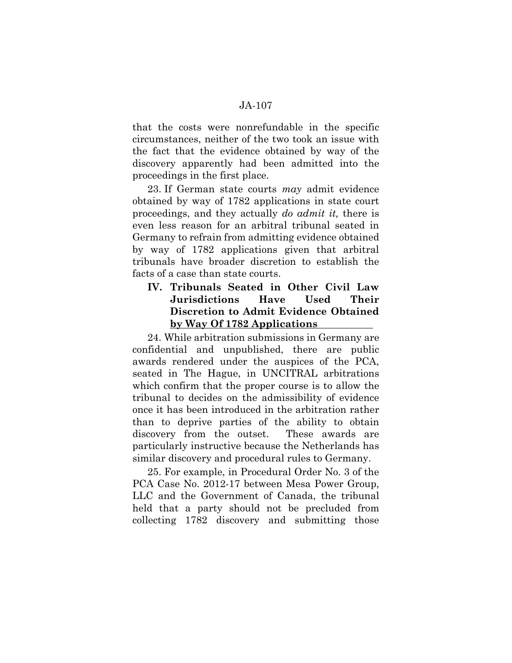that the costs were nonrefundable in the specific circumstances, neither of the two took an issue with the fact that the evidence obtained by way of the discovery apparently had been admitted into the proceedings in the first place.

23. If German state courts *may* admit evidence obtained by way of 1782 applications in state court proceedings, and they actually *do admit it,* there is even less reason for an arbitral tribunal seated in Germany to refrain from admitting evidence obtained by way of 1782 applications given that arbitral tribunals have broader discretion to establish the facts of a case than state courts.

## **IV. Tribunals Seated in Other Civil Law Jurisdictions Have Used Their Discretion to Admit Evidence Obtained by Way Of 1782 Applications**

24. While arbitration submissions in Germany are confidential and unpublished, there are public awards rendered under the auspices of the PCA, seated in The Hague, in UNCITRAL arbitrations which confirm that the proper course is to allow the tribunal to decides on the admissibility of evidence once it has been introduced in the arbitration rather than to deprive parties of the ability to obtain discovery from the outset. These awards are particularly instructive because the Netherlands has similar discovery and procedural rules to Germany.

25. For example, in Procedural Order No. 3 of the PCA Case No. 2012-17 between Mesa Power Group, LLC and the Government of Canada, the tribunal held that a party should not be precluded from collecting 1782 discovery and submitting those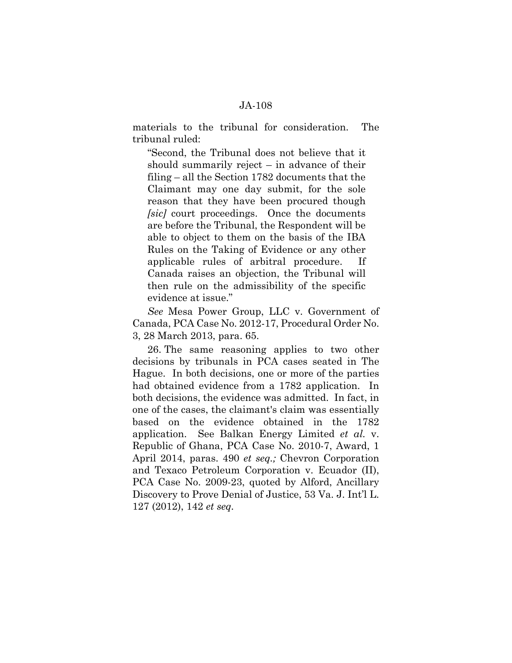materials to the tribunal for consideration. The tribunal ruled:

"Second, the Tribunal does not believe that it should summarily reject – in advance of their filing – all the Section 1782 documents that the Claimant may one day submit, for the sole reason that they have been procured though *[sic]* court proceedings. Once the documents are before the Tribunal, the Respondent will be able to object to them on the basis of the IBA Rules on the Taking of Evidence or any other applicable rules of arbitral procedure. If Canada raises an objection, the Tribunal will then rule on the admissibility of the specific evidence at issue."

*See* Mesa Power Group, LLC v. Government of Canada, PCA Case No. 2012-17, Procedural Order No. 3, 28 March 2013, para. 65.

26. The same reasoning applies to two other decisions by tribunals in PCA cases seated in The Hague. In both decisions, one or more of the parties had obtained evidence from a 1782 application. In both decisions, the evidence was admitted. In fact, in one of the cases, the claimant's claim was essentially based on the evidence obtained in the 1782 application. See Balkan Energy Limited *et al.* v. Republic of Ghana, PCA Case No. 2010-7, Award, 1 April 2014, paras. 490 *et seq.;* Chevron Corporation and Texaco Petroleum Corporation v. Ecuador (II), PCA Case No. 2009-23, quoted by Alford, Ancillary Discovery to Prove Denial of Justice, 53 Va. J. Int'l L. 127 (2012), 142 *et seq.*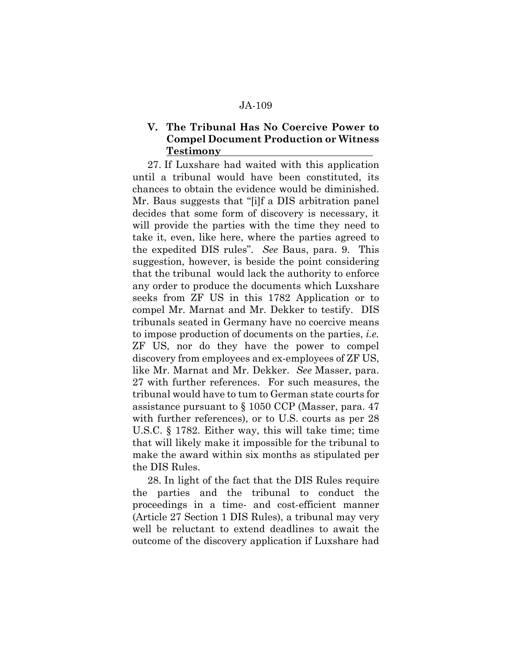## **V. The Tribunal Has No Coercive Power to Compel Document Production or Witness Testimony**

27. If Luxshare had waited with this application until a tribunal would have been constituted, its chances to obtain the evidence would be diminished. Mr. Baus suggests that "[i]f a DIS arbitration panel decides that some form of discovery is necessary, it will provide the parties with the time they need to take it, even, like here, where the parties agreed to the expedited DIS rules". *See* Baus, para. 9. This suggestion, however, is beside the point considering that the tribunal would lack the authority to enforce any order to produce the documents which Luxshare seeks from ZF US in this 1782 Application or to compel Mr. Marnat and Mr. Dekker to testify. DIS tribunals seated in Germany have no coercive means to impose production of documents on the parties, *i.e.*  ZF US, nor do they have the power to compel discovery from employees and ex-employees of ZF US, like Mr. Marnat and Mr. Dekker. *See* Masser, para. 27 with further references. For such measures, the tribunal would have to tum to German state courts for assistance pursuant to § 1050 CCP (Masser, para. 47 with further references), or to U.S. courts as per 28 U.S.C. § 1782. Either way, this will take time; time that will likely make it impossible for the tribunal to make the award within six months as stipulated per the DIS Rules.

28. In light of the fact that the DIS Rules require the parties and the tribunal to conduct the proceedings in a time- and cost-efficient manner (Article 27 Section 1 DIS Rules), a tribunal may very well be reluctant to extend deadlines to await the outcome of the discovery application if Luxshare had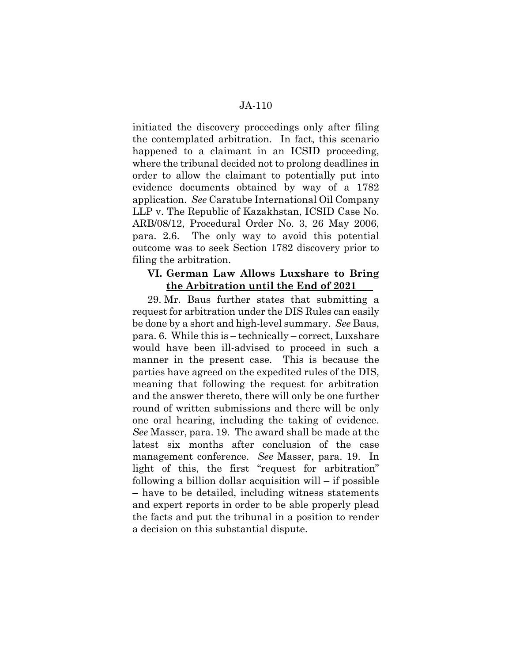initiated the discovery proceedings only after filing the contemplated arbitration. In fact, this scenario happened to a claimant in an ICSID proceeding, where the tribunal decided not to prolong deadlines in order to allow the claimant to potentially put into evidence documents obtained by way of a 1782 application. *See* Caratube International Oil Company LLP v. The Republic of Kazakhstan, ICSID Case No. ARB/08/12, Procedural Order No. 3, 26 May 2006, para. 2.6. The only way to avoid this potential outcome was to seek Section 1782 discovery prior to filing the arbitration.

### **VI. German Law Allows Luxshare to Bring the Arbitration until the End of 2021**

29. Mr. Baus further states that submitting a request for arbitration under the DIS Rules can easily be done by a short and high-level summary. *See* Baus, para. 6. While this is – technically – correct, Luxshare would have been ill-advised to proceed in such a manner in the present case. This is because the parties have agreed on the expedited rules of the DIS, meaning that following the request for arbitration and the answer thereto, there will only be one further round of written submissions and there will be only one oral hearing, including the taking of evidence. *See* Masser, para. 19. The award shall be made at the latest six months after conclusion of the case management conference. *See* Masser, para. 19. In light of this, the first "request for arbitration" following a billion dollar acquisition will – if possible – have to be detailed, including witness statements and expert reports in order to be able properly plead the facts and put the tribunal in a position to render a decision on this substantial dispute.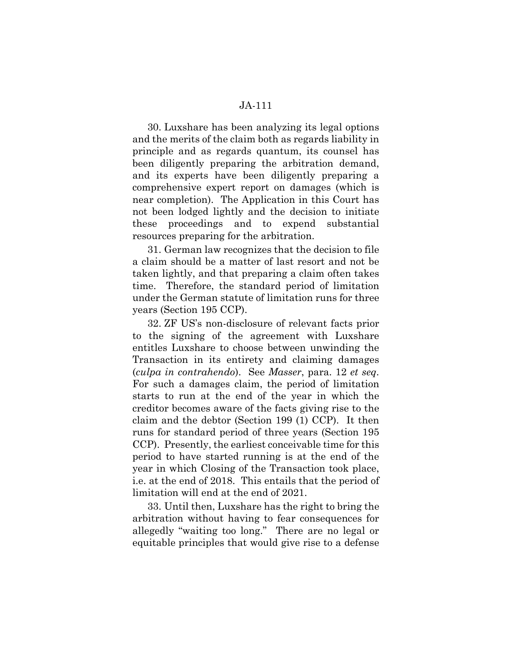30. Luxshare has been analyzing its legal options and the merits of the claim both as regards liability in principle and as regards quantum, its counsel has been diligently preparing the arbitration demand, and its experts have been diligently preparing a comprehensive expert report on damages (which is near completion). The Application in this Court has not been lodged lightly and the decision to initiate these proceedings and to expend substantial resources preparing for the arbitration.

31. German law recognizes that the decision to file a claim should be a matter of last resort and not be taken lightly, and that preparing a claim often takes time. Therefore, the standard period of limitation under the German statute of limitation runs for three years (Section 195 CCP).

32. ZF US's non-disclosure of relevant facts prior to the signing of the agreement with Luxshare entitles Luxshare to choose between unwinding the Transaction in its entirety and claiming damages (*culpa in contrahendo*). See *Masser*, para. 12 *et seq*. For such a damages claim, the period of limitation starts to run at the end of the year in which the creditor becomes aware of the facts giving rise to the claim and the debtor (Section 199 (1) CCP). It then runs for standard period of three years (Section 195 CCP). Presently, the earliest conceivable time for this period to have started running is at the end of the year in which Closing of the Transaction took place, i.e. at the end of 2018. This entails that the period of limitation will end at the end of 2021.

33. Until then, Luxshare has the right to bring the arbitration without having to fear consequences for allegedly "waiting too long." There are no legal or equitable principles that would give rise to a defense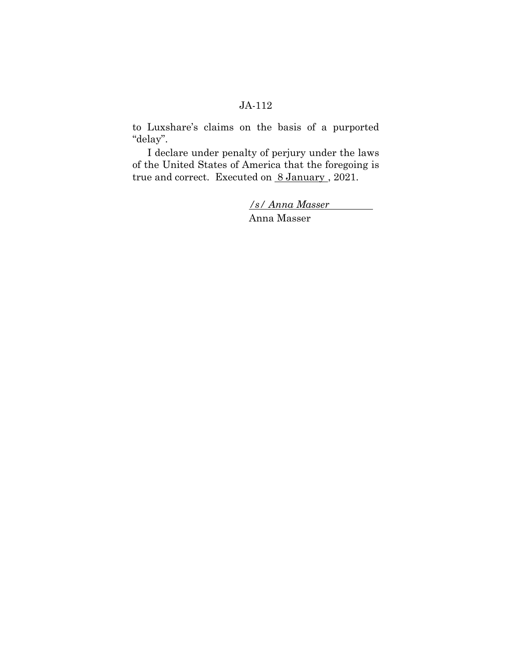to Luxshare's claims on the basis of a purported "delay".

I declare under penalty of perjury under the laws of the United States of America that the foregoing is true and correct. Executed on 8 January, 2021.

> */s/ Anna Masser*  Anna Masser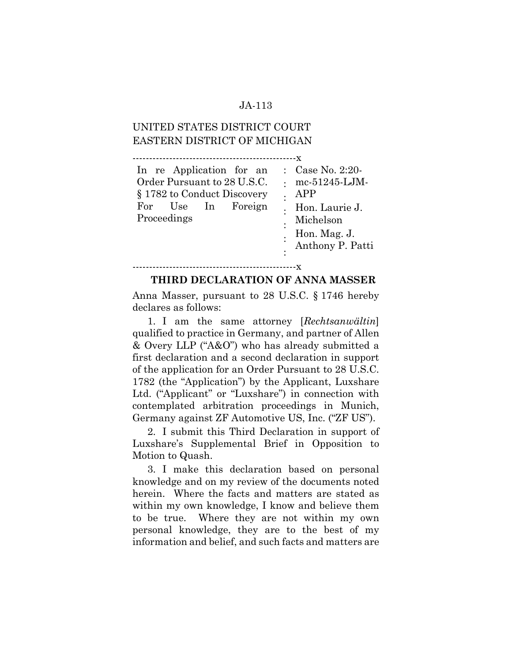# UNITED STATES DISTRICT COURT EASTERN DISTRICT OF MICHIGAN

-------------------------------------------------x In re Application for an Order Pursuant to 28 U.S.C. § 1782 to Conduct Discovery For Use In Foreign Proceedings : Case No. 2:20- : mc-51245-LJM-: APP : Hon. Laurie J. : : : Michelson Hon. Mag. J. Anthony P. Patti

#### -------------------------------------------------x

#### **THIRD DECLARATION OF ANNA MASSER**

Anna Masser, pursuant to 28 U.S.C. § 1746 hereby declares as follows:

1. I am the same attorney [*Rechtsanwältin*] qualified to practice in Germany, and partner of Allen & Overy LLP ("A&O") who has already submitted a first declaration and a second declaration in support of the application for an Order Pursuant to 28 U.S.C. 1782 (the "Application") by the Applicant, Luxshare Ltd. ("Applicant" or "Luxshare") in connection with contemplated arbitration proceedings in Munich, Germany against ZF Automotive US, Inc. ("ZF US").

2. I submit this Third Declaration in support of Luxshare's Supplemental Brief in Opposition to Motion to Quash.

3. I make this declaration based on personal knowledge and on my review of the documents noted herein. Where the facts and matters are stated as within my own knowledge, I know and believe them to be true. Where they are not within my own personal knowledge, they are to the best of my information and belief, and such facts and matters are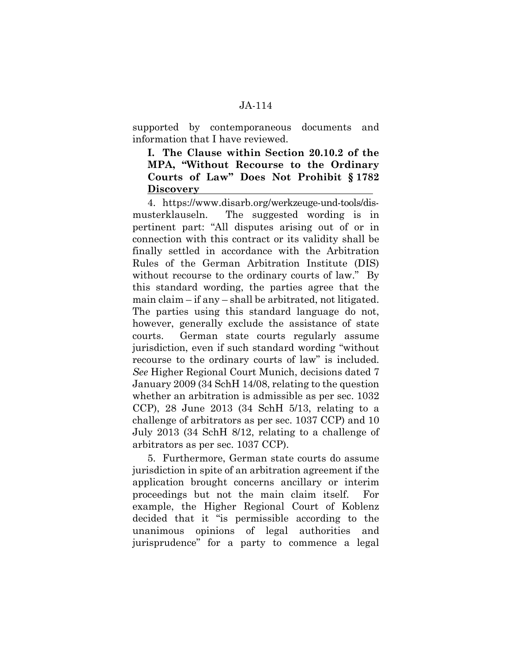supported by contemporaneous documents and information that I have reviewed.

## **I. The Clause within Section 20.10.2 of the MPA, "Without Recourse to the Ordinary Courts of Law" Does Not Prohibit § 1782 Discovery**

4. https://www.disarb.org/werkzeuge-und-tools/dismusterklauseln. The suggested wording is in pertinent part: "All disputes arising out of or in connection with this contract or its validity shall be finally settled in accordance with the Arbitration Rules of the German Arbitration Institute (DIS) without recourse to the ordinary courts of law." By this standard wording, the parties agree that the main claim – if any – shall be arbitrated, not litigated. The parties using this standard language do not, however, generally exclude the assistance of state courts. German state courts regularly assume jurisdiction, even if such standard wording "without recourse to the ordinary courts of law" is included. *See* Higher Regional Court Munich, decisions dated 7 January 2009 (34 SchH 14/08, relating to the question whether an arbitration is admissible as per sec. 1032 CCP), 28 June 2013 (34 SchH 5/13, relating to a challenge of arbitrators as per sec. 1037 CCP) and 10 July 2013 (34 SchH 8/12, relating to a challenge of arbitrators as per sec. 1037 CCP).

5. Furthermore, German state courts do assume jurisdiction in spite of an arbitration agreement if the application brought concerns ancillary or interim proceedings but not the main claim itself. For example, the Higher Regional Court of Koblenz decided that it "is permissible according to the unanimous opinions of legal authorities and jurisprudence" for a party to commence a legal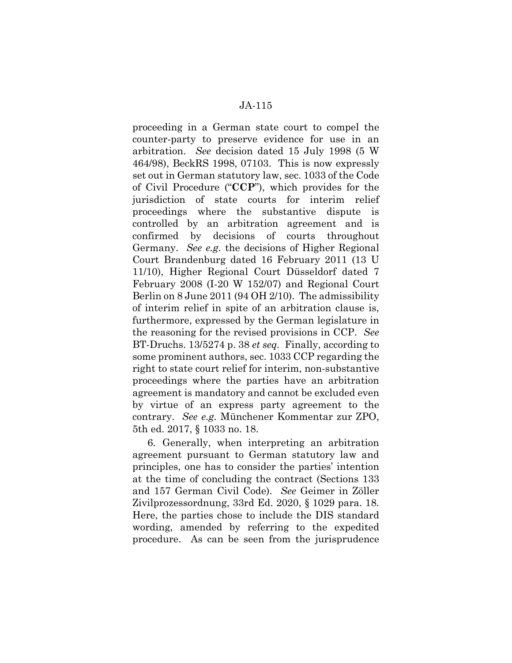proceeding in a German state court to compel the counter-party to preserve evidence for use in an arbitration. *See* decision dated 15 July 1998 (5 W 464/98), BeckRS 1998, 07103. This is now expressly set out in German statutory law, sec. 1033 of the Code of Civil Procedure ("**CCP**"), which provides for the jurisdiction of state courts for interim relief proceedings where the substantive dispute is controlled by an arbitration agreement and is confirmed by decisions of courts throughout Germany. *See e.g.* the decisions of Higher Regional Court Brandenburg dated 16 February 2011 (13 U 11/10), Higher Regional Court Düsseldorf dated 7 February 2008 (I-20 W 152/07) and Regional Court Berlin on 8 June 2011 (94 OH 2/10). The admissibility of interim relief in spite of an arbitration clause is, furthermore, expressed by the German legislature in the reasoning for the revised provisions in CCP. *See*  BT-Druchs. 13/5274 p. 38 *et seq.* Finally, according to some prominent authors, sec. 1033 CCP regarding the right to state court relief for interim, non-substantive proceedings where the parties have an arbitration agreement is mandatory and cannot be excluded even by virtue of an express party agreement to the contrary. *See e.g.* Münchener Kommentar zur ZPO, 5th ed. 2017, § 1033 no. 18.

6. Generally, when interpreting an arbitration agreement pursuant to German statutory law and principles, one has to consider the parties' intention at the time of concluding the contract (Sections 133 and 157 German Civil Code). *See* Geimer in Zöller Zivilprozessordnung, 33rd Ed. 2020, § 1029 para. 18. Here, the parties chose to include the DIS standard wording, amended by referring to the expedited procedure. As can be seen from the jurisprudence